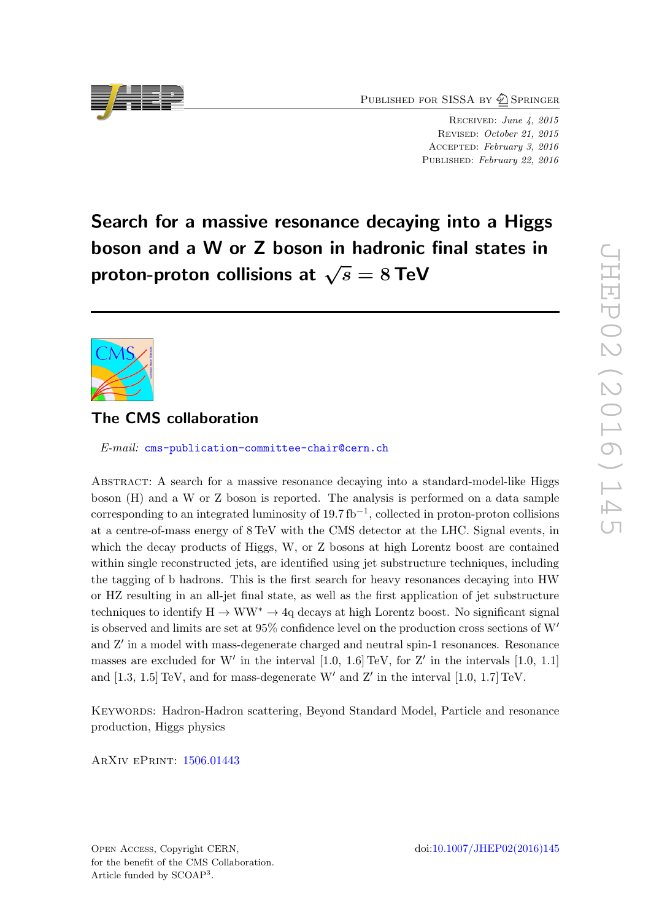PUBLISHED FOR SISSA BY 2 SPRINGER

Received: June 4, 2015 Revised: October 21, 2015 Accepted: February 3, 2016 PUBLISHED: February 22, 2016

Search for a massive resonance decaying into a Higgs boson and a W or Z boson in hadronic final states in proton-proton collisions at  $\sqrt{s} = 8$  TeV



# The CMS collaboration

E-mail: [cms-publication-committee-chair@cern.ch](mailto:cms-publication-committee-chair@cern.ch)

Abstract: A search for a massive resonance decaying into a standard-model-like Higgs boson (H) and a W or Z boson is reported. The analysis is performed on a data sample corresponding to an integrated luminosity of  $19.7 \text{ fb}^{-1}$ , collected in proton-proton collisions at a centre-of-mass energy of 8 TeV with the CMS detector at the LHC. Signal events, in which the decay products of Higgs, W, or Z bosons at high Lorentz boost are contained within single reconstructed jets, are identified using jet substructure techniques, including the tagging of b hadrons. This is the first search for heavy resonances decaying into HW or HZ resulting in an all-jet final state, as well as the first application of jet substructure techniques to identify  $H \to WW^* \to 4q$  decays at high Lorentz boost. No significant signal is observed and limits are set at  $95\%$  confidence level on the production cross sections of W' and Z' in a model with mass-degenerate charged and neutral spin-1 resonances. Resonance masses are excluded for W' in the interval  $[1.0, 1.6]$  TeV, for Z' in the intervals  $[1.0, 1.1]$ and  $[1.3, 1.5]$  TeV, and for mass-degenerate W' and Z' in the interval  $[1.0, 1.7]$  TeV.

Keywords: Hadron-Hadron scattering, Beyond Standard Model, Particle and resonance production, Higgs physics

ArXiv ePrint: [1506.01443](http://arxiv.org/abs/1506.01443)

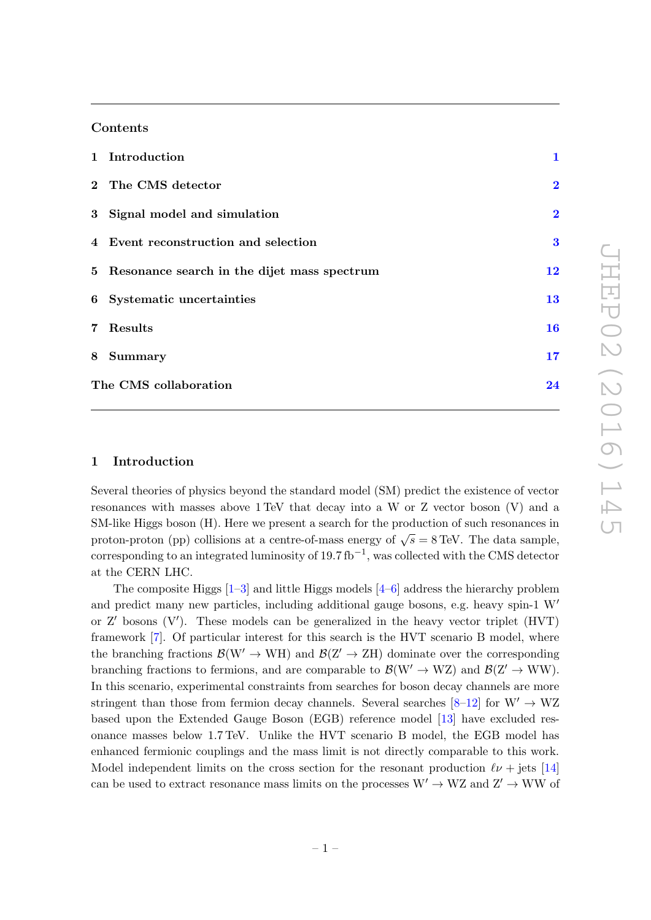### Contents

| 1 Introduction                                | $\mathbf{1}$            |
|-----------------------------------------------|-------------------------|
| 2 The CMS detector                            | $\overline{\mathbf{2}}$ |
| 3 Signal model and simulation                 | $\overline{\mathbf{2}}$ |
| 4 Event reconstruction and selection          | 3                       |
| 5 Resonance search in the dijet mass spectrum | 12                      |
| 6 Systematic uncertainties                    | 13                      |
| 7 Results                                     | 16                      |
| 8 Summary                                     | 17                      |
| The CMS collaboration                         | 24                      |

### <span id="page-1-0"></span>1 Introduction

Several theories of physics beyond the standard model (SM) predict the existence of vector resonances with masses above 1 TeV that decay into a W or Z vector boson (V) and a SM-like Higgs boson (H). Here we present a search for the production of such resonances in proton-proton (pp) collisions at a centre-of-mass energy of  $\sqrt{s} = 8$  TeV. The data sample, corresponding to an integrated luminosity of 19.7 fb<sup>-1</sup>, was collected with the CMS detector at the CERN LHC.

The composite Higgs  $[1-3]$  $[1-3]$  and little Higgs models  $[4-6]$  $[4-6]$  address the hierarchy problem and predict many new particles, including additional gauge bosons, e.g. heavy spin-1  $W'$ or  $Z'$  bosons  $(V')$ . These models can be generalized in the heavy vector triplet  $(HVT)$ framework [\[7\]](#page-20-4). Of particular interest for this search is the HVT scenario B model, where the branching fractions  $\mathcal{B}(W' \to WH)$  and  $\mathcal{B}(Z' \to ZH)$  dominate over the corresponding branching fractions to fermions, and are comparable to  $\mathcal{B}(W' \to WZ)$  and  $\mathcal{B}(Z' \to WW)$ . In this scenario, experimental constraints from searches for boson decay channels are more stringent than those from fermion decay channels. Several searches [\[8–](#page-20-5)[12\]](#page-20-6) for  $W' \rightarrow WZ$ based upon the Extended Gauge Boson (EGB) reference model [\[13\]](#page-20-7) have excluded resonance masses below 1.7 TeV. Unlike the HVT scenario B model, the EGB model has enhanced fermionic couplings and the mass limit is not directly comparable to this work. Model independent limits on the cross section for the resonant production  $\ell \nu + \text{jets}$  [\[14\]](#page-20-8) can be used to extract resonance mass limits on the processes  $W' \rightarrow WZ$  and  $Z' \rightarrow WW$  of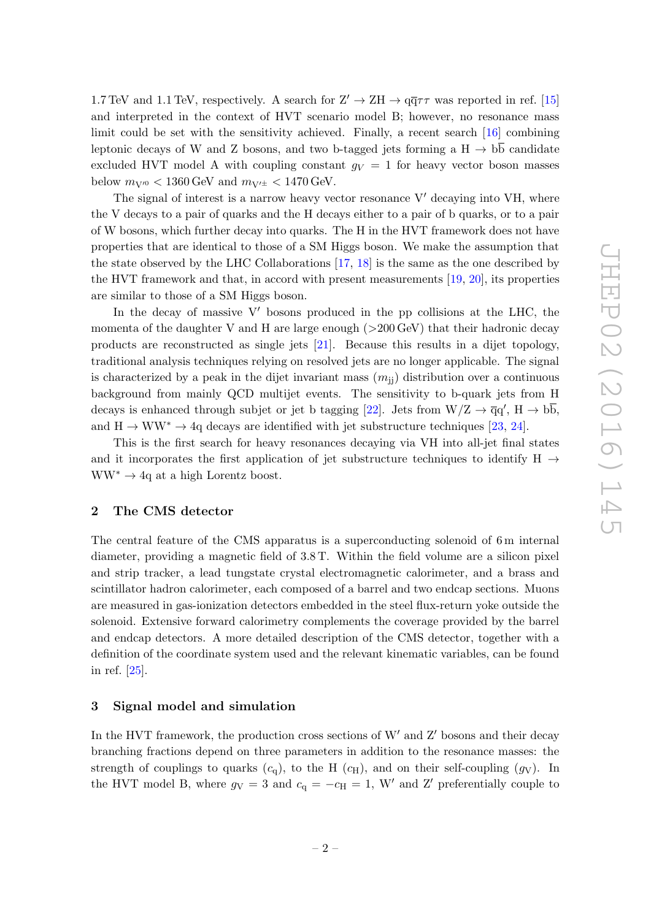1.7 TeV and 1.1 TeV, respectively. A search for  $Z' \rightarrow ZH \rightarrow q\bar{q}\tau\tau$  was reported in ref. [\[15\]](#page-20-9) and interpreted in the context of HVT scenario model B; however, no resonance mass limit could be set with the sensitivity achieved. Finally, a recent search [\[16\]](#page-20-10) combining leptonic decays of W and Z bosons, and two b-tagged jets forming a  $H \rightarrow b\overline{b}$  candidate excluded HVT model A with coupling constant  $g_V = 1$  for heavy vector boson masses below  $m_{V^{0}} < 1360 \,\text{GeV}$  and  $m_{V^{\prime\pm}} < 1470 \,\text{GeV}$ .

The signal of interest is a narrow heavy vector resonance  $V'$  decaying into VH, where the V decays to a pair of quarks and the H decays either to a pair of b quarks, or to a pair of W bosons, which further decay into quarks. The H in the HVT framework does not have properties that are identical to those of a SM Higgs boson. We make the assumption that the state observed by the LHC Collaborations [\[17,](#page-21-0) [18\]](#page-21-1) is the same as the one described by the HVT framework and that, in accord with present measurements [\[19,](#page-21-2) [20\]](#page-21-3), its properties are similar to those of a SM Higgs boson.

In the decay of massive  $V'$  bosons produced in the pp collisions at the LHC, the momenta of the daughter V and H are large enough  $(>200 \text{ GeV})$  that their hadronic decay products are reconstructed as single jets [\[21\]](#page-21-4). Because this results in a dijet topology, traditional analysis techniques relying on resolved jets are no longer applicable. The signal is characterized by a peak in the dijet invariant mass  $(m_{ii})$  distribution over a continuous background from mainly QCD multijet events. The sensitivity to b-quark jets from H decays is enhanced through subjet or jet b tagging [\[22\]](#page-21-5). Jets from  $W/Z \to \overline{q}q'$ ,  $H \to b\overline{b}$ , and  $H \to WW^* \to 4q$  decays are identified with jet substructure techniques [\[23,](#page-21-6) [24\]](#page-21-7).

This is the first search for heavy resonances decaying via VH into all-jet final states and it incorporates the first application of jet substructure techniques to identify H  $\rightarrow$  $WW^* \rightarrow 4q$  at a high Lorentz boost.

### <span id="page-2-0"></span>2 The CMS detector

The central feature of the CMS apparatus is a superconducting solenoid of 6 m internal diameter, providing a magnetic field of 3.8 T. Within the field volume are a silicon pixel and strip tracker, a lead tungstate crystal electromagnetic calorimeter, and a brass and scintillator hadron calorimeter, each composed of a barrel and two endcap sections. Muons are measured in gas-ionization detectors embedded in the steel flux-return yoke outside the solenoid. Extensive forward calorimetry complements the coverage provided by the barrel and endcap detectors. A more detailed description of the CMS detector, together with a definition of the coordinate system used and the relevant kinematic variables, can be found in ref. [\[25\]](#page-21-8).

### <span id="page-2-1"></span>3 Signal model and simulation

In the HVT framework, the production cross sections of  $W'$  and  $Z'$  bosons and their decay branching fractions depend on three parameters in addition to the resonance masses: the strength of couplings to quarks  $(c_q)$ , to the H  $(c_H)$ , and on their self-coupling  $(g_V)$ . In the HVT model B, where  $g_V = 3$  and  $c_q = -c_H = 1$ , W' and Z' preferentially couple to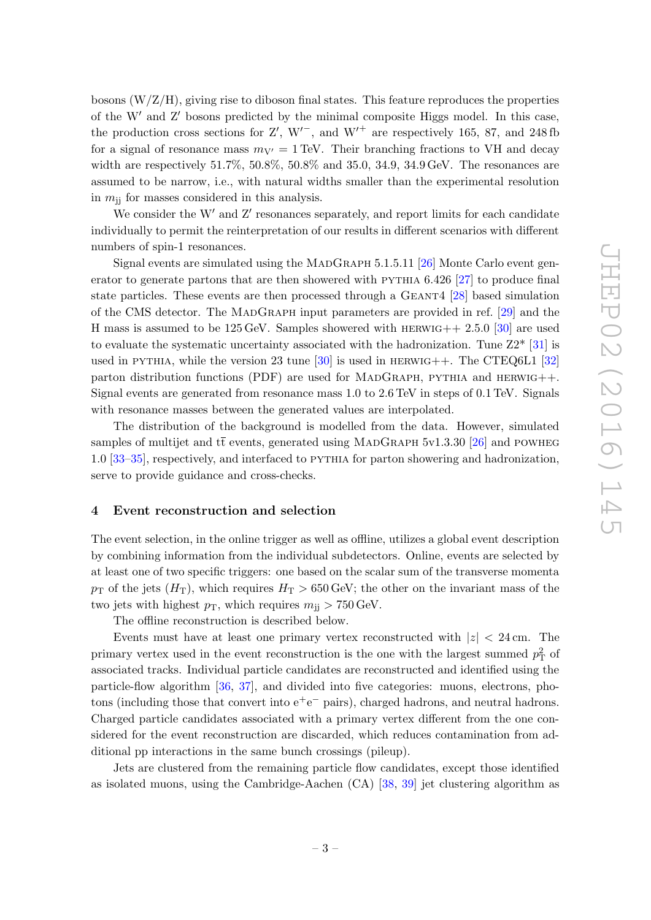bosons  $(W/Z/H)$ , giving rise to diboson final states. This feature reproduces the properties of the W' and  $Z'$  bosons predicted by the minimal composite Higgs model. In this case, the production cross sections for Z', W'<sup>-</sup>, and W'<sup>+</sup> are respectively 165, 87, and 248 fb for a signal of resonance mass  $m_{V'} = 1 \text{ TeV}$ . Their branching fractions to VH and decay width are respectively 51.7%, 50.8%, 50.8% and 35.0, 34.9, 34.9 GeV. The resonances are assumed to be narrow, i.e., with natural widths smaller than the experimental resolution in  $m_{ii}$  for masses considered in this analysis.

We consider the  $W'$  and  $Z'$  resonances separately, and report limits for each candidate individually to permit the reinterpretation of our results in different scenarios with different numbers of spin-1 resonances.

Signal events are simulated using the MADGRAPH  $5.1.5.11$  [\[26\]](#page-21-9) Monte Carlo event generator to generate partons that are then showered with PYTHIA  $6.426$  [\[27\]](#page-21-10) to produce final state particles. These events are then processed through a  $GEANT4$  [\[28\]](#page-21-11) based simulation of the CMS detector. The MadGraph input parameters are provided in ref. [\[29\]](#page-21-12) and the H mass is assumed to be  $125 \,\text{GeV}$ . Samples showered with HERWIG++ 2.5.0 [\[30\]](#page-21-13) are used to evaluate the systematic uncertainty associated with the hadronization. Tune  $Z2^*$  [\[31\]](#page-21-14) is used in PYTHIA, while the version 23 tune  $[30]$  is used in HERWIG++. The CTEQ6L1  $[32]$ parton distribution functions (PDF) are used for MADGRAPH, PYTHIA and HERWIG++. Signal events are generated from resonance mass 1.0 to 2.6 TeV in steps of 0.1 TeV. Signals with resonance masses between the generated values are interpolated.

The distribution of the background is modelled from the data. However, simulated samples of multijet and  $t\bar{t}$  events, generated using MADGRAPH 5v1.3.30 [\[26\]](#page-21-9) and POWHEG 1.0 [\[33–](#page-21-16)[35\]](#page-22-0), respectively, and interfaced to pythia for parton showering and hadronization, serve to provide guidance and cross-checks.

### <span id="page-3-0"></span>4 Event reconstruction and selection

The event selection, in the online trigger as well as offline, utilizes a global event description by combining information from the individual subdetectors. Online, events are selected by at least one of two specific triggers: one based on the scalar sum of the transverse momenta  $p_{\rm T}$  of the jets  $(H_{\rm T})$ , which requires  $H_{\rm T} > 650$  GeV; the other on the invariant mass of the two jets with highest  $p_T$ , which requires  $m_{ii} > 750 \,\text{GeV}$ .

The offline reconstruction is described below.

Events must have at least one primary vertex reconstructed with  $|z| < 24$  cm. The primary vertex used in the event reconstruction is the one with the largest summed  $p_T^2$  of associated tracks. Individual particle candidates are reconstructed and identified using the particle-flow algorithm [\[36,](#page-22-1) [37\]](#page-22-2), and divided into five categories: muons, electrons, photons (including those that convert into  $e^+e^-$  pairs), charged hadrons, and neutral hadrons. Charged particle candidates associated with a primary vertex different from the one considered for the event reconstruction are discarded, which reduces contamination from additional pp interactions in the same bunch crossings (pileup).

Jets are clustered from the remaining particle flow candidates, except those identified as isolated muons, using the Cambridge-Aachen (CA) [\[38,](#page-22-3) [39\]](#page-22-4) jet clustering algorithm as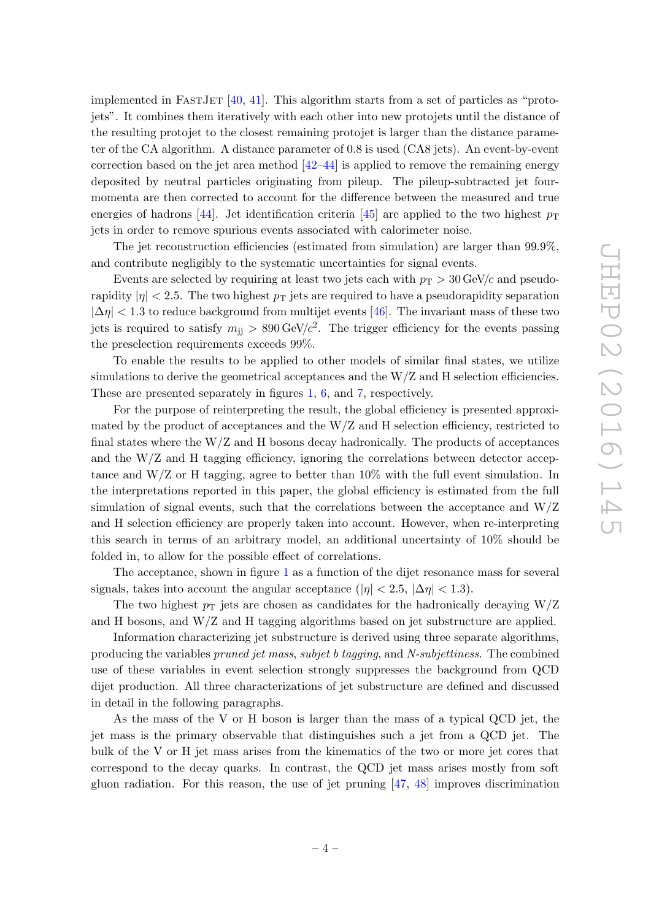implemented in FASTJET  $[40, 41]$  $[40, 41]$  $[40, 41]$ . This algorithm starts from a set of particles as "protojets". It combines them iteratively with each other into new protojets until the distance of the resulting protojet to the closest remaining protojet is larger than the distance parameter of the CA algorithm. A distance parameter of 0.8 is used (CA8 jets). An event-by-event correction based on the jet area method  $[42-44]$  $[42-44]$  is applied to remove the remaining energy deposited by neutral particles originating from pileup. The pileup-subtracted jet fourmomenta are then corrected to account for the difference between the measured and true energies of hadrons [\[44\]](#page-22-8). Jet identification criteria [\[45\]](#page-22-9) are applied to the two highest  $p_T$ jets in order to remove spurious events associated with calorimeter noise.

The jet reconstruction efficiencies (estimated from simulation) are larger than 99.9%. and contribute negligibly to the systematic uncertainties for signal events.

Events are selected by requiring at least two jets each with  $p_T > 30$  GeV/c and pseudorapidity  $|\eta| < 2.5$ . The two highest  $p<sub>T</sub>$  jets are required to have a pseudorapidity separation  $|\Delta \eta|$  < 1.3 to reduce background from multijet events [\[46\]](#page-22-10). The invariant mass of these two jets is required to satisfy  $m_{jj} > 890 \,\text{GeV}/c^2$ . The trigger efficiency for the events passing the preselection requirements exceeds 99%.

To enable the results to be applied to other models of similar final states, we utilize simulations to derive the geometrical acceptances and the  $W/Z$  and  $H$  selection efficiencies. These are presented separately in figures [1,](#page-5-0) [6,](#page-10-0) and [7,](#page-11-0) respectively.

For the purpose of reinterpreting the result, the global efficiency is presented approximated by the product of acceptances and the  $W/Z$  and  $H$  selection efficiency, restricted to final states where the W/Z and H bosons decay hadronically. The products of acceptances and the W/Z and H tagging efficiency, ignoring the correlations between detector acceptance and W/Z or H tagging, agree to better than 10% with the full event simulation. In the interpretations reported in this paper, the global efficiency is estimated from the full simulation of signal events, such that the correlations between the acceptance and  $W/Z$ and H selection efficiency are properly taken into account. However, when re-interpreting this search in terms of an arbitrary model, an additional uncertainty of 10% should be folded in, to allow for the possible effect of correlations.

The acceptance, shown in figure [1](#page-5-0) as a function of the dijet resonance mass for several signals, takes into account the angular acceptance ( $|\eta| < 2.5$ ,  $|\Delta \eta| < 1.3$ ).

The two highest  $p_{\text{T}}$  jets are chosen as candidates for the hadronically decaying W/Z and H bosons, and W/Z and H tagging algorithms based on jet substructure are applied.

Information characterizing jet substructure is derived using three separate algorithms, producing the variables pruned jet mass, subjet b tagging, and N-subjettiness. The combined use of these variables in event selection strongly suppresses the background from QCD dijet production. All three characterizations of jet substructure are defined and discussed in detail in the following paragraphs.

As the mass of the V or H boson is larger than the mass of a typical QCD jet, the jet mass is the primary observable that distinguishes such a jet from a QCD jet. The bulk of the V or H jet mass arises from the kinematics of the two or more jet cores that correspond to the decay quarks. In contrast, the QCD jet mass arises mostly from soft gluon radiation. For this reason, the use of jet pruning  $[47, 48]$  $[47, 48]$  $[47, 48]$  improves discrimination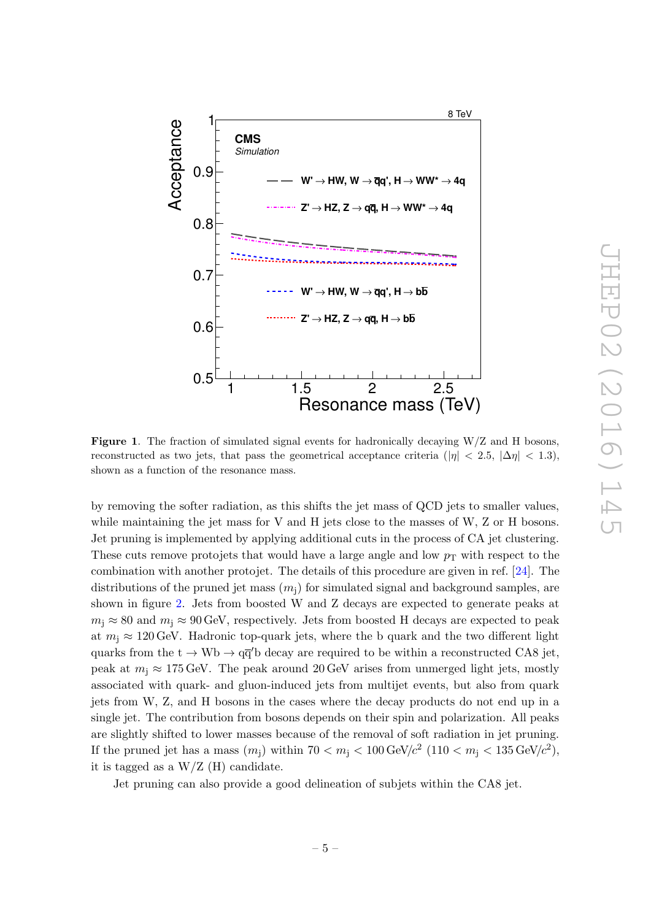

<span id="page-5-0"></span>Figure 1. The fraction of simulated signal events for hadronically decaying W/Z and H bosons, reconstructed as two jets, that pass the geometrical acceptance criteria ( $|\eta| < 2.5$ ,  $|\Delta \eta| < 1.3$ ), shown as a function of the resonance mass.

by removing the softer radiation, as this shifts the jet mass of QCD jets to smaller values, while maintaining the jet mass for V and H jets close to the masses of W, Z or H bosons. Jet pruning is implemented by applying additional cuts in the process of CA jet clustering. These cuts remove protojets that would have a large angle and low  $p<sub>T</sub>$  with respect to the combination with another protojet. The details of this procedure are given in ref. [\[24\]](#page-21-7). The distributions of the pruned jet mass  $(m<sub>i</sub>)$  for simulated signal and background samples, are shown in figure [2.](#page-6-0) Jets from boosted W and Z decays are expected to generate peaks at  $m_i \approx 80$  and  $m_i \approx 90$  GeV, respectively. Jets from boosted H decays are expected to peak at  $m_i \approx 120$  GeV. Hadronic top-quark jets, where the b quark and the two different light quarks from the  $t \to Wb \to q\bar{q}'b$  decay are required to be within a reconstructed CA8 jet, peak at  $m_i \approx 175 \text{ GeV}$ . The peak around 20 GeV arises from unmerged light jets, mostly associated with quark- and gluon-induced jets from multijet events, but also from quark jets from W, Z, and H bosons in the cases where the decay products do not end up in a single jet. The contribution from bosons depends on their spin and polarization. All peaks are slightly shifted to lower masses because of the removal of soft radiation in jet pruning. If the pruned jet has a mass  $(m_j)$  within  $70 < m_j < 100 \,\text{GeV}/c^2$   $(110 < m_j < 135 \,\text{GeV}/c^2)$ , it is tagged as a  $W/Z(H)$  candidate.

Jet pruning can also provide a good delineation of subjets within the CA8 jet.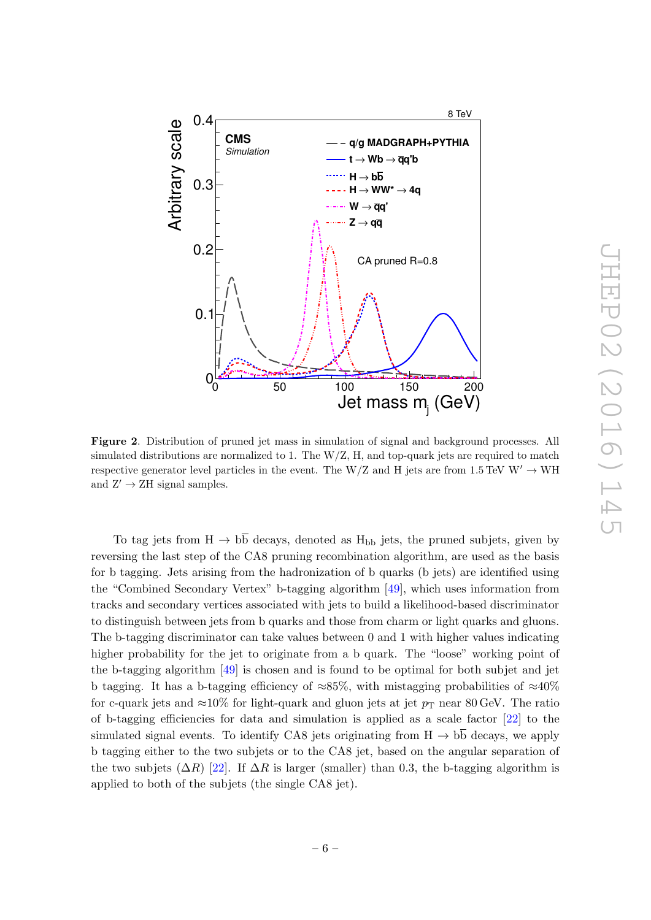..<br>U



<span id="page-6-0"></span>Figure 2. Distribution of pruned jet mass in simulation of signal and background processes. All simulated distributions are normalized to 1. The  $W/Z$ , H, and top-quark jets are required to match respective generator level particles in the event. The W/Z and H jets are from 1.5 TeV W'  $\rightarrow$  WH and  $Z' \rightarrow ZH$  signal samples.

To tag jets from  $H \to b\overline{b}$  decays, denoted as  $H_{bb}$  jets, the pruned subjets, given by reversing the last step of the CA8 pruning recombination algorithm, are used as the basis for b tagging. Jets arising from the hadronization of b quarks (b jets) are identified using the "Combined Secondary Vertex" b-tagging algorithm [\[49\]](#page-22-13), which uses information from tracks and secondary vertices associated with jets to build a likelihood-based discriminator to distinguish between jets from b quarks and those from charm or light quarks and gluons. The b-tagging discriminator can take values between 0 and 1 with higher values indicating higher probability for the jet to originate from a b quark. The "loose" working point of the b-tagging algorithm [\[49\]](#page-22-13) is chosen and is found to be optimal for both subjet and jet b tagging. It has a b-tagging efficiency of  $\approx 85\%$ , with mistagging probabilities of  $\approx 40\%$ for c-quark jets and ≈10% for light-quark and gluon jets at jet  $p<sub>T</sub>$  near 80 GeV. The ratio of b-tagging efficiencies for data and simulation is applied as a scale factor [\[22\]](#page-21-5) to the simulated signal events. To identify CA8 jets originating from  $H \rightarrow b\overline{b}$  decays, we apply b tagging either to the two subjets or to the CA8 jet, based on the angular separation of the two subjets  $(\Delta R)$  [\[22\]](#page-21-5). If  $\Delta R$  is larger (smaller) than 0.3, the b-tagging algorithm is applied to both of the subjets (the single CA8 jet).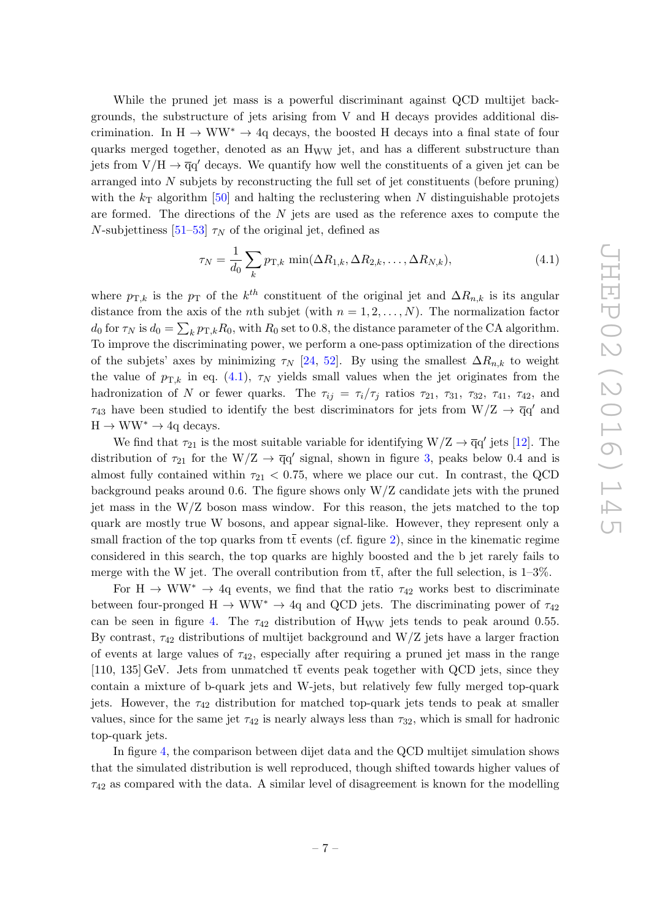While the pruned jet mass is a powerful discriminant against QCD multijet backgrounds, the substructure of jets arising from V and H decays provides additional discrimination. In  $H \to WW^* \to 4q$  decays, the boosted H decays into a final state of four quarks merged together, denoted as an  $H_{WW}$  jet, and has a different substructure than jets from  $V/H \rightarrow \bar{q}q'$  decays. We quantify how well the constituents of a given jet can be arranged into N subjets by reconstructing the full set of jet constituents (before pruning) with the  $k_T$  algorithm [\[50\]](#page-22-14) and halting the reclustering when N distinguishable protojets are formed. The directions of the  $N$  jets are used as the reference axes to compute the N-subjettiness [\[51–](#page-22-15)[53\]](#page-22-16)  $\tau_N$  of the original jet, defined as

<span id="page-7-0"></span>
$$
\tau_N = \frac{1}{d_0} \sum_k p_{\mathrm{T},k} \min(\Delta R_{1,k}, \Delta R_{2,k}, \dots, \Delta R_{N,k}),\tag{4.1}
$$

where  $p_{\text{T},k}$  is the  $p_{\text{T}}$  of the  $k^{th}$  constituent of the original jet and  $\Delta R_{n,k}$  is its angular distance from the axis of the *n*th subjet (with  $n = 1, 2, ..., N$ ). The normalization factor  $d_0$  for  $\tau_N$  is  $d_0 = \sum_k p_{\text{T},k} R_0$ , with  $R_0$  set to 0.8, the distance parameter of the CA algorithm. To improve the discriminating power, we perform a one-pass optimization of the directions of the subjets' axes by minimizing  $\tau_N$  [\[24,](#page-21-7) [52\]](#page-22-17). By using the smallest  $\Delta R_{n,k}$  to weight the value of  $p_{\text{T},k}$  in eq. [\(4.1\)](#page-7-0),  $\tau_N$  yields small values when the jet originates from the hadronization of N or fewer quarks. The  $\tau_{ij} = \tau_i/\tau_j$  ratios  $\tau_{21}$ ,  $\tau_{31}$ ,  $\tau_{32}$ ,  $\tau_{41}$ ,  $\tau_{42}$ , and  $\tau_{43}$  have been studied to identify the best discriminators for jets from  $W/Z \rightarrow \overline{q}q'$  and  $H \to WW^* \to 4q$  decays.

We find that  $\tau_{21}$  is the most suitable variable for identifying  $W/Z \rightarrow \overline{q}q'$  jets [\[12\]](#page-20-6). The distribution of  $\tau_{21}$  for the  $W/Z \rightarrow \bar{q}q'$  signal, shown in figure [3,](#page-8-0) peaks below 0.4 and is almost fully contained within  $\tau_{21}$  < 0.75, where we place our cut. In contrast, the QCD background peaks around 0.6. The figure shows only  $W/Z$  candidate jets with the pruned jet mass in the W/Z boson mass window. For this reason, the jets matched to the top quark are mostly true W bosons, and appear signal-like. However, they represent only a small fraction of the top quarks from  $t\bar{t}$  events (cf. figure [2\)](#page-6-0), since in the kinematic regime considered in this search, the top quarks are highly boosted and the b jet rarely fails to merge with the W jet. The overall contribution from  $t\bar{t}$ , after the full selection, is 1–3%.

For H  $\rightarrow$  WW<sup>\*</sup>  $\rightarrow$  4q events, we find that the ratio  $\tau_{42}$  works best to discriminate between four-pronged H  $\rightarrow$  WW<sup>\*</sup>  $\rightarrow$  4q and QCD jets. The discriminating power of  $\tau_{42}$ can be seen in figure [4.](#page-9-0) The  $\tau_{42}$  distribution of H<sub>WW</sub> jets tends to peak around 0.55. By contrast,  $\tau_{42}$  distributions of multijet background and W/Z jets have a larger fraction of events at large values of  $\tau_{42}$ , especially after requiring a pruned jet mass in the range [110, 135] GeV. Jets from unmatched  $t\bar{t}$  events peak together with QCD jets, since they contain a mixture of b-quark jets and W-jets, but relatively few fully merged top-quark jets. However, the  $\tau_{42}$  distribution for matched top-quark jets tends to peak at smaller values, since for the same jet  $\tau_{42}$  is nearly always less than  $\tau_{32}$ , which is small for hadronic top-quark jets.

In figure [4,](#page-9-0) the comparison between dijet data and the QCD multijet simulation shows that the simulated distribution is well reproduced, though shifted towards higher values of  $\tau_{42}$  as compared with the data. A similar level of disagreement is known for the modelling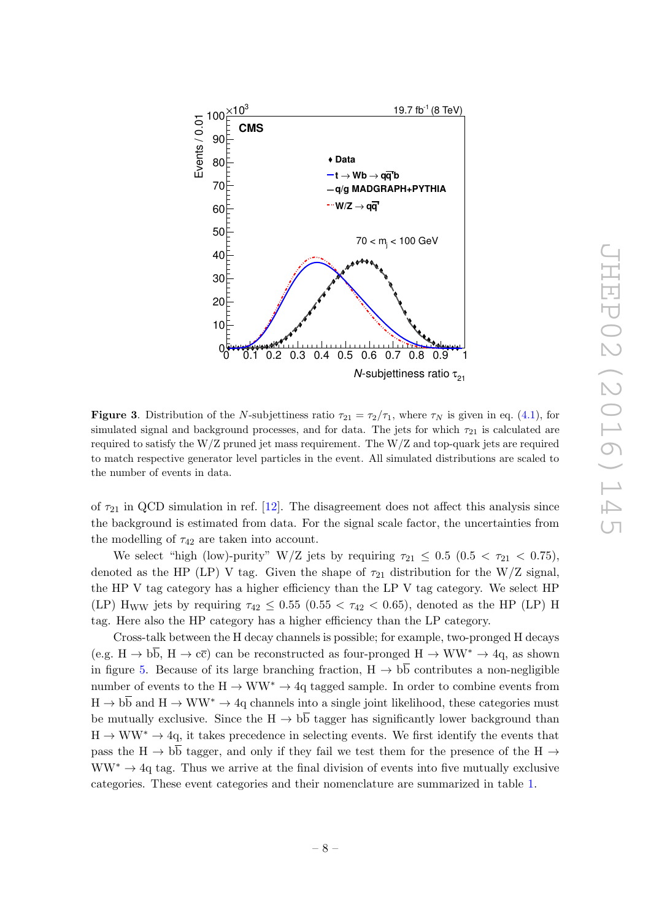

<span id="page-8-0"></span>**Figure 3.** Distribution of the N-subjettiness ratio  $\tau_{21} = \tau_2/\tau_1$ , where  $\tau_N$  is given in eq. [\(4.1\)](#page-7-0), for simulated signal and background processes, and for data. The jets for which  $\tau_{21}$  is calculated are required to satisfy the  $W/Z$  pruned jet mass requirement. The  $W/Z$  and top-quark jets are required to match respective generator level particles in the event. All simulated distributions are scaled to the number of events in data.

of  $\tau_{21}$  in QCD simulation in ref. [\[12\]](#page-20-6). The disagreement does not affect this analysis since the background is estimated from data. For the signal scale factor, the uncertainties from the modelling of  $\tau_{42}$  are taken into account.

We select "high (low)-purity" W/Z jets by requiring  $\tau_{21} \leq 0.5$  (0.5  $\tau_{21}$   $\lt$  0.75), denoted as the HP (LP) V tag. Given the shape of  $\tau_{21}$  distribution for the W/Z signal, the HP V tag category has a higher efficiency than the LP V tag category. We select HP (LP) H<sub>WW</sub> jets by requiring  $\tau_{42} \leq 0.55$  (0.55  $< \tau_{42} < 0.65$ ), denoted as the HP (LP) H tag. Here also the HP category has a higher efficiency than the LP category.

Cross-talk between the H decay channels is possible; for example, two-pronged H decays (e.g. H  $\rightarrow$  bb, H  $\rightarrow$  cc) can be reconstructed as four-pronged H  $\rightarrow$  WW<sup>\*</sup>  $\rightarrow$  4q, as shown in figure [5.](#page-10-1) Because of its large branching fraction,  $H \rightarrow b\overline{b}$  contributes a non-negligible number of events to the  $H \to WW^* \to 4q$  tagged sample. In order to combine events from  $H \to b\overline{b}$  and  $H \to WW^* \to 4q$  channels into a single joint likelihood, these categories must be mutually exclusive. Since the  $H \to b\overline{b}$  tagger has significantly lower background than  $H \to WW^* \to 4q$ , it takes precedence in selecting events. We first identify the events that pass the H  $\rightarrow$  bb tagger, and only if they fail we test them for the presence of the H  $\rightarrow$ WW<sup>∗</sup> → 4q tag. Thus we arrive at the final division of events into five mutually exclusive categories. These event categories and their nomenclature are summarized in table [1.](#page-9-1)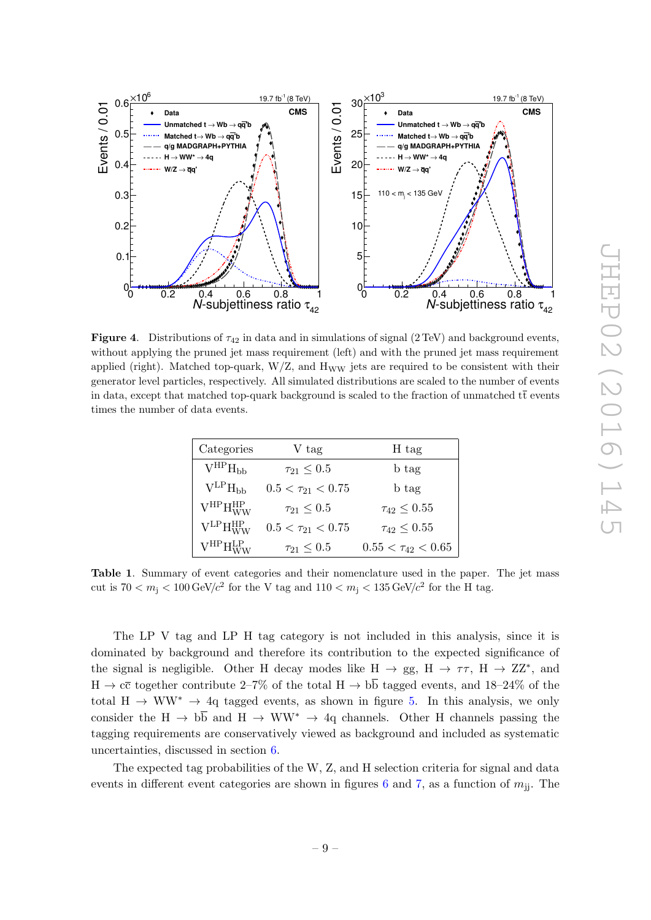

<span id="page-9-0"></span>**Figure 4.** Distributions of  $\tau_{42}$  in data and in simulations of signal (2 TeV) and background events, without applying the pruned jet mass requirement (left) and with the pruned jet mass requirement applied (right). Matched top-quark,  $W/Z$ , and  $H_{WW}$  jets are required to be consistent with their generator level particles, respectively. All simulated distributions are scaled to the number of events in data, except that matched top-quark background is scaled to the fraction of unmatched  $t\bar{t}$  events times the number of data events.

| Categories                       | V tag                    | H tag                     |
|----------------------------------|--------------------------|---------------------------|
| $\rm V^{HP}H_{bb}$               | $\tau_{21} \leq 0.5$     | b tag                     |
| $V^{LP}H_{bb}$                   | $0.5 < \tau_{21} < 0.75$ | b tag                     |
| $V^{\rm HP} H^{\rm HP}_{\rm WW}$ | $\tau_{21} \leq 0.5$     | $\tau_{42} \leq 0.55$     |
| $V^{LP} H_{WW}^{HP}$             | $0.5 < \tau_{21} < 0.75$ | $\tau_{42} \leq 0.55$     |
| $V^{\rm HP} H_{\rm WW}^{\rm LP}$ | $\tau_{21} \leq 0.5$     | $0.55 < \tau_{42} < 0.65$ |

<span id="page-9-1"></span>Table 1. Summary of event categories and their nomenclature used in the paper. The jet mass cut is  $70 < m<sub>j</sub> < 100 \,\text{GeV}/c<sup>2</sup>$  for the V tag and  $110 < m<sub>j</sub> < 135 \,\text{GeV}/c<sup>2</sup>$  for the H tag.

The LP V tag and LP H tag category is not included in this analysis, since it is dominated by background and therefore its contribution to the expected significance of the signal is negligible. Other H decay modes like  $H \rightarrow gg$ ,  $H \rightarrow \tau\tau$ ,  $H \rightarrow ZZ^*$ , and  $H \to c\bar{c}$  together contribute 2–7% of the total  $H \to b\bar{b}$  tagged events, and 18–24% of the total H  $\rightarrow$  WW<sup>\*</sup>  $\rightarrow$  4q tagged events, as shown in figure [5.](#page-10-1) In this analysis, we only consider the H  $\rightarrow$  bb and H  $\rightarrow$  WW<sup>\*</sup>  $\rightarrow$  4q channels. Other H channels passing the tagging requirements are conservatively viewed as background and included as systematic uncertainties, discussed in section [6.](#page-13-0)

The expected tag probabilities of the W, Z, and H selection criteria for signal and data events in different event categories are shown in figures [6](#page-10-0) and [7,](#page-11-0) as a function of  $m_{\rm ii}$ . The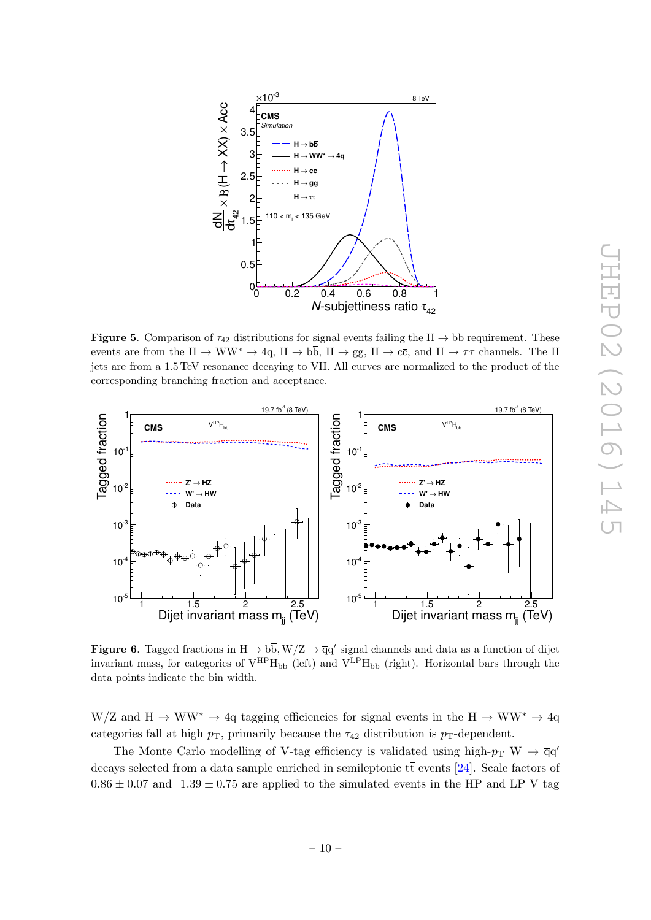

<span id="page-10-1"></span>**Figure 5.** Comparison of  $\tau_{42}$  distributions for signal events failing the H  $\rightarrow$  bb requirement. These events are from the H  $\rightarrow$  WW<sup>\*</sup>  $\rightarrow$  4q, H  $\rightarrow$  bb, H  $\rightarrow$  gg, H  $\rightarrow$  cc, and H  $\rightarrow$   $\tau\tau$  channels. The H jets are from a 1.5 TeV resonance decaying to VH. All curves are normalized to the product of the corresponding branching fraction and acceptance.



<span id="page-10-0"></span>**Figure 6.** Tagged fractions in  $H \to b\overline{b}$ ,  $W/Z \to \overline{q}q'$  signal channels and data as a function of dijet invariant mass, for categories of  $V^{HP}H_{bb}$  (left) and  $V^{LP}H_{bb}$  (right). Horizontal bars through the data points indicate the bin width.

W/Z and H  $\rightarrow$  WW<sup>\*</sup>  $\rightarrow$  4q tagging efficiencies for signal events in the H  $\rightarrow$  WW<sup>\*</sup>  $\rightarrow$  4q categories fall at high  $p<sub>T</sub>$ , primarily because the  $\tau_{42}$  distribution is  $p<sub>T</sub>$ -dependent.

The Monte Carlo modelling of V-tag efficiency is validated using high- $p_T W \rightarrow \overline{q}q'$ decays selected from a data sample enriched in semileptonic  $t\bar{t}$  events [\[24\]](#page-21-7). Scale factors of  $0.86 \pm 0.07$  and  $1.39 \pm 0.75$  are applied to the simulated events in the HP and LP V tag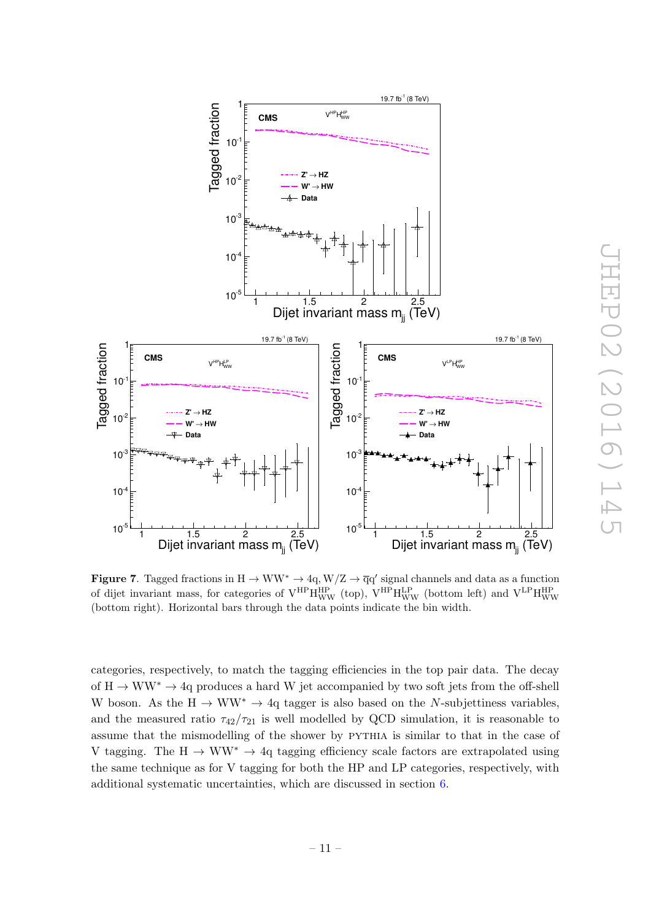

<span id="page-11-0"></span>Figure 7. Tagged fractions in  $H \to WW^* \to 4q$ ,  $W/Z \to \bar{q}q'$  signal channels and data as a function of dijet invariant mass, for categories of  $V^{HP}H^{HP}_{WW}$  (top),  $V^{HP}H^{LP}_{WW}$  (bottom left) and  $V^{LP}H^{HP}_{WW}$ (bottom right). Horizontal bars through the data points indicate the bin width.

categories, respectively, to match the tagging efficiencies in the top pair data. The decay of  $H \to WW^* \to 4q$  produces a hard W jet accompanied by two soft jets from the off-shell W boson. As the H  $\rightarrow$  WW<sup>\*</sup>  $\rightarrow$  4q tagger is also based on the N-subjettiness variables, and the measured ratio  $\tau_{42}/\tau_{21}$  is well modelled by QCD simulation, it is reasonable to assume that the mismodelling of the shower by pythia is similar to that in the case of V tagging. The  $H \to WW^* \to 4q$  tagging efficiency scale factors are extrapolated using the same technique as for V tagging for both the HP and LP categories, respectively, with additional systematic uncertainties, which are discussed in section [6.](#page-13-0)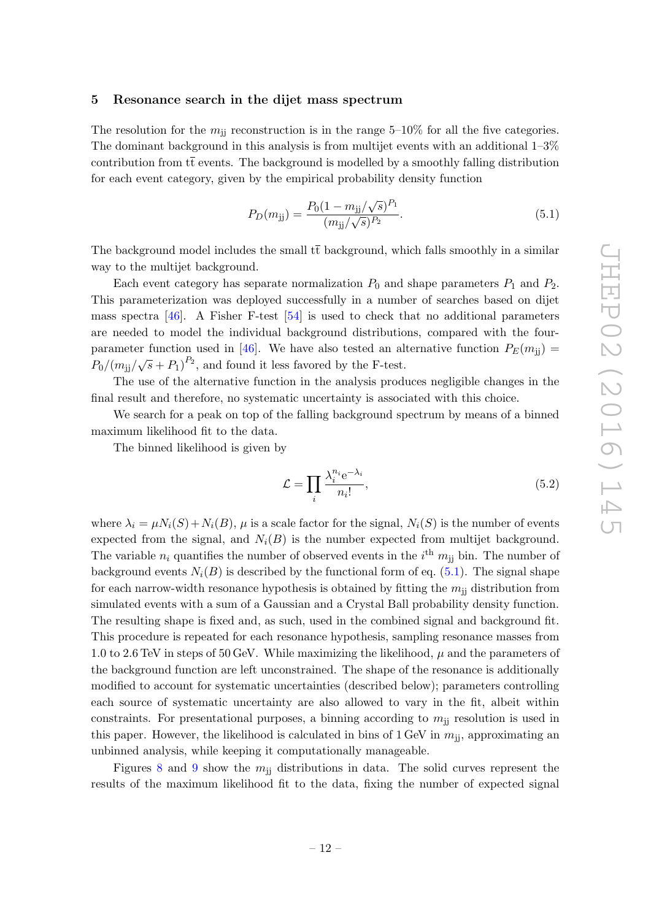### <span id="page-12-0"></span>5 Resonance search in the dijet mass spectrum

The resolution for the  $m_{ii}$  reconstruction is in the range 5–10% for all the five categories. The dominant background in this analysis is from multijet events with an additional 1–3% contribution from  $t\bar{t}$  events. The background is modelled by a smoothly falling distribution for each event category, given by the empirical probability density function

<span id="page-12-1"></span>
$$
P_D(m_{jj}) = \frac{P_0(1 - m_{jj}/\sqrt{s})^{P_1}}{(m_{jj}/\sqrt{s})^{P_2}}.
$$
\n(5.1)

The background model includes the small  $t\bar{t}$  background, which falls smoothly in a similar way to the multijet background.

Each event category has separate normalization  $P_0$  and shape parameters  $P_1$  and  $P_2$ . This parameterization was deployed successfully in a number of searches based on dijet mass spectra [\[46\]](#page-22-10). A Fisher F-test [\[54\]](#page-23-0) is used to check that no additional parameters are needed to model the individual background distributions, compared with the four-parameter function used in [\[46\]](#page-22-10). We have also tested an alternative function  $P_E(m_{jj}) =$  $P_0/(m_{ij}/\sqrt{s}+P_1)^{P_2}$ , and found it less favored by the F-test.

The use of the alternative function in the analysis produces negligible changes in the final result and therefore, no systematic uncertainty is associated with this choice.

We search for a peak on top of the falling background spectrum by means of a binned maximum likelihood fit to the data.

The binned likelihood is given by

$$
\mathcal{L} = \prod_{i} \frac{\lambda_i^{n_i} e^{-\lambda_i}}{n_i!},\tag{5.2}
$$

where  $\lambda_i = \mu N_i(S) + N_i(B)$ ,  $\mu$  is a scale factor for the signal,  $N_i(S)$  is the number of events expected from the signal, and  $N_i(B)$  is the number expected from multijet background. The variable  $n_i$  quantifies the number of observed events in the  $i^{\text{th}}$   $m_{jj}$  bin. The number of background events  $N_i(B)$  is described by the functional form of eq. [\(5.1\)](#page-12-1). The signal shape for each narrow-width resonance hypothesis is obtained by fitting the  $m_{ii}$  distribution from simulated events with a sum of a Gaussian and a Crystal Ball probability density function. The resulting shape is fixed and, as such, used in the combined signal and background fit. This procedure is repeated for each resonance hypothesis, sampling resonance masses from 1.0 to 2.6 TeV in steps of 50 GeV. While maximizing the likelihood,  $\mu$  and the parameters of the background function are left unconstrained. The shape of the resonance is additionally modified to account for systematic uncertainties (described below); parameters controlling each source of systematic uncertainty are also allowed to vary in the fit, albeit within constraints. For presentational purposes, a binning according to  $m_{ij}$  resolution is used in this paper. However, the likelihood is calculated in bins of  $1 \text{ GeV}$  in  $m_{\text{ii}}$ , approximating an unbinned analysis, while keeping it computationally manageable.

Figures [8](#page-13-1) and [9](#page-14-0) show the  $m_{ij}$  distributions in data. The solid curves represent the results of the maximum likelihood fit to the data, fixing the number of expected signal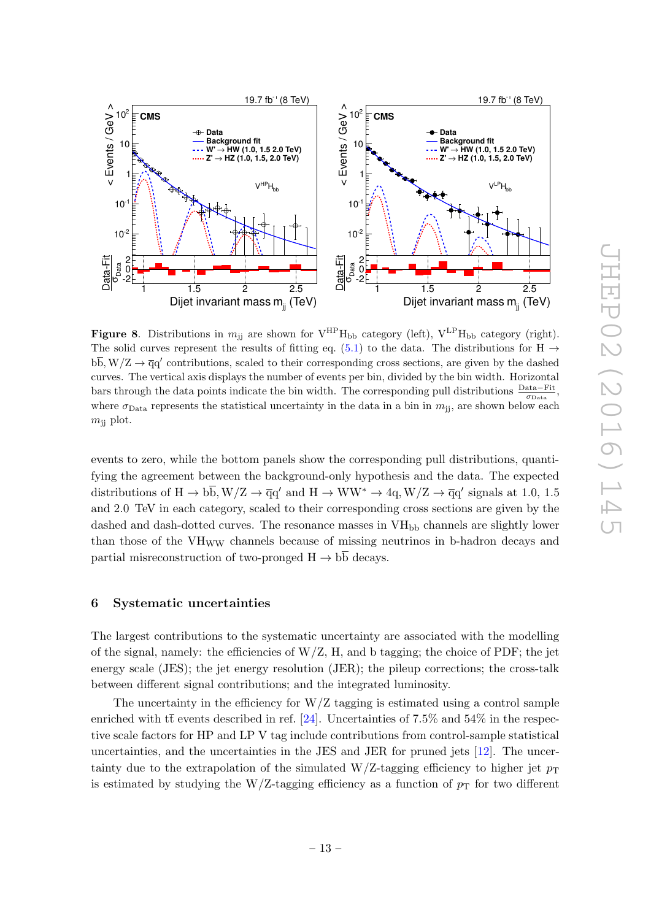

<span id="page-13-1"></span>Figure 8. Distributions in  $m_{ii}$  are shown for  $V^{HP}H_{bb}$  category (left),  $V^{LP}H_{bb}$  category (right). The solid curves represent the results of fitting eq. [\(5.1\)](#page-12-1) to the data. The distributions for H  $\rightarrow$  $b\overline{b}$ ,  $W/Z \rightarrow \overline{q}q'$  contributions, scaled to their corresponding cross sections, are given by the dashed curves. The vertical axis displays the number of events per bin, divided by the bin width. Horizontal bars through the data points indicate the bin width. The corresponding pull distributions  $\frac{\text{Data} - \text{Fit}}{\sigma_{\text{Data}}}$ , where  $\sigma_{\text{Data}}$  represents the statistical uncertainty in the data in a bin in  $m_{\text{ii}}$ , are shown below each  $m_{\rm ii}$  plot.

events to zero, while the bottom panels show the corresponding pull distributions, quantifying the agreement between the background-only hypothesis and the data. The expected distributions of  $H \to b\overline{b}$ ,  $W/Z \to \overline{q}q'$  and  $H \to WW^* \to 4q$ ,  $W/Z \to \overline{q}q'$  signals at 1.0, 1.5 and 2.0 TeV in each category, scaled to their corresponding cross sections are given by the dashed and dash-dotted curves. The resonance masses in  $V\mathrm{H}_{\mathrm{bb}}$  channels are slightly lower than those of the VH<sub>WW</sub> channels because of missing neutrinos in b-hadron decays and partial misreconstruction of two-pronged  $H \rightarrow b\overline{b}$  decays.

### <span id="page-13-0"></span>6 Systematic uncertainties

The largest contributions to the systematic uncertainty are associated with the modelling of the signal, namely: the efficiencies of  $W/Z$ , H, and b tagging; the choice of PDF; the jet energy scale (JES); the jet energy resolution (JER); the pileup corrections; the cross-talk between different signal contributions; and the integrated luminosity.

The uncertainty in the efficiency for  $W/Z$  tagging is estimated using a control sample enriched with  $t\bar{t}$  events described in ref. [\[24\]](#page-21-7). Uncertainties of 7.5% and 54% in the respective scale factors for HP and LP V tag include contributions from control-sample statistical uncertainties, and the uncertainties in the JES and JER for pruned jets [\[12\]](#page-20-6). The uncertainty due to the extrapolation of the simulated W/Z-tagging efficiency to higher jet  $p_T$ is estimated by studying the W/Z-tagging efficiency as a function of  $p<sub>T</sub>$  for two different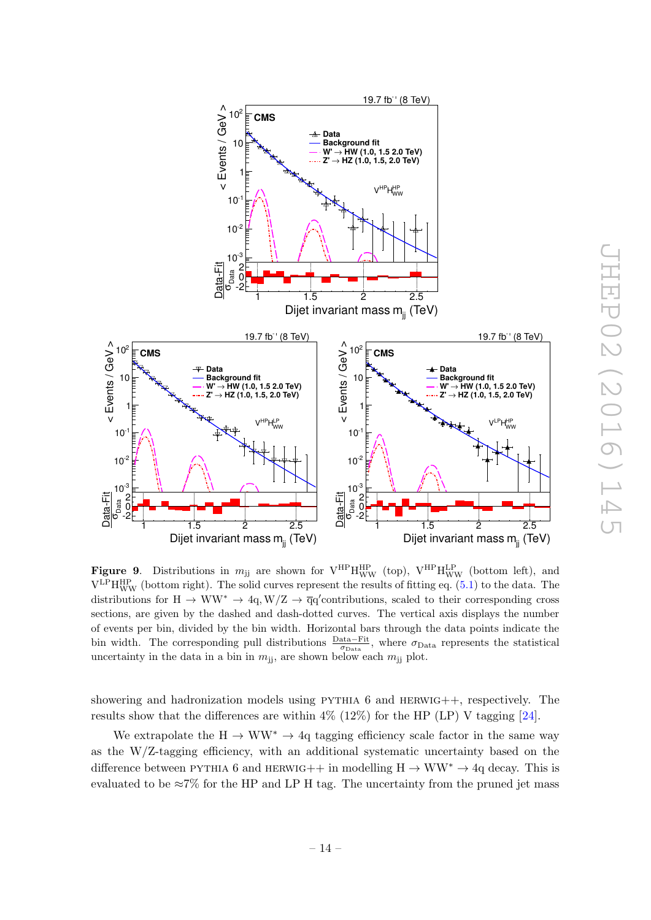

<span id="page-14-0"></span>**Figure 9.** Distributions in  $m_{jj}$  are shown for  $V^{HP}H^{HP}_{WW}$  (top),  $V^{HP}H^{LP}_{WW}$  (bottom left), and  $V^{\text{LP}}H^{\text{HP}}_{\text{WW}}$  (bottom right). The solid curves represent the results of fitting eq. [\(5.1\)](#page-12-1) to the data. The distributions for H  $\rightarrow$  WW<sup>\*</sup>  $\rightarrow$  4q, W/Z  $\rightarrow$  qq'contributions, scaled to their corresponding cross sections, are given by the dashed and dash-dotted curves. The vertical axis displays the number of events per bin, divided by the bin width. Horizontal bars through the data points indicate the bin width. The corresponding pull distributions  $\frac{\text{Data}-\text{Fit}}{\sigma_{\text{Data}}}$ , where  $\sigma_{\text{Data}}$  represents the statistical uncertainty in the data in a bin in  $m_{jj}$ , are shown below each  $m_{jj}$  plot.

showering and hadronization models using PYTHIA 6 and HERWIG++, respectively. The results show that the differences are within  $4\%$  (12%) for the HP (LP) V tagging [\[24\]](#page-21-7).

We extrapolate the  $H \to WW^* \to 4q$  tagging efficiency scale factor in the same way as the W/Z-tagging efficiency, with an additional systematic uncertainty based on the difference between PYTHIA 6 and HERWIG++ in modelling  $H \to WW^* \to 4q$  decay. This is evaluated to be  $\approx 7\%$  for the HP and LP H tag. The uncertainty from the pruned jet mass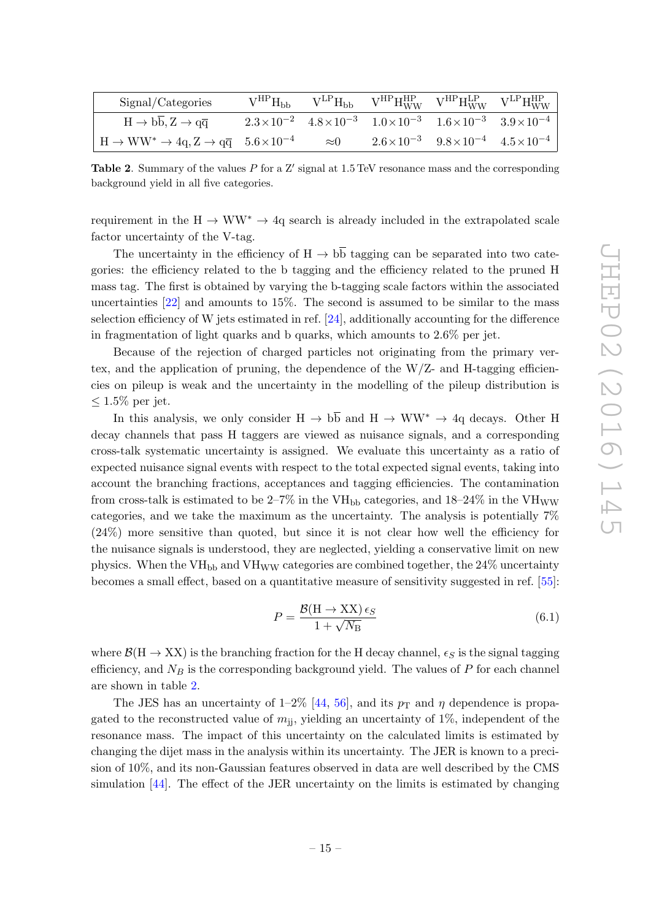| Signal/Categories                                                                         |              | $\label{eq:VHP} \text{V}^{\text{HP}}\text{H}_{\text{bb}} \qquad \text{V}^{\text{LP}}\text{H}_{\text{bb}} \qquad \text{V}^{\text{HP}}\text{H}_{\text{WW}}^{\text{HP}} \quad \text{V}^{\text{HP}}\text{H}_{\text{WW}}^{\text{LP}} \quad \text{V}^{\text{LP}}\text{H}_{\text{WW}}^{\text{HP}}$ |  |
|-------------------------------------------------------------------------------------------|--------------|---------------------------------------------------------------------------------------------------------------------------------------------------------------------------------------------------------------------------------------------------------------------------------------------|--|
| $H \rightarrow bb, Z \rightarrow q\overline{q}$                                           |              | $2.3 \times 10^{-2}$ $4.8 \times 10^{-3}$ $1.0 \times 10^{-3}$ $1.6 \times 10^{-3}$ $3.9 \times 10^{-4}$                                                                                                                                                                                    |  |
| $H \rightarrow WW^* \rightarrow 4q, Z \rightarrow q\overline{q} \quad 5.6 \times 10^{-4}$ | ${\approx}0$ | $2.6 \times 10^{-3}$ $9.8 \times 10^{-4}$ $4.5 \times 10^{-4}$                                                                                                                                                                                                                              |  |

<span id="page-15-0"></span>Table 2. Summary of the values  $P$  for a  $Z'$  signal at 1.5 TeV resonance mass and the corresponding background yield in all five categories.

requirement in the  $H \to WW^* \to 4q$  search is already included in the extrapolated scale factor uncertainty of the V-tag.

The uncertainty in the efficiency of  $H \rightarrow b\overline{b}$  tagging can be separated into two categories: the efficiency related to the b tagging and the efficiency related to the pruned H mass tag. The first is obtained by varying the b-tagging scale factors within the associated uncertainties [\[22\]](#page-21-5) and amounts to 15%. The second is assumed to be similar to the mass selection efficiency of W jets estimated in ref. [\[24\]](#page-21-7), additionally accounting for the difference in fragmentation of light quarks and b quarks, which amounts to 2.6% per jet.

Because of the rejection of charged particles not originating from the primary vertex, and the application of pruning, the dependence of the  $W/Z$ - and H-tagging efficiencies on pileup is weak and the uncertainty in the modelling of the pileup distribution is  $\leq 1.5\%$  per jet.

In this analysis, we only consider  $H \to b\overline{b}$  and  $H \to WW^* \to 4q$  decays. Other H decay channels that pass H taggers are viewed as nuisance signals, and a corresponding cross-talk systematic uncertainty is assigned. We evaluate this uncertainty as a ratio of expected nuisance signal events with respect to the total expected signal events, taking into account the branching fractions, acceptances and tagging efficiencies. The contamination from cross-talk is estimated to be  $2-7\%$  in the VH<sub>bb</sub> categories, and  $18-24\%$  in the VH<sub>WW</sub> categories, and we take the maximum as the uncertainty. The analysis is potentially 7% (24%) more sensitive than quoted, but since it is not clear how well the efficiency for the nuisance signals is understood, they are neglected, yielding a conservative limit on new physics. When the  $VH_{bb}$  and  $VH_{WW}$  categories are combined together, the 24% uncertainty becomes a small effect, based on a quantitative measure of sensitivity suggested in ref. [\[55\]](#page-23-1):

$$
P = \frac{\mathcal{B}(\text{H} \to \text{XX}) \,\epsilon_{S}}{1 + \sqrt{N_{\text{B}}}}
$$
\n
$$
\tag{6.1}
$$

where  $\mathcal{B}(H \to XX)$  is the branching fraction for the H decay channel,  $\epsilon_S$  is the signal tagging efficiency, and  $N_B$  is the corresponding background yield. The values of  $P$  for each channel are shown in table [2.](#page-15-0)

The JES has an uncertainty of 1–2% [\[44,](#page-22-8) [56\]](#page-23-2), and its  $p_T$  and  $\eta$  dependence is propagated to the reconstructed value of  $m_{\rm ii}$ , yielding an uncertainty of 1%, independent of the resonance mass. The impact of this uncertainty on the calculated limits is estimated by changing the dijet mass in the analysis within its uncertainty. The JER is known to a precision of 10%, and its non-Gaussian features observed in data are well described by the CMS simulation [\[44\]](#page-22-8). The effect of the JER uncertainty on the limits is estimated by changing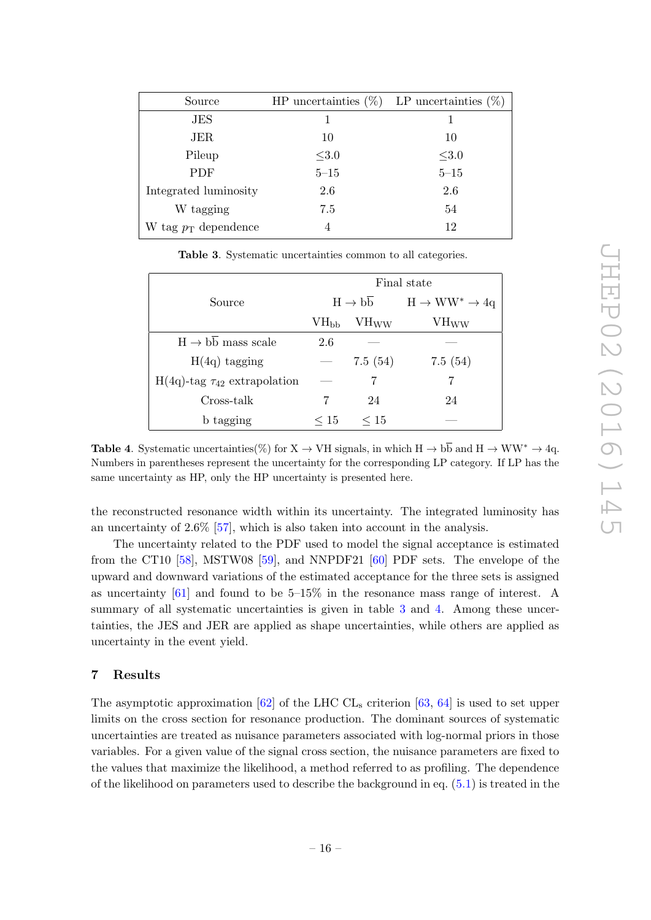| Source                 | HP uncertainties $(\%)$ LP uncertainties $(\%)$ |            |
|------------------------|-------------------------------------------------|------------|
| <b>JES</b>             | 1                                               |            |
| JER                    | 10                                              | 10         |
| Pileup                 | $\leq 3.0$                                      | $\leq 3.0$ |
| <b>PDF</b>             | $5\hbox{--}15$                                  | $5 - 15$   |
| Integrated luminosity  | 2.6                                             | 2.6        |
| W tagging              | 7.5                                             | 54         |
| W tag $p_T$ dependence | 4                                               | 12         |

<span id="page-16-1"></span>Table 3. Systematic uncertainties common to all categories.

|                                        | Final state                   |                  |                     |  |
|----------------------------------------|-------------------------------|------------------|---------------------|--|
| Source                                 | $H \rightarrow b\overline{b}$ |                  | $H \to WW^* \to 4q$ |  |
|                                        | $\rm VH_{\rm bb}$             | VH <sub>ww</sub> | VH <sub>WW</sub>    |  |
| $H \rightarrow bb$ mass scale          | 2.6                           |                  |                     |  |
| $H(4q)$ tagging                        |                               | 7.5(54)          | 7.5(54)             |  |
| $H(4q)$ -tag $\tau_{42}$ extrapolation |                               |                  |                     |  |
| Cross-talk                             |                               | 24               | 24                  |  |
| b tagging                              | $\leq 15$                     | $\leq 15$        |                     |  |

<span id="page-16-2"></span>**Table 4.** Systematic uncertainties(%) for  $X \to VH$  signals, in which  $H \to b\overline{b}$  and  $H \to WW^* \to 4q$ . Numbers in parentheses represent the uncertainty for the corresponding LP category. If LP has the same uncertainty as HP, only the HP uncertainty is presented here.

the reconstructed resonance width within its uncertainty. The integrated luminosity has an uncertainty of 2.6% [\[57\]](#page-23-3), which is also taken into account in the analysis.

The uncertainty related to the PDF used to model the signal acceptance is estimated from the CT10 [\[58\]](#page-23-4), MSTW08 [\[59\]](#page-23-5), and NNPDF21 [\[60\]](#page-23-6) PDF sets. The envelope of the upward and downward variations of the estimated acceptance for the three sets is assigned as uncertainty [\[61\]](#page-23-7) and found to be 5–15% in the resonance mass range of interest. A summary of all systematic uncertainties is given in table [3](#page-16-1) and [4.](#page-16-2) Among these uncertainties, the JES and JER are applied as shape uncertainties, while others are applied as uncertainty in the event yield.

## <span id="page-16-0"></span>7 Results

The asymptotic approximation [\[62\]](#page-23-8) of the LHC  $CL<sub>s</sub>$  criterion [\[63,](#page-23-9) [64\]](#page-23-10) is used to set upper limits on the cross section for resonance production. The dominant sources of systematic uncertainties are treated as nuisance parameters associated with log-normal priors in those variables. For a given value of the signal cross section, the nuisance parameters are fixed to the values that maximize the likelihood, a method referred to as profiling. The dependence of the likelihood on parameters used to describe the background in eq.  $(5.1)$  is treated in the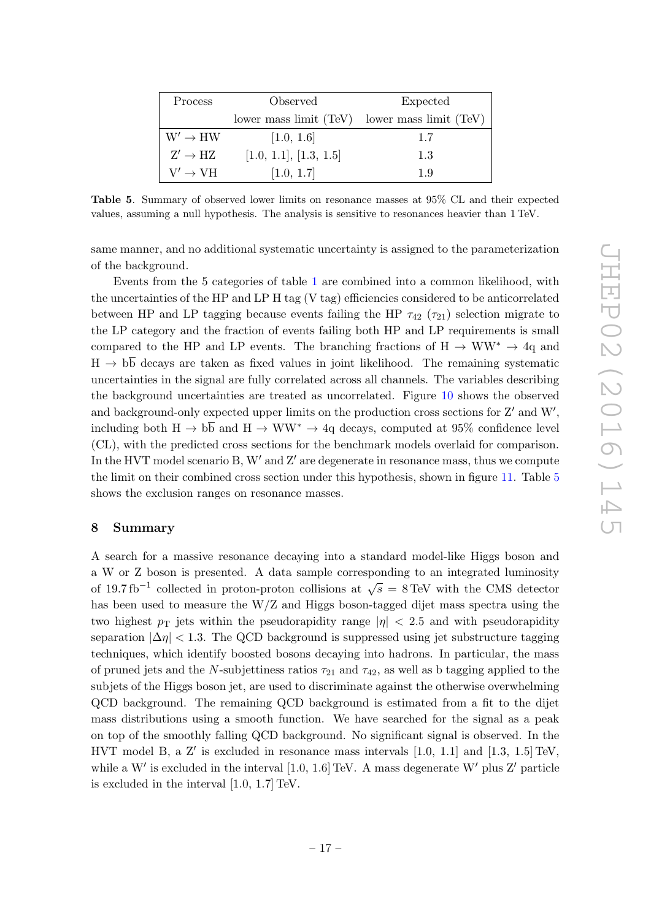| Process             | Observed               | Expected                                          |  |  |
|---------------------|------------------------|---------------------------------------------------|--|--|
|                     |                        | lower mass limit $(TeV)$ lower mass limit $(TeV)$ |  |  |
| $W' \rightarrow HW$ | [1.0, 1.6]             | 1.7                                               |  |  |
| $Z' \rightarrow HZ$ | [1.0, 1.1], [1.3, 1.5] | 1.3                                               |  |  |
| $V' \rightarrow VH$ | [1.0, 1.7]             | 1.9                                               |  |  |

<span id="page-17-1"></span>Table 5. Summary of observed lower limits on resonance masses at 95% CL and their expected values, assuming a null hypothesis. The analysis is sensitive to resonances heavier than 1 TeV.

same manner, and no additional systematic uncertainty is assigned to the parameterization of the background.

Events from the 5 categories of table [1](#page-9-1) are combined into a common likelihood, with the uncertainties of the HP and LP H tag (V tag) efficiencies considered to be anticorrelated between HP and LP tagging because events failing the HP  $\tau_{42}$  ( $\tau_{21}$ ) selection migrate to the LP category and the fraction of events failing both HP and LP requirements is small compared to the HP and LP events. The branching fractions of  $H \to WW^* \to 4q$  and  $H \rightarrow b\overline{b}$  decays are taken as fixed values in joint likelihood. The remaining systematic uncertainties in the signal are fully correlated across all channels. The variables describing the background uncertainties are treated as uncorrelated. Figure [10](#page-18-0) shows the observed and background-only expected upper limits on the production cross sections for  $Z'$  and  $W'$ , including both  $H \to b\overline{b}$  and  $H \to WW^* \to 4q$  decays, computed at 95% confidence level (CL), with the predicted cross sections for the benchmark models overlaid for comparison. In the HVT model scenario B,  $W'$  and  $Z'$  are degenerate in resonance mass, thus we compute the limit on their combined cross section under this hypothesis, shown in figure [11.](#page-18-1) Table [5](#page-17-1) shows the exclusion ranges on resonance masses.

#### <span id="page-17-0"></span>8 Summary

A search for a massive resonance decaying into a standard model-like Higgs boson and a W or Z boson is presented. A data sample corresponding to an integrated luminosity of 19.7 fb<sup>-1</sup> collected in proton-proton collisions at  $\sqrt{s}$  = 8 TeV with the CMS detector has been used to measure the W/Z and Higgs boson-tagged dijet mass spectra using the two highest  $p_T$  jets within the pseudorapidity range  $|\eta| < 2.5$  and with pseudorapidity separation  $|\Delta \eta|$  < 1.3. The QCD background is suppressed using jet substructure tagging techniques, which identify boosted bosons decaying into hadrons. In particular, the mass of pruned jets and the N-subjettiness ratios  $\tau_{21}$  and  $\tau_{42}$ , as well as b tagging applied to the subjets of the Higgs boson jet, are used to discriminate against the otherwise overwhelming QCD background. The remaining QCD background is estimated from a fit to the dijet mass distributions using a smooth function. We have searched for the signal as a peak on top of the smoothly falling QCD background. No significant signal is observed. In the HVT model B, a  $Z'$  is excluded in resonance mass intervals [1.0, 1.1] and [1.3, 1.5] TeV, while a W' is excluded in the interval  $[1.0, 1.6]$  TeV. A mass degenerate W' plus Z' particle is excluded in the interval [1.0, 1.7] TeV.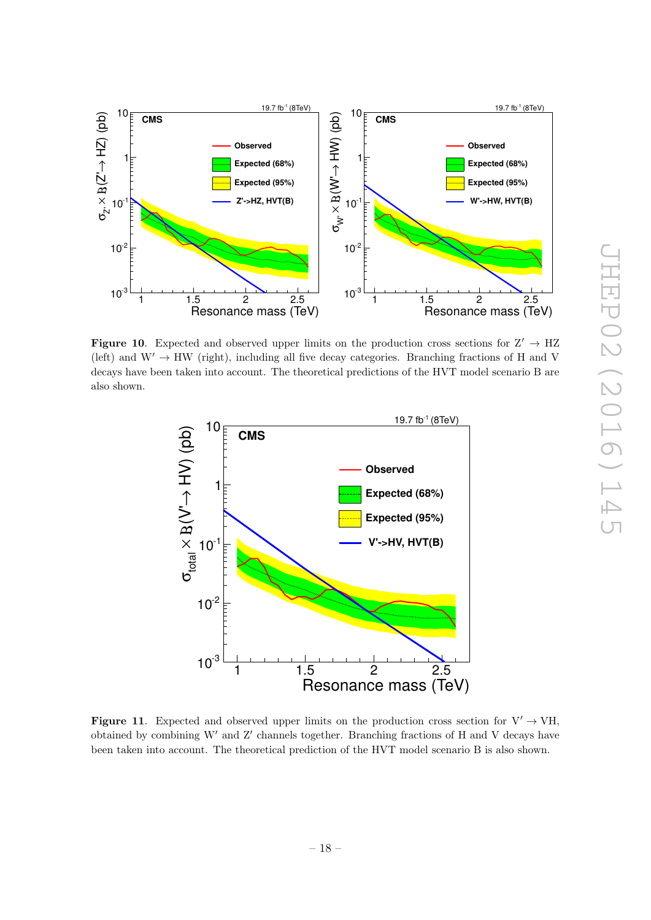

<span id="page-18-0"></span>**Figure 10.** Expected and observed upper limits on the production cross sections for  $Z' \rightarrow HZ$ (left) and  $W' \rightarrow HW$  (right), including all five decay categories. Branching fractions of H and V decays have been taken into account. The theoretical predictions of the HVT model scenario B are also shown.



<span id="page-18-1"></span>**Figure 11.** Expected and observed upper limits on the production cross section for  $V' \rightarrow VH$ , obtained by combining  $W'$  and  $Z'$  channels together. Branching fractions of H and V decays have been taken into account. The theoretical prediction of the HVT model scenario B is also shown.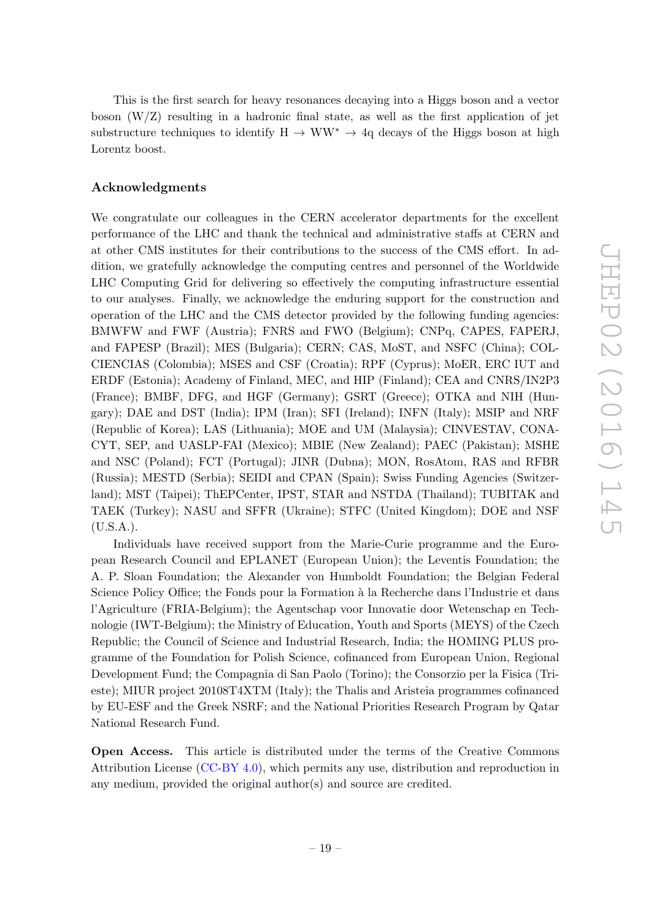This is the first search for heavy resonances decaying into a Higgs boson and a vector boson  $(W/Z)$  resulting in a hadronic final state, as well as the first application of jet substructure techniques to identify  $H \to WW^* \to 4q$  decays of the Higgs boson at high Lorentz boost.

### Acknowledgments

We congratulate our colleagues in the CERN accelerator departments for the excellent performance of the LHC and thank the technical and administrative staffs at CERN and at other CMS institutes for their contributions to the success of the CMS effort. In addition, we gratefully acknowledge the computing centres and personnel of the Worldwide LHC Computing Grid for delivering so effectively the computing infrastructure essential to our analyses. Finally, we acknowledge the enduring support for the construction and operation of the LHC and the CMS detector provided by the following funding agencies: BMWFW and FWF (Austria); FNRS and FWO (Belgium); CNPq, CAPES, FAPERJ, and FAPESP (Brazil); MES (Bulgaria); CERN; CAS, MoST, and NSFC (China); COL-CIENCIAS (Colombia); MSES and CSF (Croatia); RPF (Cyprus); MoER, ERC IUT and ERDF (Estonia); Academy of Finland, MEC, and HIP (Finland); CEA and CNRS/IN2P3 (France); BMBF, DFG, and HGF (Germany); GSRT (Greece); OTKA and NIH (Hungary); DAE and DST (India); IPM (Iran); SFI (Ireland); INFN (Italy); MSIP and NRF (Republic of Korea); LAS (Lithuania); MOE and UM (Malaysia); CINVESTAV, CONA-CYT, SEP, and UASLP-FAI (Mexico); MBIE (New Zealand); PAEC (Pakistan); MSHE and NSC (Poland); FCT (Portugal); JINR (Dubna); MON, RosAtom, RAS and RFBR (Russia); MESTD (Serbia); SEIDI and CPAN (Spain); Swiss Funding Agencies (Switzerland); MST (Taipei); ThEPCenter, IPST, STAR and NSTDA (Thailand); TUBITAK and TAEK (Turkey); NASU and SFFR (Ukraine); STFC (United Kingdom); DOE and NSF (U.S.A.).

Individuals have received support from the Marie-Curie programme and the European Research Council and EPLANET (European Union); the Leventis Foundation; the A. P. Sloan Foundation; the Alexander von Humboldt Foundation; the Belgian Federal Science Policy Office; the Fonds pour la Formation à la Recherche dans l'Industrie et dans l'Agriculture (FRIA-Belgium); the Agentschap voor Innovatie door Wetenschap en Technologie (IWT-Belgium); the Ministry of Education, Youth and Sports (MEYS) of the Czech Republic; the Council of Science and Industrial Research, India; the HOMING PLUS programme of the Foundation for Polish Science, cofinanced from European Union, Regional Development Fund; the Compagnia di San Paolo (Torino); the Consorzio per la Fisica (Trieste); MIUR project 20108T4XTM (Italy); the Thalis and Aristeia programmes cofinanced by EU-ESF and the Greek NSRF; and the National Priorities Research Program by Qatar National Research Fund.

Open Access. This article is distributed under the terms of the Creative Commons Attribution License [\(CC-BY 4.0\)](http://creativecommons.org/licenses/by/4.0/), which permits any use, distribution and reproduction in any medium, provided the original author(s) and source are credited.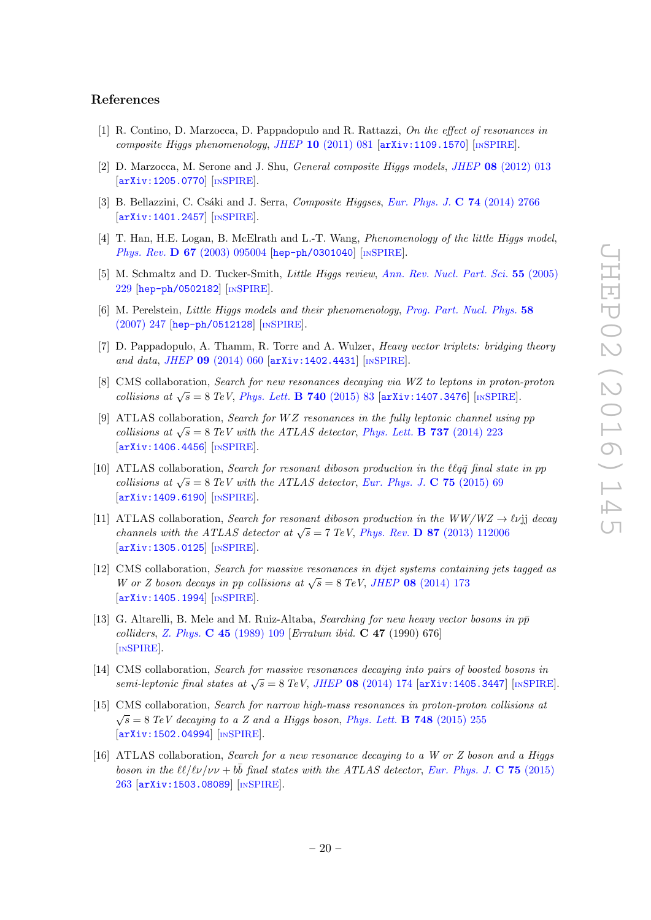### References

- <span id="page-20-0"></span>[1] R. Contino, D. Marzocca, D. Pappadopulo and R. Rattazzi, On the effect of resonances in composite Higgs phenomenology, JHEP 10  $(2011)$  081  $\left[$ [arXiv:1109.1570](http://arxiv.org/abs/1109.1570) $\right]$   $\left[$ In[SPIRE](http://inspirehep.net/search?p=find+EPRINT+arXiv:1109.1570) $\right]$ .
- [2] D. Marzocca, M. Serone and J. Shu, General composite Higgs models, JHEP 08 [\(2012\) 013](http://dx.doi.org/10.1007/JHEP08(2012)013) [[arXiv:1205.0770](http://arxiv.org/abs/1205.0770)] [IN[SPIRE](http://inspirehep.net/search?p=find+EPRINT+arXiv:1205.0770)].
- <span id="page-20-1"></span>[3] B. Bellazzini, C. Csáki and J. Serra, *Composite Higgses, [Eur. Phys. J.](http://dx.doi.org/10.1140/epjc/s10052-014-2766-x)* C 74 (2014) 2766 [[arXiv:1401.2457](http://arxiv.org/abs/1401.2457)] [IN[SPIRE](http://inspirehep.net/search?p=find+EPRINT+arXiv:1401.2457)].
- <span id="page-20-2"></span>[4] T. Han, H.E. Logan, B. McElrath and L.-T. Wang, *Phenomenology of the little Higgs model*, Phys. Rev. **D 67** [\(2003\) 095004](http://dx.doi.org/10.1103/PhysRevD.67.095004) [[hep-ph/0301040](http://arxiv.org/abs/hep-ph/0301040)] [IN[SPIRE](http://inspirehep.net/search?p=find+EPRINT+hep-ph/0301040)].
- [5] M. Schmaltz and D. Tucker-Smith, Little Higgs review, [Ann. Rev. Nucl. Part. Sci.](http://dx.doi.org/10.1146/annurev.nucl.55.090704.151502) 55 (2005) [229](http://dx.doi.org/10.1146/annurev.nucl.55.090704.151502) [[hep-ph/0502182](http://arxiv.org/abs/hep-ph/0502182)] [IN[SPIRE](http://inspirehep.net/search?p=find+EPRINT+hep-ph/0502182)].
- <span id="page-20-3"></span>[6] M. Perelstein, Little Higgs models and their phenomenology, [Prog. Part. Nucl. Phys.](http://dx.doi.org/10.1016/j.ppnp.2006.04.001) 58 [\(2007\) 247](http://dx.doi.org/10.1016/j.ppnp.2006.04.001) [[hep-ph/0512128](http://arxiv.org/abs/hep-ph/0512128)] [IN[SPIRE](http://inspirehep.net/search?p=find+EPRINT+hep-ph/0512128)].
- <span id="page-20-4"></span>[7] D. Pappadopulo, A. Thamm, R. Torre and A. Wulzer, *Heavy vector triplets: bridging theory* and data, JHEP 09 [\(2014\) 060](http://dx.doi.org/10.1007/JHEP09(2014)060) [[arXiv:1402.4431](http://arxiv.org/abs/1402.4431)] [IN[SPIRE](http://inspirehep.net/search?p=find+EPRINT+arXiv:1402.4431)].
- <span id="page-20-5"></span>[8] CMS collaboration, Search for new resonances decaying via WZ to leptons in proton-proton collisions at  $\sqrt{s} = 8$  TeV, [Phys. Lett.](http://dx.doi.org/10.1016/j.physletb.2014.11.026) **B** 740 (2015) 83 [[arXiv:1407.3476](http://arxiv.org/abs/1407.3476)] [IN[SPIRE](http://inspirehep.net/search?p=find+EPRINT+arXiv:1407.3476)].
- [9] ATLAS collaboration, Search for WZ resonances in the fully leptonic channel using pp collisions at  $\sqrt{s} = 8$  TeV with the ATLAS detector, [Phys. Lett.](http://dx.doi.org/10.1016/j.physletb.2014.08.039) **B 737** (2014) 223 [[arXiv:1406.4456](http://arxiv.org/abs/1406.4456)] [IN[SPIRE](http://inspirehep.net/search?p=find+EPRINT+arXiv:1406.4456)].
- [10] ATLAS collaboration, Search for resonant diboson production in the  $\ell \ell q \bar{q}$  final state in pp collisions at  $\sqrt{s} = 8$  TeV with the ATLAS detector, [Eur. Phys. J.](http://dx.doi.org/10.1140/epjc/s10052-015-3261-8) C 75 (2015) 69 [[arXiv:1409.6190](http://arxiv.org/abs/1409.6190)] [IN[SPIRE](http://inspirehep.net/search?p=find+EPRINT+arXiv:1409.6190)].
- [11] ATLAS collaboration, Search for resonant diboson production in the WW/WZ  $\rightarrow \ell \nu$  ij decay channels with the ATLAS detector at  $\sqrt{s} = 7 \text{ TeV}$ , Phys. Rev. **D 87** [\(2013\) 112006](http://dx.doi.org/10.1103/PhysRevD.87.112006) [[arXiv:1305.0125](http://arxiv.org/abs/1305.0125)] [IN[SPIRE](http://inspirehep.net/search?p=find+EPRINT+arXiv:1305.0125)].
- <span id="page-20-6"></span>[12] CMS collaboration, Search for massive resonances in dijet systems containing jets tagged as W or Z boson decays in pp collisions at  $\sqrt{s} = 8 \text{ TeV}$ , JHEP 08 [\(2014\) 173](http://dx.doi.org/10.1007/JHEP08(2014)173) [[arXiv:1405.1994](http://arxiv.org/abs/1405.1994)] [IN[SPIRE](http://inspirehep.net/search?p=find+EPRINT+arXiv:1405.1994)].
- <span id="page-20-7"></span>[13] G. Altarelli, B. Mele and M. Ruiz-Altaba, Searching for new heavy vector bosons in  $p\bar{p}$ colliders, Z. Phys. C 45 [\(1989\) 109](http://dx.doi.org/10.1007/BF01552335) [Erratum ibid. C 47 (1990) 676] [IN[SPIRE](http://inspirehep.net/search?p=find+J+"Z.Physik,C45,109")].
- <span id="page-20-8"></span>[14] CMS collaboration, Search for massive resonances decaying into pairs of boosted bosons in semi-leptonic final states at  $\sqrt{s} = 8 \text{ TeV}$ , JHEP 08 [\(2014\) 174](http://dx.doi.org/10.1007/JHEP08(2014)174)  $[\text{arXiv}:1405.3447]$  [IN[SPIRE](http://inspirehep.net/search?p=find+EPRINT+arXiv:1405.3447)].
- <span id="page-20-9"></span>[15] CMS collaboration, Search for narrow high-mass resonances in proton-proton collisions at  $\sqrt{s} = 8 \text{ TeV}$  decaying to a Z and a Higgs boson, [Phys. Lett.](http://dx.doi.org/10.1016/j.physletb.2015.07.011) **B 748** (2015) 255 [[arXiv:1502.04994](http://arxiv.org/abs/1502.04994)] [IN[SPIRE](http://inspirehep.net/search?p=find+EPRINT+arXiv:1502.04994)].
- <span id="page-20-10"></span>[16] ATLAS collaboration, Search for a new resonance decaying to a W or Z boson and a Higgs boson in the  $\ell\ell/\ell\nu/\nu + b\bar{b}$  final states with the ATLAS detector, [Eur. Phys. J.](http://dx.doi.org/10.1140/epjc/s10052-015-3474-x) C 75 (2015) [263](http://dx.doi.org/10.1140/epjc/s10052-015-3474-x) [[arXiv:1503.08089](http://arxiv.org/abs/1503.08089)] [IN[SPIRE](http://inspirehep.net/search?p=find+EPRINT+arXiv:1503.08089)].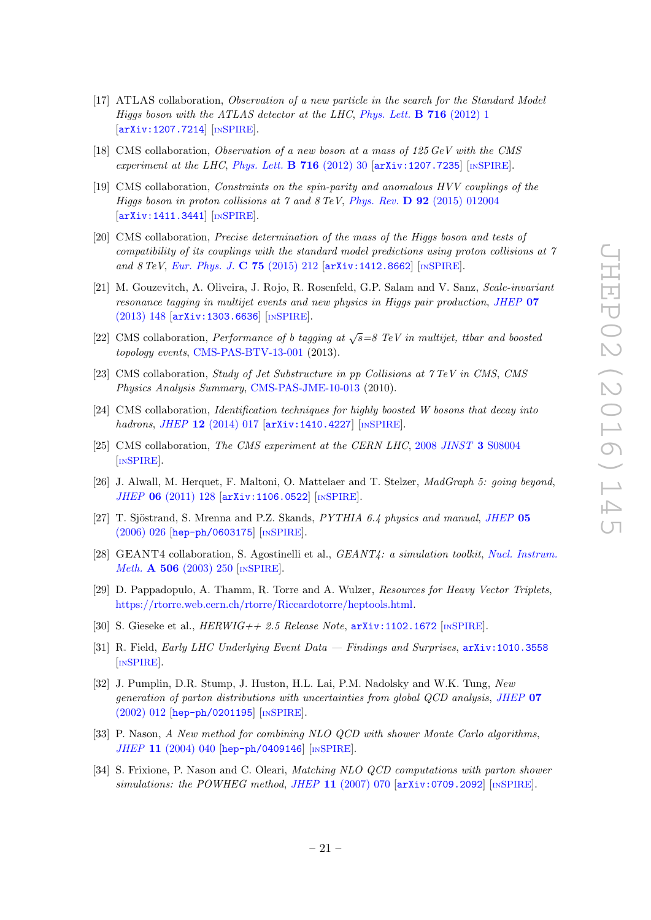- <span id="page-21-0"></span>[17] ATLAS collaboration, Observation of a new particle in the search for the Standard Model Higgs boson with the ATLAS detector at the LHC, [Phys. Lett.](http://dx.doi.org/10.1016/j.physletb.2012.08.020) **B** 716 (2012) 1 [[arXiv:1207.7214](http://arxiv.org/abs/1207.7214)] [IN[SPIRE](http://inspirehep.net/search?p=find+EPRINT+arXiv:1207.7214)].
- <span id="page-21-1"></span>[18] CMS collaboration, Observation of a new boson at a mass of 125 GeV with the CMS experiment at the LHC, [Phys. Lett.](http://dx.doi.org/10.1016/j.physletb.2012.08.021) **B** 716 (2012) 30  $arXiv:1207.7235$  [IN[SPIRE](http://inspirehep.net/search?p=find+EPRINT+arXiv:1207.7235)].
- <span id="page-21-2"></span>[19] CMS collaboration, Constraints on the spin-parity and anomalous HVV couplings of the Higgs boson in proton collisions at 7 and 8 TeV, Phys. Rev. D 92 [\(2015\) 012004](http://dx.doi.org/10.1103/PhysRevD.92.012004) [[arXiv:1411.3441](http://arxiv.org/abs/1411.3441)] [IN[SPIRE](http://inspirehep.net/search?p=find+EPRINT+arXiv:1411.3441)].
- <span id="page-21-3"></span>[20] CMS collaboration, Precise determination of the mass of the Higgs boson and tests of compatibility of its couplings with the standard model predictions using proton collisions at 7 and 8 TeV, [Eur. Phys. J.](http://dx.doi.org/10.1140/epjc/s10052-015-3351-7) C 75 (2015) 212  $\text{arXiv:1412.8662}$  $\text{arXiv:1412.8662}$  $\text{arXiv:1412.8662}$  [IN[SPIRE](http://inspirehep.net/search?p=find+EPRINT+arXiv:1412.8662)].
- <span id="page-21-4"></span>[21] M. Gouzevitch, A. Oliveira, J. Rojo, R. Rosenfeld, G.P. Salam and V. Sanz, Scale-invariant resonance tagging in multijet events and new physics in Higgs pair production, [JHEP](http://dx.doi.org/10.1007/JHEP07(2013)148) 07 [\(2013\) 148](http://dx.doi.org/10.1007/JHEP07(2013)148) [[arXiv:1303.6636](http://arxiv.org/abs/1303.6636)] [IN[SPIRE](http://inspirehep.net/search?p=find+EPRINT+arXiv:1303.6636)].
- <span id="page-21-5"></span>[22] CMS collaboration, *Performance of b tagging at*  $\sqrt{s} = 8$  TeV in multijet, ttbar and boosted topology events, [CMS-PAS-BTV-13-001](http://cds.cern.ch/record/1581306) (2013).
- <span id="page-21-6"></span>[23] CMS collaboration, Study of Jet Substructure in pp Collisions at 7 TeV in CMS, CMS Physics Analysis Summary, [CMS-PAS-JME-10-013](http://cds.cern.ch/record/1333700) (2010).
- <span id="page-21-7"></span>[24] CMS collaboration, Identification techniques for highly boosted W bosons that decay into hadrons, JHEP 12 [\(2014\) 017](http://dx.doi.org/10.1007/JHEP12(2014)017) [[arXiv:1410.4227](http://arxiv.org/abs/1410.4227)] [IN[SPIRE](http://inspirehep.net/search?p=find+EPRINT+arXiv:1410.4227)].
- <span id="page-21-8"></span>[25] CMS collaboration, The CMS experiment at the CERN LHC, 2008 JINST 3 [S08004](http://dx.doi.org/10.1088/1748-0221/3/08/S08004) [IN[SPIRE](http://inspirehep.net/search?p=find+J+"JINST,3,S08004")].
- <span id="page-21-9"></span>[26] J. Alwall, M. Herquet, F. Maltoni, O. Mattelaer and T. Stelzer, MadGraph 5: going beyond, JHEP 06 [\(2011\) 128](http://dx.doi.org/10.1007/JHEP06(2011)128) [[arXiv:1106.0522](http://arxiv.org/abs/1106.0522)] [IN[SPIRE](http://inspirehep.net/search?p=find+EPRINT+arXiv:1106.0522)].
- <span id="page-21-10"></span>[27] T. Sjöstrand, S. Mrenna and P.Z. Skands,  $PYTHIA$  6.4 physics and manual, [JHEP](http://dx.doi.org/10.1088/1126-6708/2006/05/026) 05 [\(2006\) 026](http://dx.doi.org/10.1088/1126-6708/2006/05/026) [[hep-ph/0603175](http://arxiv.org/abs/hep-ph/0603175)] [IN[SPIRE](http://inspirehep.net/search?p=find+EPRINT+hep-ph/0603175)].
- <span id="page-21-11"></span>[28] GEANT4 collaboration, S. Agostinelli et al., GEANT4: a simulation toolkit, [Nucl. Instrum.](http://dx.doi.org/10.1016/S0168-9002(03)01368-8) Meth. **A 506** [\(2003\) 250](http://dx.doi.org/10.1016/S0168-9002(03)01368-8) [IN[SPIRE](http://inspirehep.net/search?p=find+J+"Nucl.Instrum.Meth.,A506,250")].
- <span id="page-21-12"></span>[29] D. Pappadopulo, A. Thamm, R. Torre and A. Wulzer, Resources for Heavy Vector Triplets, [https://rtorre.web.cern.ch/rtorre/Riccardotorre/heptools.html.](https://rtorre.web.cern.ch/rtorre/Riccardotorre/heptools.html)
- <span id="page-21-13"></span>[30] S. Gieseke et al.,  $HERWIG++$  2.5 Release Note,  $arXiv:1102.1672$  [IN[SPIRE](http://inspirehep.net/search?p=find+EPRINT+arXiv:1102.1672)].
- <span id="page-21-14"></span>[31] R. Field, Early LHC Underlying Event Data — Findings and Surprises, [arXiv:1010.3558](http://arxiv.org/abs/1010.3558) [IN[SPIRE](http://inspirehep.net/search?p=find+EPRINT+arXiv:1010.3558)].
- <span id="page-21-15"></span>[32] J. Pumplin, D.R. Stump, J. Huston, H.L. Lai, P.M. Nadolsky and W.K. Tung, New generation of parton distributions with uncertainties from global QCD analysis, [JHEP](http://dx.doi.org/10.1088/1126-6708/2002/07/012) 07 [\(2002\) 012](http://dx.doi.org/10.1088/1126-6708/2002/07/012) [[hep-ph/0201195](http://arxiv.org/abs/hep-ph/0201195)] [IN[SPIRE](http://inspirehep.net/search?p=find+EPRINT+hep-ph/0201195)].
- <span id="page-21-16"></span>[33] P. Nason, A New method for combining NLO QCD with shower Monte Carlo algorithms, JHEP 11 [\(2004\) 040](http://dx.doi.org/10.1088/1126-6708/2004/11/040) [[hep-ph/0409146](http://arxiv.org/abs/hep-ph/0409146)] [IN[SPIRE](http://inspirehep.net/search?p=find+EPRINT+hep-ph/0409146)].
- [34] S. Frixione, P. Nason and C. Oleari, *Matching NLO QCD computations with parton shower* simulations: the POWHEG method, JHEP  $11$  [\(2007\) 070](http://dx.doi.org/10.1088/1126-6708/2007/11/070) [[arXiv:0709.2092](http://arxiv.org/abs/0709.2092)] [IN[SPIRE](http://inspirehep.net/search?p=find+EPRINT+arXiv:0709.2092)].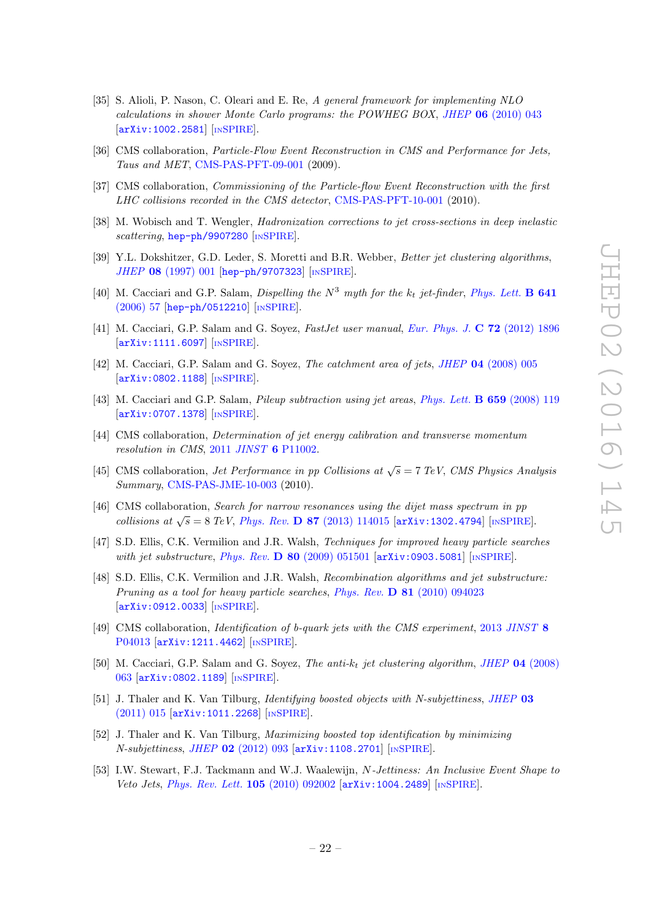- <span id="page-22-0"></span>[35] S. Alioli, P. Nason, C. Oleari and E. Re, A general framework for implementing NLO calculations in shower Monte Carlo programs: the POWHEG BOX, JHEP 06 [\(2010\) 043](http://dx.doi.org/10.1007/JHEP06(2010)043) [[arXiv:1002.2581](http://arxiv.org/abs/1002.2581)] [IN[SPIRE](http://inspirehep.net/search?p=find+EPRINT+arXiv:1002.2581)].
- <span id="page-22-1"></span>[36] CMS collaboration, *Particle-Flow Event Reconstruction in CMS and Performance for Jets*, Taus and MET, [CMS-PAS-PFT-09-001](http://cds.cern.ch/record/1194487) (2009).
- <span id="page-22-2"></span>[37] CMS collaboration, *Commissioning of the Particle-flow Event Reconstruction with the first* LHC collisions recorded in the CMS detector, [CMS-PAS-PFT-10-001](http://cds.cern.ch/record/1247373) (2010).
- <span id="page-22-3"></span>[38] M. Wobisch and T. Wengler, Hadronization corrections to jet cross-sections in deep inelastic scattering, [hep-ph/9907280](http://arxiv.org/abs/hep-ph/9907280) [IN[SPIRE](http://inspirehep.net/search?p=find+EPRINT+hep-ph/9907280)].
- <span id="page-22-4"></span>[39] Y.L. Dokshitzer, G.D. Leder, S. Moretti and B.R. Webber, Better jet clustering algorithms, JHEP 08 [\(1997\) 001](http://dx.doi.org/10.1088/1126-6708/1997/08/001) [[hep-ph/9707323](http://arxiv.org/abs/hep-ph/9707323)] [IN[SPIRE](http://inspirehep.net/search?p=find+EPRINT+hep-ph/9707323)].
- <span id="page-22-5"></span>[40] M. Cacciari and G.P. Salam, *Dispelling the*  $N^3$  myth for the  $k_t$  jet-finder, [Phys. Lett.](http://dx.doi.org/10.1016/j.physletb.2006.08.037) **B 641** [\(2006\) 57](http://dx.doi.org/10.1016/j.physletb.2006.08.037) [[hep-ph/0512210](http://arxiv.org/abs/hep-ph/0512210)] [IN[SPIRE](http://inspirehep.net/search?p=find+EPRINT+hep-ph/0512210)].
- <span id="page-22-6"></span>[41] M. Cacciari, G.P. Salam and G. Soyez, FastJet user manual, [Eur. Phys. J.](http://dx.doi.org/10.1140/epjc/s10052-012-1896-2) C 72 (2012) 1896 [[arXiv:1111.6097](http://arxiv.org/abs/1111.6097)] [IN[SPIRE](http://inspirehep.net/search?p=find+EPRINT+arXiv:1111.6097)].
- <span id="page-22-7"></span>[42] M. Cacciari, G.P. Salam and G. Soyez, The catchment area of jets, JHEP 04 [\(2008\) 005](http://dx.doi.org/10.1088/1126-6708/2008/04/005) [[arXiv:0802.1188](http://arxiv.org/abs/0802.1188)] [IN[SPIRE](http://inspirehep.net/search?p=find+EPRINT+arXiv:0802.1188)].
- [43] M. Cacciari and G.P. Salam, Pileup subtraction using jet areas, [Phys. Lett.](http://dx.doi.org/10.1016/j.physletb.2007.09.077) B 659 (2008) 119 [[arXiv:0707.1378](http://arxiv.org/abs/0707.1378)] [IN[SPIRE](http://inspirehep.net/search?p=find+EPRINT+arXiv:0707.1378)].
- <span id="page-22-8"></span>[44] CMS collaboration, Determination of jet energy calibration and transverse momentum resolution in CMS, 2011 JINST 6 [P11002.](http://dx.doi.org/10.1088/1748-0221/6/11/P11002)
- <span id="page-22-9"></span>[45] CMS collaboration, *Jet Performance in pp Collisions at*  $\sqrt{s} = 7 \text{ TeV}$ , *CMS Physics Analysis* Summary, [CMS-PAS-JME-10-003](http://cds.cern.ch/record/1279362) (2010).
- <span id="page-22-10"></span>[46] CMS collaboration, Search for narrow resonances using the dijet mass spectrum in pp collisions at  $\sqrt{s} = 8$  TeV, Phys. Rev. **D** 87 [\(2013\) 114015](http://dx.doi.org/10.1103/PhysRevD.87.114015) [[arXiv:1302.4794](http://arxiv.org/abs/1302.4794)] [IN[SPIRE](http://inspirehep.net/search?p=find+EPRINT+arXiv:1302.4794)].
- <span id="page-22-11"></span>[47] S.D. Ellis, C.K. Vermilion and J.R. Walsh, Techniques for improved heavy particle searches with jet substructure, Phys. Rev. D  $80$  [\(2009\) 051501](http://dx.doi.org/10.1103/PhysRevD.80.051501) [[arXiv:0903.5081](http://arxiv.org/abs/0903.5081)] [IN[SPIRE](http://inspirehep.net/search?p=find+EPRINT+arXiv:0903.5081)].
- <span id="page-22-12"></span>[48] S.D. Ellis, C.K. Vermilion and J.R. Walsh, Recombination algorithms and jet substructure: Pruning as a tool for heavy particle searches, Phys. Rev. D 81 [\(2010\) 094023](http://dx.doi.org/10.1103/PhysRevD.81.094023) [[arXiv:0912.0033](http://arxiv.org/abs/0912.0033)] [IN[SPIRE](http://inspirehep.net/search?p=find+EPRINT+arXiv:0912.0033)].
- <span id="page-22-13"></span>[49] CMS collaboration, Identification of b-quark jets with the CMS experiment, 2013 [JINST](http://dx.doi.org/10.1088/1748-0221/8/04/P04013) 8 [P04013](http://dx.doi.org/10.1088/1748-0221/8/04/P04013) [[arXiv:1211.4462](http://arxiv.org/abs/1211.4462)] [IN[SPIRE](http://inspirehep.net/search?p=find+EPRINT+arXiv:1211.4462)].
- <span id="page-22-14"></span>[50] M. Cacciari, G.P. Salam and G. Soyez, The anti-k<sub>t</sub> jet clustering algorithm, JHEP 04 [\(2008\)](http://dx.doi.org/10.1088/1126-6708/2008/04/063) [063](http://dx.doi.org/10.1088/1126-6708/2008/04/063) [[arXiv:0802.1189](http://arxiv.org/abs/0802.1189)] [IN[SPIRE](http://inspirehep.net/search?p=find+EPRINT+arXiv:0802.1189)].
- <span id="page-22-15"></span>[51] J. Thaler and K. Van Tilburg, *Identifying boosted objects with N-subjettiness*, *[JHEP](http://dx.doi.org/10.1007/JHEP03(2011)015)* 03 [\(2011\) 015](http://dx.doi.org/10.1007/JHEP03(2011)015) [[arXiv:1011.2268](http://arxiv.org/abs/1011.2268)] [IN[SPIRE](http://inspirehep.net/search?p=find+EPRINT+arXiv:1011.2268)].
- <span id="page-22-17"></span>[52] J. Thaler and K. Van Tilburg, Maximizing boosted top identification by minimizing N-subjettiness, JHEP 02 [\(2012\) 093](http://dx.doi.org/10.1007/JHEP02(2012)093) [[arXiv:1108.2701](http://arxiv.org/abs/1108.2701)] [IN[SPIRE](http://inspirehep.net/search?p=find+EPRINT+arXiv:1108.2701)].
- <span id="page-22-16"></span>[53] I.W. Stewart, F.J. Tackmann and W.J. Waalewijn, N-Jettiness: An Inclusive Event Shape to Veto Jets, [Phys. Rev. Lett.](http://dx.doi.org/10.1103/PhysRevLett.105.092002) 105 (2010) 092002 [[arXiv:1004.2489](http://arxiv.org/abs/1004.2489)] [IN[SPIRE](http://inspirehep.net/search?p=find+EPRINT+arXiv:1004.2489)].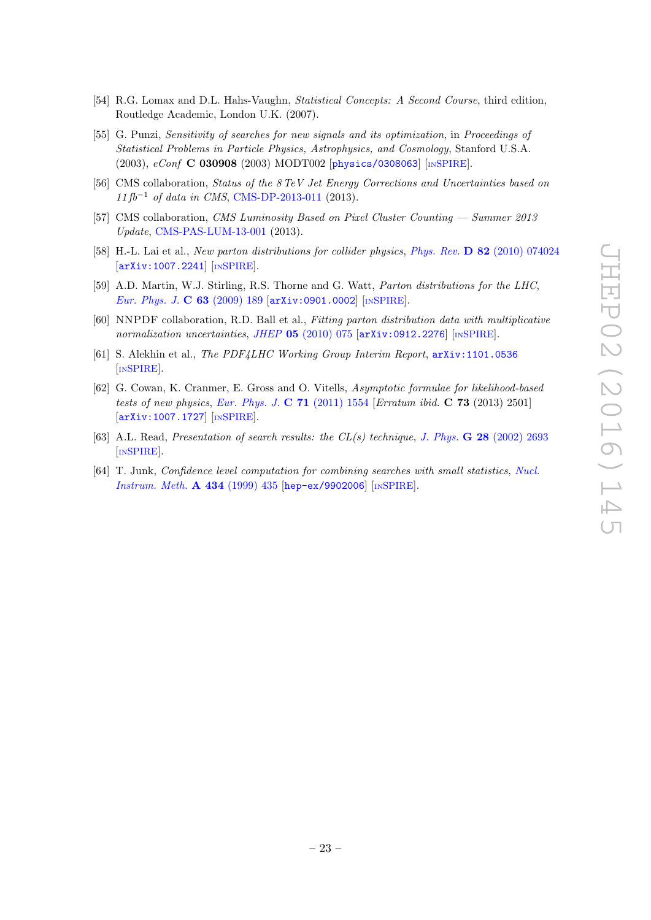- <span id="page-23-0"></span>[54] R.G. Lomax and D.L. Hahs-Vaughn, *Statistical Concepts: A Second Course*, third edition, Routledge Academic, London U.K. (2007).
- <span id="page-23-1"></span>[55] G. Punzi, Sensitivity of searches for new signals and its optimization, in Proceedings of Statistical Problems in Particle Physics, Astrophysics, and Cosmology, Stanford U.S.A. (2003), eConf C 030908 (2003) MODT002 [[physics/0308063](http://arxiv.org/abs/physics/0308063)] [IN[SPIRE](http://inspirehep.net/search?p=find+EPRINT+physics/0308063)].
- <span id="page-23-2"></span>[56] CMS collaboration, *Status of the 8 TeV Jet Energy Corrections and Uncertainties based on*  $11 fb^{-1}$  of data in CMS, [CMS-DP-2013-011](http://cds.cern.ch/record/1545350) (2013).
- <span id="page-23-3"></span>[57] CMS collaboration, CMS Luminosity Based on Pixel Cluster Counting — Summer 2013 Update, [CMS-PAS-LUM-13-001](http://cds.cern.ch/record/1598864) (2013).
- <span id="page-23-4"></span>[58] H.-L. Lai et al., New parton distributions for collider physics, Phys. Rev. D 82 [\(2010\) 074024](http://dx.doi.org/10.1103/PhysRevD.82.074024)  $\left[$ [arXiv:1007.2241](http://arxiv.org/abs/1007.2241) $\right]$   $\left[$ IN[SPIRE](http://inspirehep.net/search?p=find+EPRINT+arXiv:1007.2241) $\right]$ .
- <span id="page-23-5"></span>[59] A.D. Martin, W.J. Stirling, R.S. Thorne and G. Watt, Parton distributions for the LHC, [Eur. Phys. J.](http://dx.doi.org/10.1140/epjc/s10052-009-1072-5) C 63 (2009) 189  $\text{arXiv:}$ 0901.0002 $\text{[insPIRE]}$ .
- <span id="page-23-6"></span>[60] NNPDF collaboration, R.D. Ball et al., Fitting parton distribution data with multiplicative normalization uncertainties, JHEP  $05$  [\(2010\) 075](http://dx.doi.org/10.1007/JHEP05(2010)075)  $\text{arXiv:}$  0912.2276 $\mid$  [IN[SPIRE](http://inspirehep.net/search?p=find+EPRINT+arXiv:0912.2276)].
- <span id="page-23-7"></span>[61] S. Alekhin et al., The PDF4LHC Working Group Interim Report, [arXiv:1101.0536](http://arxiv.org/abs/1101.0536) [IN[SPIRE](http://inspirehep.net/search?p=find+EPRINT+arXiv:1101.0536)].
- <span id="page-23-8"></span>[62] G. Cowan, K. Cranmer, E. Gross and O. Vitells, Asymptotic formulae for likelihood-based tests of new physics, [Eur. Phys. J.](http://dx.doi.org/10.1140/epjc/s10052-011-1554-0) C  $71$  (2011) 1554 [Erratum ibid. C  $73$  (2013) 2501] [[arXiv:1007.1727](http://arxiv.org/abs/1007.1727)] [IN[SPIRE](http://inspirehep.net/search?p=find+EPRINT+arXiv:1007.1727)].
- <span id="page-23-9"></span>[63] A.L. Read, Presentation of search results: the  $CL(s)$  technique, J. Phys. **G 28** [\(2002\) 2693](http://dx.doi.org/10.1088/0954-3899/28/10/313) [IN[SPIRE](http://inspirehep.net/search?p=find+J+"J.Phys.,G28,2693")].
- <span id="page-23-10"></span>[64] T. Junk, Confidence level computation for combining searches with small statistics, [Nucl.](http://dx.doi.org/10.1016/S0168-9002(99)00498-2) [Instrum. Meth.](http://dx.doi.org/10.1016/S0168-9002(99)00498-2) A 434 (1999) 435 [[hep-ex/9902006](http://arxiv.org/abs/hep-ex/9902006)] [IN[SPIRE](http://inspirehep.net/search?p=find+EPRINT+hep-ex/9902006)].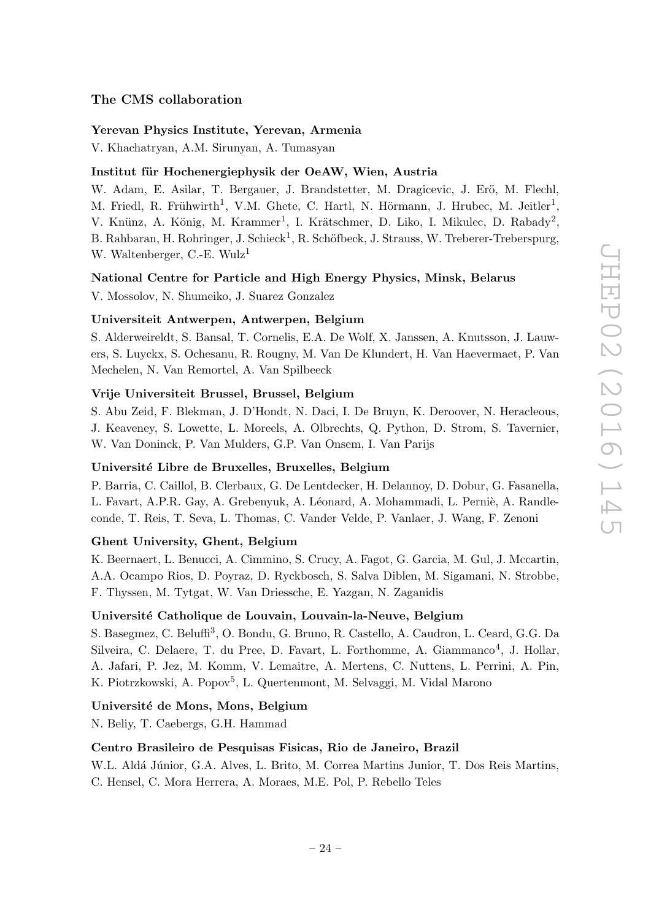## The CMS collaboration

#### <span id="page-24-0"></span>Yerevan Physics Institute, Yerevan, Armenia

V. Khachatryan, A.M. Sirunyan, A. Tumasyan

#### Institut für Hochenergiephysik der OeAW, Wien, Austria

W. Adam, E. Asilar, T. Bergauer, J. Brandstetter, M. Dragicevic, J. Erö, M. Flechl, M. Friedl, R. Frühwirth<sup>1</sup>, V.M. Ghete, C. Hartl, N. Hörmann, J. Hrubec, M. Jeitler<sup>1</sup>, V. Knünz, A. König, M. Krammer<sup>1</sup>, I. Krätschmer, D. Liko, I. Mikulec, D. Rabady<sup>2</sup>, B. Rahbaran, H. Rohringer, J. Schieck<sup>1</sup>, R. Schöfbeck, J. Strauss, W. Treberer-Treberspurg, W. Waltenberger, C.-E. Wulz<sup>1</sup>

#### National Centre for Particle and High Energy Physics, Minsk, Belarus

V. Mossolov, N. Shumeiko, J. Suarez Gonzalez

### Universiteit Antwerpen, Antwerpen, Belgium

S. Alderweireldt, S. Bansal, T. Cornelis, E.A. De Wolf, X. Janssen, A. Knutsson, J. Lauwers, S. Luyckx, S. Ochesanu, R. Rougny, M. Van De Klundert, H. Van Haevermaet, P. Van Mechelen, N. Van Remortel, A. Van Spilbeeck

### Vrije Universiteit Brussel, Brussel, Belgium

S. Abu Zeid, F. Blekman, J. D'Hondt, N. Daci, I. De Bruyn, K. Deroover, N. Heracleous, J. Keaveney, S. Lowette, L. Moreels, A. Olbrechts, Q. Python, D. Strom, S. Tavernier, W. Van Doninck, P. Van Mulders, G.P. Van Onsem, I. Van Parijs

#### Université Libre de Bruxelles, Bruxelles, Belgium

P. Barria, C. Caillol, B. Clerbaux, G. De Lentdecker, H. Delannoy, D. Dobur, G. Fasanella, L. Favart, A.P.R. Gay, A. Grebenyuk, A. Léonard, A. Mohammadi, L. Perniè, A. Randleconde, T. Reis, T. Seva, L. Thomas, C. Vander Velde, P. Vanlaer, J. Wang, F. Zenoni

#### Ghent University, Ghent, Belgium

K. Beernaert, L. Benucci, A. Cimmino, S. Crucy, A. Fagot, G. Garcia, M. Gul, J. Mccartin, A.A. Ocampo Rios, D. Poyraz, D. Ryckbosch, S. Salva Diblen, M. Sigamani, N. Strobbe, F. Thyssen, M. Tytgat, W. Van Driessche, E. Yazgan, N. Zaganidis

## Universit´e Catholique de Louvain, Louvain-la-Neuve, Belgium

S. Basegmez, C. Beluffi<sup>3</sup>, O. Bondu, G. Bruno, R. Castello, A. Caudron, L. Ceard, G.G. Da Silveira, C. Delaere, T. du Pree, D. Favart, L. Forthomme, A. Giammanco<sup>4</sup>, J. Hollar, A. Jafari, P. Jez, M. Komm, V. Lemaitre, A. Mertens, C. Nuttens, L. Perrini, A. Pin, K. Piotrzkowski, A. Popov<sup>5</sup>, L. Quertenmont, M. Selvaggi, M. Vidal Marono

#### Université de Mons, Mons, Belgium

N. Beliy, T. Caebergs, G.H. Hammad

## Centro Brasileiro de Pesquisas Fisicas, Rio de Janeiro, Brazil

W.L. Aldá Júnior, G.A. Alves, L. Brito, M. Correa Martins Junior, T. Dos Reis Martins, C. Hensel, C. Mora Herrera, A. Moraes, M.E. Pol, P. Rebello Teles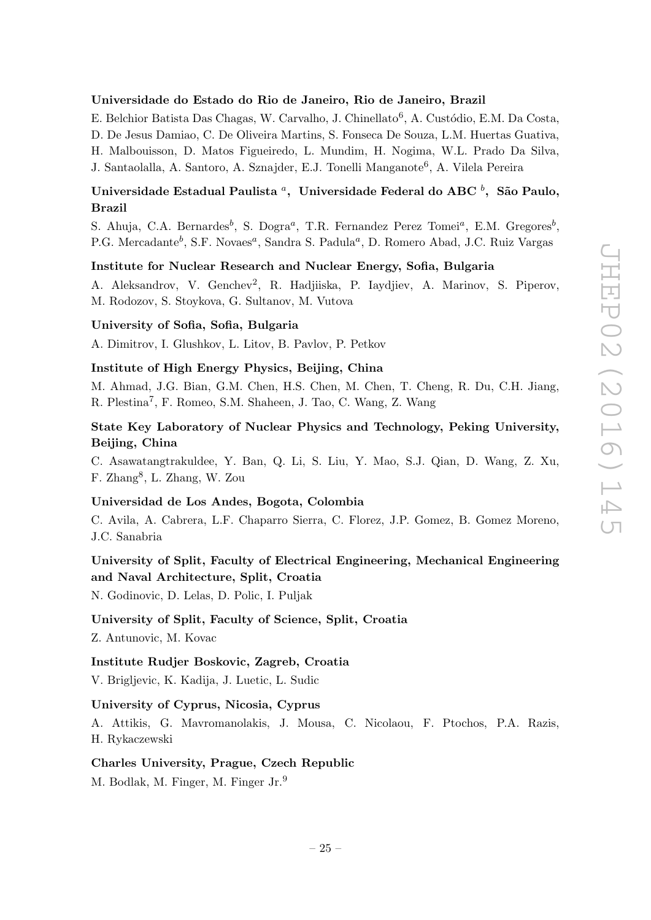### Universidade do Estado do Rio de Janeiro, Rio de Janeiro, Brazil

E. Belchior Batista Das Chagas, W. Carvalho, J. Chinellato<sup>6</sup>, A. Custódio, E.M. Da Costa, D. De Jesus Damiao, C. De Oliveira Martins, S. Fonseca De Souza, L.M. Huertas Guativa, H. Malbouisson, D. Matos Figueiredo, L. Mundim, H. Nogima, W.L. Prado Da Silva,

J. Santaolalla, A. Santoro, A. Sznajder, E.J. Tonelli Manganote<sup>6</sup>, A. Vilela Pereira

# Universidade Estadual Paulista <sup>a</sup>, Universidade Federal do ABC  $^b$ , São Paulo, Brazil

S. Ahuja, C.A. Bernardes<sup>b</sup>, S. Dogra<sup>a</sup>, T.R. Fernandez Perez Tomei<sup>a</sup>, E.M. Gregores<sup>b</sup>, P.G. Mercadante<sup>b</sup>, S.F. Novaes<sup>a</sup>, Sandra S. Padula<sup>a</sup>, D. Romero Abad, J.C. Ruiz Vargas

### Institute for Nuclear Research and Nuclear Energy, Sofia, Bulgaria

A. Aleksandrov, V. Genchev<sup>2</sup>, R. Hadjiiska, P. Iaydjiev, A. Marinov, S. Piperov, M. Rodozov, S. Stoykova, G. Sultanov, M. Vutova

### University of Sofia, Sofia, Bulgaria

A. Dimitrov, I. Glushkov, L. Litov, B. Pavlov, P. Petkov

### Institute of High Energy Physics, Beijing, China

M. Ahmad, J.G. Bian, G.M. Chen, H.S. Chen, M. Chen, T. Cheng, R. Du, C.H. Jiang, R. Plestina<sup>7</sup>, F. Romeo, S.M. Shaheen, J. Tao, C. Wang, Z. Wang

# State Key Laboratory of Nuclear Physics and Technology, Peking University, Beijing, China

C. Asawatangtrakuldee, Y. Ban, Q. Li, S. Liu, Y. Mao, S.J. Qian, D. Wang, Z. Xu, F. Zhang<sup>8</sup>, L. Zhang, W. Zou

#### Universidad de Los Andes, Bogota, Colombia

C. Avila, A. Cabrera, L.F. Chaparro Sierra, C. Florez, J.P. Gomez, B. Gomez Moreno, J.C. Sanabria

# University of Split, Faculty of Electrical Engineering, Mechanical Engineering and Naval Architecture, Split, Croatia

N. Godinovic, D. Lelas, D. Polic, I. Puljak

## University of Split, Faculty of Science, Split, Croatia

Z. Antunovic, M. Kovac

### Institute Rudjer Boskovic, Zagreb, Croatia

V. Brigljevic, K. Kadija, J. Luetic, L. Sudic

#### University of Cyprus, Nicosia, Cyprus

A. Attikis, G. Mavromanolakis, J. Mousa, C. Nicolaou, F. Ptochos, P.A. Razis, H. Rykaczewski

## Charles University, Prague, Czech Republic

M. Bodlak, M. Finger, M. Finger Jr.<sup>9</sup>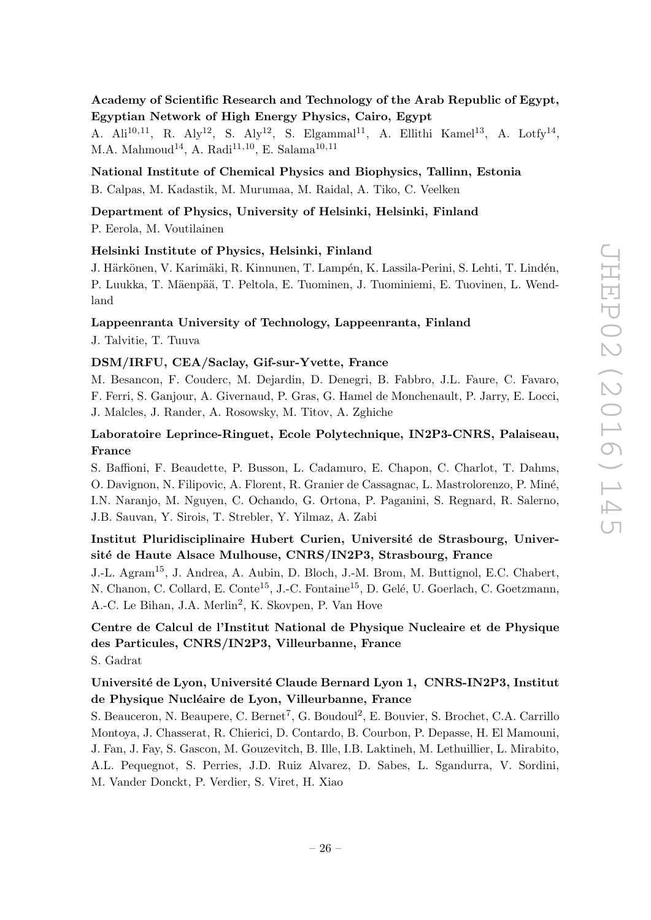# Academy of Scientific Research and Technology of the Arab Republic of Egypt, Egyptian Network of High Energy Physics, Cairo, Egypt

A. Ali<sup>10,11</sup>, R. Aly<sup>12</sup>, S. Aly<sup>12</sup>, S. Elgammal<sup>11</sup>, A. Ellithi Kamel<sup>13</sup>, A. Lotfy<sup>14</sup>, M.A. Mahmoud<sup>14</sup>, A. Radi<sup>11,10</sup>, E. Salama<sup>10,11</sup>

# National Institute of Chemical Physics and Biophysics, Tallinn, Estonia

B. Calpas, M. Kadastik, M. Murumaa, M. Raidal, A. Tiko, C. Veelken

## Department of Physics, University of Helsinki, Helsinki, Finland

P. Eerola, M. Voutilainen

### Helsinki Institute of Physics, Helsinki, Finland

J. Härkönen, V. Karimäki, R. Kinnunen, T. Lampén, K. Lassila-Perini, S. Lehti, T. Lindén, P. Luukka, T. Mäenpää, T. Peltola, E. Tuominen, J. Tuominiemi, E. Tuovinen, L. Wendland

## Lappeenranta University of Technology, Lappeenranta, Finland

J. Talvitie, T. Tuuva

### DSM/IRFU, CEA/Saclay, Gif-sur-Yvette, France

M. Besancon, F. Couderc, M. Dejardin, D. Denegri, B. Fabbro, J.L. Faure, C. Favaro, F. Ferri, S. Ganjour, A. Givernaud, P. Gras, G. Hamel de Monchenault, P. Jarry, E. Locci, J. Malcles, J. Rander, A. Rosowsky, M. Titov, A. Zghiche

# Laboratoire Leprince-Ringuet, Ecole Polytechnique, IN2P3-CNRS, Palaiseau, France

S. Baffioni, F. Beaudette, P. Busson, L. Cadamuro, E. Chapon, C. Charlot, T. Dahms, O. Davignon, N. Filipovic, A. Florent, R. Granier de Cassagnac, L. Mastrolorenzo, P. Min´e, I.N. Naranjo, M. Nguyen, C. Ochando, G. Ortona, P. Paganini, S. Regnard, R. Salerno, J.B. Sauvan, Y. Sirois, T. Strebler, Y. Yilmaz, A. Zabi

# Institut Pluridisciplinaire Hubert Curien, Université de Strasbourg, Université de Haute Alsace Mulhouse, CNRS/IN2P3, Strasbourg, France

J.-L. Agram15, J. Andrea, A. Aubin, D. Bloch, J.-M. Brom, M. Buttignol, E.C. Chabert, N. Chanon, C. Collard, E. Conte<sup>15</sup>, J.-C. Fontaine<sup>15</sup>, D. Gelé, U. Goerlach, C. Goetzmann, A.-C. Le Bihan, J.A. Merlin<sup>2</sup>, K. Skovpen, P. Van Hove

# Centre de Calcul de l'Institut National de Physique Nucleaire et de Physique des Particules, CNRS/IN2P3, Villeurbanne, France

S. Gadrat

# Université de Lyon, Université Claude Bernard Lyon 1, CNRS-IN2P3, Institut de Physique Nucléaire de Lyon, Villeurbanne, France

S. Beauceron, N. Beaupere, C. Bernet<sup>7</sup>, G. Boudoul<sup>2</sup>, E. Bouvier, S. Brochet, C.A. Carrillo Montoya, J. Chasserat, R. Chierici, D. Contardo, B. Courbon, P. Depasse, H. El Mamouni, J. Fan, J. Fay, S. Gascon, M. Gouzevitch, B. Ille, I.B. Laktineh, M. Lethuillier, L. Mirabito, A.L. Pequegnot, S. Perries, J.D. Ruiz Alvarez, D. Sabes, L. Sgandurra, V. Sordini, M. Vander Donckt, P. Verdier, S. Viret, H. Xiao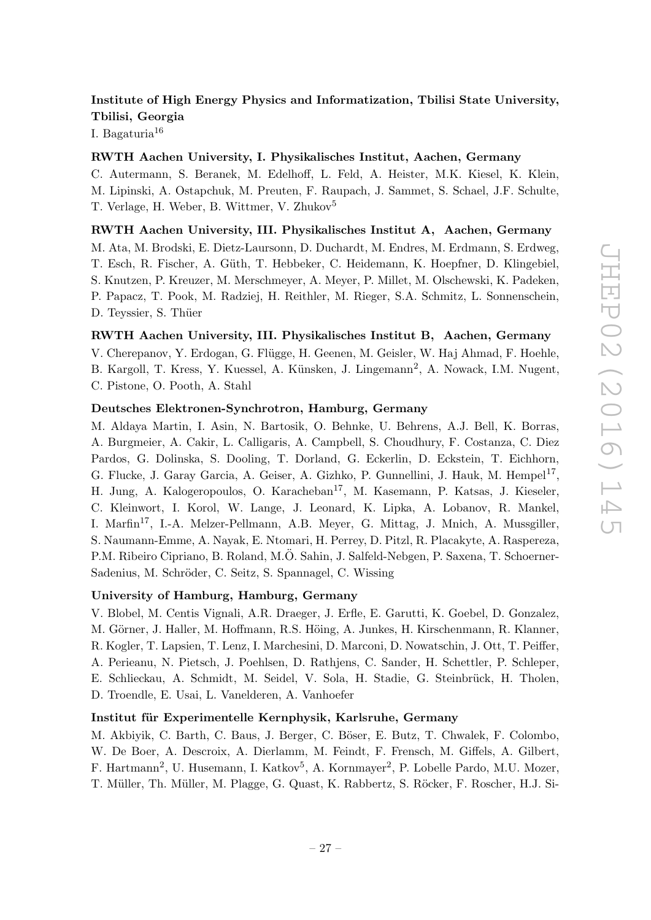# Institute of High Energy Physics and Informatization, Tbilisi State University, Tbilisi, Georgia

I. Bagaturia<sup>16</sup>

### RWTH Aachen University, I. Physikalisches Institut, Aachen, Germany

C. Autermann, S. Beranek, M. Edelhoff, L. Feld, A. Heister, M.K. Kiesel, K. Klein, M. Lipinski, A. Ostapchuk, M. Preuten, F. Raupach, J. Sammet, S. Schael, J.F. Schulte, T. Verlage, H. Weber, B. Wittmer, V. Zhukov<sup>5</sup>

#### RWTH Aachen University, III. Physikalisches Institut A, Aachen, Germany

M. Ata, M. Brodski, E. Dietz-Laursonn, D. Duchardt, M. Endres, M. Erdmann, S. Erdweg, T. Esch, R. Fischer, A. Güth, T. Hebbeker, C. Heidemann, K. Hoepfner, D. Klingebiel, S. Knutzen, P. Kreuzer, M. Merschmeyer, A. Meyer, P. Millet, M. Olschewski, K. Padeken, P. Papacz, T. Pook, M. Radziej, H. Reithler, M. Rieger, S.A. Schmitz, L. Sonnenschein, D. Teyssier, S. Thüer

#### RWTH Aachen University, III. Physikalisches Institut B, Aachen, Germany

V. Cherepanov, Y. Erdogan, G. Flügge, H. Geenen, M. Geisler, W. Haj Ahmad, F. Hoehle, B. Kargoll, T. Kress, Y. Kuessel, A. Künsken, J. Lingemann<sup>2</sup>, A. Nowack, I.M. Nugent, C. Pistone, O. Pooth, A. Stahl

#### Deutsches Elektronen-Synchrotron, Hamburg, Germany

M. Aldaya Martin, I. Asin, N. Bartosik, O. Behnke, U. Behrens, A.J. Bell, K. Borras, A. Burgmeier, A. Cakir, L. Calligaris, A. Campbell, S. Choudhury, F. Costanza, C. Diez Pardos, G. Dolinska, S. Dooling, T. Dorland, G. Eckerlin, D. Eckstein, T. Eichhorn, G. Flucke, J. Garay Garcia, A. Geiser, A. Gizhko, P. Gunnellini, J. Hauk, M. Hempel<sup>17</sup>, H. Jung, A. Kalogeropoulos, O. Karacheban<sup>17</sup>, M. Kasemann, P. Katsas, J. Kieseler, C. Kleinwort, I. Korol, W. Lange, J. Leonard, K. Lipka, A. Lobanov, R. Mankel, I. Marfin<sup>17</sup>, I.-A. Melzer-Pellmann, A.B. Meyer, G. Mittag, J. Mnich, A. Mussgiller, S. Naumann-Emme, A. Nayak, E. Ntomari, H. Perrey, D. Pitzl, R. Placakyte, A. Raspereza, P.M. Ribeiro Cipriano, B. Roland, M.Ö. Sahin, J. Salfeld-Nebgen, P. Saxena, T. Schoerner-Sadenius, M. Schröder, C. Seitz, S. Spannagel, C. Wissing

## University of Hamburg, Hamburg, Germany

V. Blobel, M. Centis Vignali, A.R. Draeger, J. Erfle, E. Garutti, K. Goebel, D. Gonzalez, M. Görner, J. Haller, M. Hoffmann, R.S. Höing, A. Junkes, H. Kirschenmann, R. Klanner, R. Kogler, T. Lapsien, T. Lenz, I. Marchesini, D. Marconi, D. Nowatschin, J. Ott, T. Peiffer, A. Perieanu, N. Pietsch, J. Poehlsen, D. Rathjens, C. Sander, H. Schettler, P. Schleper, E. Schlieckau, A. Schmidt, M. Seidel, V. Sola, H. Stadie, G. Steinbrück, H. Tholen, D. Troendle, E. Usai, L. Vanelderen, A. Vanhoefer

#### Institut für Experimentelle Kernphysik, Karlsruhe, Germany

M. Akbiyik, C. Barth, C. Baus, J. Berger, C. Böser, E. Butz, T. Chwalek, F. Colombo, W. De Boer, A. Descroix, A. Dierlamm, M. Feindt, F. Frensch, M. Giffels, A. Gilbert, F. Hartmann<sup>2</sup>, U. Husemann, I. Katkov<sup>5</sup>, A. Kornmayer<sup>2</sup>, P. Lobelle Pardo, M.U. Mozer, T. Müller, Th. Müller, M. Plagge, G. Quast, K. Rabbertz, S. Röcker, F. Roscher, H.J. Si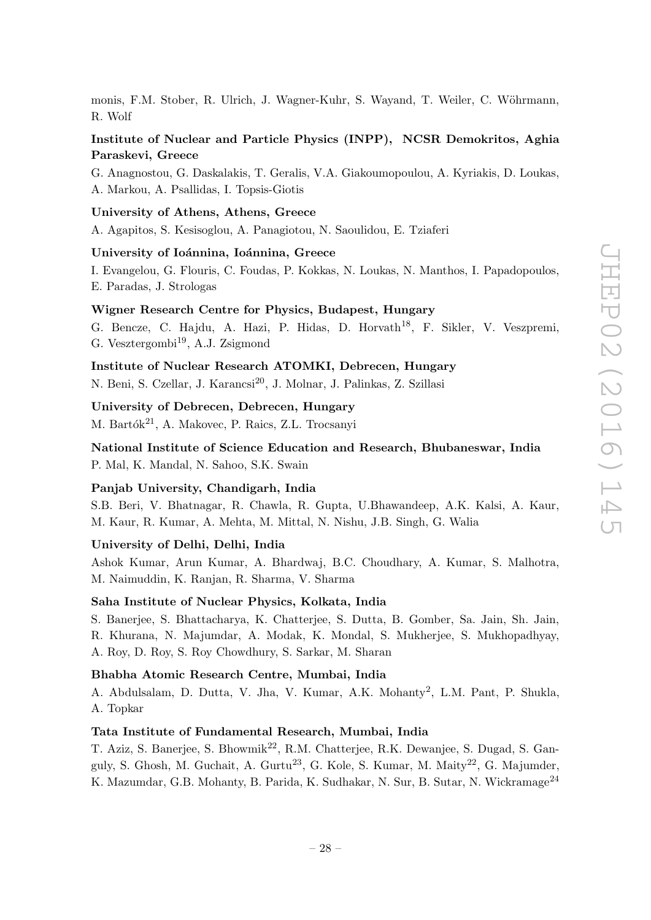monis, F.M. Stober, R. Ulrich, J. Wagner-Kuhr, S. Wayand, T. Weiler, C. Wöhrmann, R. Wolf

# Institute of Nuclear and Particle Physics (INPP), NCSR Demokritos, Aghia Paraskevi, Greece

G. Anagnostou, G. Daskalakis, T. Geralis, V.A. Giakoumopoulou, A. Kyriakis, D. Loukas, A. Markou, A. Psallidas, I. Topsis-Giotis

### University of Athens, Athens, Greece

A. Agapitos, S. Kesisoglou, A. Panagiotou, N. Saoulidou, E. Tziaferi

#### University of Ioánnina, Ioánnina, Greece

I. Evangelou, G. Flouris, C. Foudas, P. Kokkas, N. Loukas, N. Manthos, I. Papadopoulos, E. Paradas, J. Strologas

### Wigner Research Centre for Physics, Budapest, Hungary

G. Bencze, C. Hajdu, A. Hazi, P. Hidas, D. Horvath<sup>18</sup>, F. Sikler, V. Veszpremi, G. Vesztergombi<sup>19</sup>, A.J. Zsigmond

# Institute of Nuclear Research ATOMKI, Debrecen, Hungary

N. Beni, S. Czellar, J. Karancsi<sup>20</sup>, J. Molnar, J. Palinkas, Z. Szillasi

### University of Debrecen, Debrecen, Hungary

M. Bartók<sup>21</sup>, A. Makovec, P. Raics, Z.L. Trocsanyi

National Institute of Science Education and Research, Bhubaneswar, India P. Mal, K. Mandal, N. Sahoo, S.K. Swain

#### Panjab University, Chandigarh, India

S.B. Beri, V. Bhatnagar, R. Chawla, R. Gupta, U.Bhawandeep, A.K. Kalsi, A. Kaur, M. Kaur, R. Kumar, A. Mehta, M. Mittal, N. Nishu, J.B. Singh, G. Walia

### University of Delhi, Delhi, India

Ashok Kumar, Arun Kumar, A. Bhardwaj, B.C. Choudhary, A. Kumar, S. Malhotra, M. Naimuddin, K. Ranjan, R. Sharma, V. Sharma

### Saha Institute of Nuclear Physics, Kolkata, India

S. Banerjee, S. Bhattacharya, K. Chatterjee, S. Dutta, B. Gomber, Sa. Jain, Sh. Jain, R. Khurana, N. Majumdar, A. Modak, K. Mondal, S. Mukherjee, S. Mukhopadhyay, A. Roy, D. Roy, S. Roy Chowdhury, S. Sarkar, M. Sharan

### Bhabha Atomic Research Centre, Mumbai, India

A. Abdulsalam, D. Dutta, V. Jha, V. Kumar, A.K. Mohanty<sup>2</sup>, L.M. Pant, P. Shukla, A. Topkar

### Tata Institute of Fundamental Research, Mumbai, India

T. Aziz, S. Banerjee, S. Bhowmik<sup>22</sup>, R.M. Chatterjee, R.K. Dewanjee, S. Dugad, S. Ganguly, S. Ghosh, M. Guchait, A. Gurtu<sup>23</sup>, G. Kole, S. Kumar, M. Maity<sup>22</sup>, G. Majumder, K. Mazumdar, G.B. Mohanty, B. Parida, K. Sudhakar, N. Sur, B. Sutar, N. Wickramage<sup>24</sup>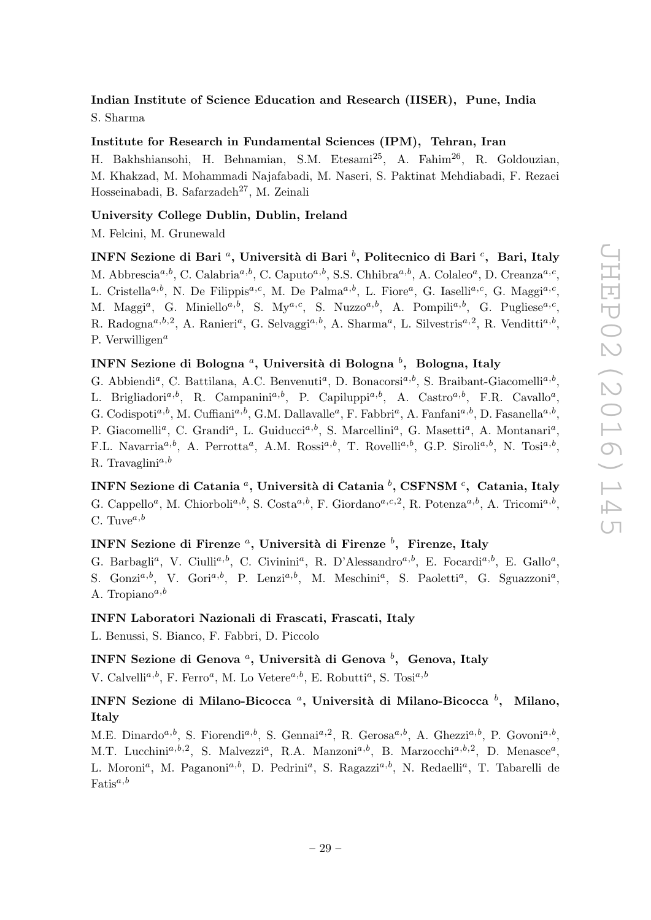# Indian Institute of Science Education and Research (IISER), Pune, India S. Sharma

### Institute for Research in Fundamental Sciences (IPM), Tehran, Iran

H. Bakhshiansohi, H. Behnamian, S.M. Etesami25, A. Fahim26, R. Goldouzian, M. Khakzad, M. Mohammadi Najafabadi, M. Naseri, S. Paktinat Mehdiabadi, F. Rezaei Hosseinabadi, B. Safarzadeh<sup>27</sup>, M. Zeinali

## University College Dublin, Dublin, Ireland

M. Felcini, M. Grunewald

INFN Sezione di Bari <sup>a</sup>, Università di Bari  $^b$ , Politecnico di Bari  $^c$ , Bari, Italy M. Abbrescia<sup>a,b</sup>, C. Calabria<sup>a,b</sup>, C. Caputo<sup>a,b</sup>, S.S. Chhibra<sup>a,b</sup>, A. Colaleo<sup>a</sup>, D. Creanza<sup>a,c</sup>, L. Cristella<sup>a,b</sup>, N. De Filippis<sup>a,c</sup>, M. De Palma<sup>a,b</sup>, L. Fiore<sup>a</sup>, G. Iaselli<sup>a,c</sup>, G. Maggi<sup>a,c</sup>, M. Maggi<sup>a</sup>, G. Miniello<sup>a,b</sup>, S. My<sup>a,c</sup>, S. Nuzzo<sup>a,b</sup>, A. Pompili<sup>a,b</sup>, G. Pugliese<sup>a,c</sup>, R. Radogna<sup>a,b,2</sup>, A. Ranieri<sup>a</sup>, G. Selvaggi<sup>a,b</sup>, A. Sharma<sup>a</sup>, L. Silvestris<sup>a,2</sup>, R. Venditti<sup>a,b</sup>, P. Verwilligen<sup> $a$ </sup>

## INFN Sezione di Bologna <sup>a</sup>, Università di Bologna  $^b$ , Bologna, Italy

G. Abbiendi<sup>a</sup>, C. Battilana, A.C. Benvenuti<sup>a</sup>, D. Bonacorsi<sup>a,b</sup>, S. Braibant-Giacomelli<sup>a,b</sup>, L. Brigliadori<sup>a,b</sup>, R. Campanini<sup>a,b</sup>, P. Capiluppi<sup>a,b</sup>, A. Castro<sup>a,b</sup>, F.R. Cavallo<sup>a</sup>, G. Codispoti<sup>a,b</sup>, M. Cuffiani<sup>a,b</sup>, G.M. Dallavalle<sup>a</sup>, F. Fabbri<sup>a</sup>, A. Fanfani<sup>a,b</sup>, D. Fasanella<sup>a,b</sup>, P. Giacomelli<sup>a</sup>, C. Grandi<sup>a</sup>, L. Guiducci<sup>a,b</sup>, S. Marcellini<sup>a</sup>, G. Masetti<sup>a</sup>, A. Montanari<sup>a</sup>, F.L. Navarria<sup>a,b</sup>, A. Perrotta<sup>a</sup>, A.M. Rossi<sup>a,b</sup>, T. Rovelli<sup>a,b</sup>, G.P. Siroli<sup>a,b</sup>, N. Tosi<sup>a,b</sup>, R. Travaglini<sup>a,b</sup>

INFN Sezione di Catania <sup>a</sup>, Università di Catania  $^b,$  CSFNSM  $^c, \,$  Catania, Italy G. Cappello<sup>a</sup>, M. Chiorboli<sup>a,b</sup>, S. Costa<sup>a,b</sup>, F. Giordano<sup>a,c,2</sup>, R. Potenza<sup>a,b</sup>, A. Tricomi<sup>a,b</sup>, C. Tuve<sup> $a,b$ </sup>

# INFN Sezione di Firenze  $^a,$  Università di Firenze  $^b, \,$  Firenze, Italy

G. Barbagli<sup>a</sup>, V. Ciulli<sup>a,b</sup>, C. Civinini<sup>a</sup>, R. D'Alessandro<sup>a,b</sup>, E. Focardi<sup>a,b</sup>, E. Gallo<sup>a</sup>, S. Gonzi<sup>a,b</sup>, V. Gori<sup>a,b</sup>, P. Lenzi<sup>a,b</sup>, M. Meschini<sup>a</sup>, S. Paoletti<sup>a</sup>, G. Sguazzoni<sup>a</sup>, A. Tropiano $a,b$ 

## INFN Laboratori Nazionali di Frascati, Frascati, Italy

L. Benussi, S. Bianco, F. Fabbri, D. Piccolo

# INFN Sezione di Genova  $^a,$  Università di Genova  $^b, \,$  Genova, Italy

V. Calvelli<sup>a,b</sup>, F. Ferro<sup>a</sup>, M. Lo Vetere<sup>a,b</sup>, E. Robutti<sup>a</sup>, S. Tosi<sup>a,b</sup>

# INFN Sezione di Milano-Bicocca <sup>a</sup>, Università di Milano-Bicocca <sup>b</sup>, Milano, Italy

M.E. Dinardo<sup>a,b</sup>, S. Fiorendi<sup>a,b</sup>, S. Gennai<sup>a,2</sup>, R. Gerosa<sup>a,b</sup>, A. Ghezzi<sup>a,b</sup>, P. Govoni<sup>a,b</sup>, M.T. Lucchini<sup>a,b,2</sup>, S. Malvezzi<sup>a</sup>, R.A. Manzoni<sup>a,b</sup>, B. Marzocchi<sup>a,b,2</sup>, D. Menasce<sup>a</sup>, L. Moroni<sup>a</sup>, M. Paganoni<sup>a,b</sup>, D. Pedrini<sup>a</sup>, S. Ragazzi<sup>a,b</sup>, N. Redaelli<sup>a</sup>, T. Tabarelli de  $F \text{atis}^{a,b}$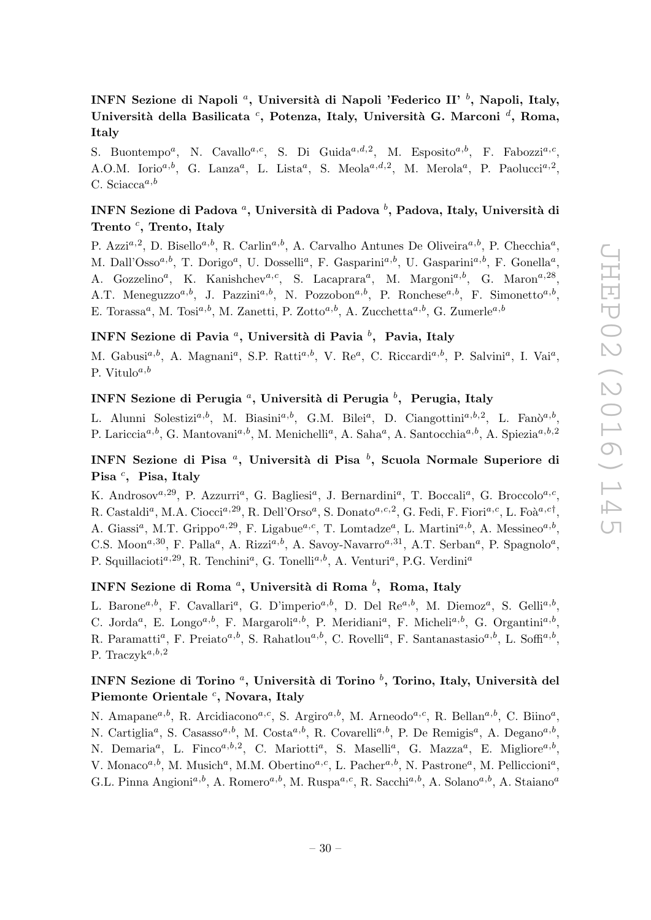# INFN Sezione di Napoli <sup>a</sup>, Università di Napoli 'Federico II'  $^b$ , Napoli, Italy, Università della Basilicata  $^c$ , Potenza, Italy, Università G. Marconi  $^d$ , Roma, Italy

S. Buontempo<sup>a</sup>, N. Cavallo<sup>a,c</sup>, S. Di Guida<sup>a,d,2</sup>, M. Esposito<sup>a,b</sup>, F. Fabozzi<sup>a,c</sup>, A.O.M. Iorio<sup>a,b</sup>, G. Lanza<sup>a</sup>, L. Lista<sup>a</sup>, S. Meola<sup>a,d,2</sup>, M. Merola<sup>a</sup>, P. Paolucci<sup>a,2</sup>, C. Sciacca $a,b$ 

# INFN Sezione di Padova <sup>a</sup>, Università di Padova  $^b$ , Padova, Italy, Università di  $Trento<sup>c</sup>$ , Trento, Italy

P. Azzi<sup>a, 2</sup>, D. Bisello<sup>a, b</sup>, R. Carlin<sup>a, b</sup>, A. Carvalho Antunes De Oliveira<sup>a, b</sup>, P. Checchia<sup>a</sup>, M. Dall'Osso<sup>a,b</sup>, T. Dorigo<sup>a</sup>, U. Dosselli<sup>a</sup>, F. Gasparini<sup>a,b</sup>, U. Gasparini<sup>a,b</sup>, F. Gonella<sup>a</sup>, A. Gozzelino<sup>a</sup>, K. Kanishchev<sup>a, c</sup>, S. Lacaprara<sup>a</sup>, M. Margoni<sup>a, b</sup>, G. Maron<sup>a, 28</sup>, A.T. Meneguzzo<sup>a,b</sup>, J. Pazzini<sup>a,b</sup>, N. Pozzobon<sup>a,b</sup>, P. Ronchese<sup>a,b</sup>, F. Simonetto<sup>a,b</sup>, E. Torassa<sup>a</sup>, M. Tosi<sup>a,b</sup>, M. Zanetti, P. Zotto<sup>a,b</sup>, A. Zucchetta<sup>a,b</sup>, G. Zumerle<sup>a,b</sup>

# INFN Sezione di Pavia <sup>a</sup>, Università di Pavia  $^b$ , Pavia, Italy

M. Gabusi<sup>a,b</sup>, A. Magnani<sup>a</sup>, S.P. Ratti<sup>a,b</sup>, V. Re<sup>a</sup>, C. Riccardi<sup>a,b</sup>, P. Salvini<sup>a</sup>, I. Vai<sup>a</sup>, P. Vitulo $a,b$ 

# INFN Sezione di Perugia  $^a,$  Università di Perugia  $^b, \,$  Perugia, Italy

L. Alunni Solestizi<sup>a,b</sup>, M. Biasini<sup>a,b</sup>, G.M. Bilei<sup>a</sup>, D. Ciangottini<sup>a,b,2</sup>, L. Fanò<sup>a,b</sup>, P. Lariccia<sup>a,b</sup>, G. Mantovani<sup>a,b</sup>, M. Menichelli<sup>a</sup>, A. Saha<sup>a</sup>, A. Santocchia<sup>a,b</sup>, A. Spiezia<sup>a,b,2</sup>

# INFN Sezione di Pisa <sup>a</sup>, Università di Pisa <sup>b</sup>, Scuola Normale Superiore di Pisa<sup>c</sup>, Pisa, Italy

K. Androsov<sup>a, 29</sup>, P. Azzurri<sup>a</sup>, G. Bagliesi<sup>a</sup>, J. Bernardini<sup>a</sup>, T. Boccali<sup>a</sup>, G. Broccolo<sup>a, c</sup>, R. Castaldi<sup>a</sup>, M.A. Ciocci<sup>a, 29</sup>, R. Dell'Orso<sup>a</sup>, S. Donato<sup>a, c, 2</sup>, G. Fedi, F. Fiori<sup>a, c</sup>, L. Foà<sup>a, c†</sup>, A. Giassi<sup>a</sup>, M.T. Grippo<sup>a, 29</sup>, F. Ligabue<sup>a, c</sup>, T. Lomtadze<sup>a</sup>, L. Martini<sup>a, b</sup>, A. Messineo<sup>a, b</sup>, C.S. Moon<sup>a, 30</sup>, F. Palla<sup>a</sup>, A. Rizzi<sup>a, b</sup>, A. Savoy-Navarro<sup>a, 31</sup>, A.T. Serban<sup>a</sup>, P. Spagnolo<sup>a</sup>, P. Squillacioti<sup>a, 29</sup>, R. Tenchini<sup>a</sup>, G. Tonelli<sup>a, b</sup>, A. Venturi<sup>a</sup>, P.G. Verdini<sup>a</sup>

# INFN Sezione di Roma  $^a,$  Università di Roma  $^b, \, \,$  Roma, Italy

L. Barone<sup>a,b</sup>, F. Cavallari<sup>a</sup>, G. D'imperio<sup>a,b</sup>, D. Del Re<sup>a,b</sup>, M. Diemoz<sup>a</sup>, S. Gelli<sup>a,b</sup>, C. Jorda<sup>a</sup>, E. Longo<sup>a,b</sup>, F. Margaroli<sup>a,b</sup>, P. Meridiani<sup>a</sup>, F. Micheli<sup>a,b</sup>, G. Organtini<sup>a,b</sup>, R. Paramatti<sup>a</sup>, F. Preiato<sup>a,b</sup>, S. Rahatlou<sup>a,b</sup>, C. Rovelli<sup>a</sup>, F. Santanastasio<sup>a,b</sup>, L. Soffi<sup>a,b</sup>, P. Traczyk $a,b,2$ 

# INFN Sezione di Torino <sup>a</sup>, Università di Torino  $^b,$  Torino, Italy, Università del Piemonte Orientale  $^c$ , Novara, Italy

N. Amapane<sup>a,b</sup>, R. Arcidiacono<sup>a,c</sup>, S. Argiro<sup>a,b</sup>, M. Arneodo<sup>a,c</sup>, R. Bellan<sup>a,b</sup>, C. Biino<sup>a</sup>, N. Cartiglia<sup>a</sup>, S. Casasso<sup>a,b</sup>, M. Costa<sup>a,b</sup>, R. Covarelli<sup>a,b</sup>, P. De Remigis<sup>a</sup>, A. Degano<sup>a,b</sup>, N. Demaria<sup>a</sup>, L. Finco<sup>a,b,2</sup>, C. Mariotti<sup>a</sup>, S. Maselli<sup>a</sup>, G. Mazza<sup>a</sup>, E. Migliore<sup>a,b</sup>, V. Monaco<sup>a,b</sup>, M. Musich<sup>a</sup>, M.M. Obertino<sup>a,c</sup>, L. Pacher<sup>a,b</sup>, N. Pastrone<sup>a</sup>, M. Pelliccioni<sup>a</sup>, G.L. Pinna Angioni<sup>a,b</sup>, A. Romero<sup>a,b</sup>, M. Ruspa<sup>a,c</sup>, R. Sacchi<sup>a,b</sup>, A. Solano<sup>a,b</sup>, A. Staiano<sup>a</sup>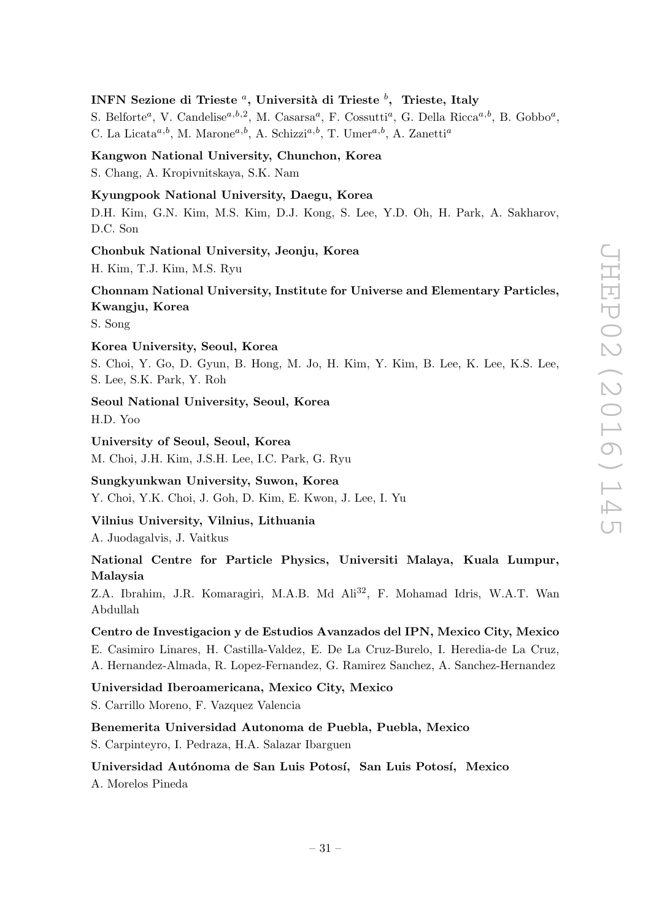## INFN Sezione di Trieste <sup>a</sup>, Università di Trieste  $^b$ , Trieste, Italy

S. Belforte<sup>a</sup>, V. Candelise<sup>a,b,2</sup>, M. Casarsa<sup>a</sup>, F. Cossutti<sup>a</sup>, G. Della Ricca<sup>a,b</sup>, B. Gobbo<sup>a</sup>, C. La Licata<sup>a,b</sup>, M. Marone<sup>a,b</sup>, A. Schizzi<sup>a,b</sup>, T. Umer<sup>a,b</sup>, A. Zanetti<sup>a</sup>

#### Kangwon National University, Chunchon, Korea

S. Chang, A. Kropivnitskaya, S.K. Nam

#### Kyungpook National University, Daegu, Korea

D.H. Kim, G.N. Kim, M.S. Kim, D.J. Kong, S. Lee, Y.D. Oh, H. Park, A. Sakharov, D.C. Son

#### Chonbuk National University, Jeonju, Korea

H. Kim, T.J. Kim, M.S. Ryu

# Chonnam National University, Institute for Universe and Elementary Particles, Kwangju, Korea

S. Song

### Korea University, Seoul, Korea

S. Choi, Y. Go, D. Gyun, B. Hong, M. Jo, H. Kim, Y. Kim, B. Lee, K. Lee, K.S. Lee, S. Lee, S.K. Park, Y. Roh

Seoul National University, Seoul, Korea H.D. Yoo

University of Seoul, Seoul, Korea

M. Choi, J.H. Kim, J.S.H. Lee, I.C. Park, G. Ryu

## Sungkyunkwan University, Suwon, Korea

Y. Choi, Y.K. Choi, J. Goh, D. Kim, E. Kwon, J. Lee, I. Yu

## Vilnius University, Vilnius, Lithuania

A. Juodagalvis, J. Vaitkus

# National Centre for Particle Physics, Universiti Malaya, Kuala Lumpur, Malaysia

Z.A. Ibrahim, J.R. Komaragiri, M.A.B. Md Ali<sup>32</sup>, F. Mohamad Idris, W.A.T. Wan Abdullah

## Centro de Investigacion y de Estudios Avanzados del IPN, Mexico City, Mexico

E. Casimiro Linares, H. Castilla-Valdez, E. De La Cruz-Burelo, I. Heredia-de La Cruz, A. Hernandez-Almada, R. Lopez-Fernandez, G. Ramirez Sanchez, A. Sanchez-Hernandez

Universidad Iberoamericana, Mexico City, Mexico

S. Carrillo Moreno, F. Vazquez Valencia

### Benemerita Universidad Autonoma de Puebla, Puebla, Mexico

S. Carpinteyro, I. Pedraza, H.A. Salazar Ibarguen

## Universidad Autónoma de San Luis Potosí, San Luis Potosí, Mexico

A. Morelos Pineda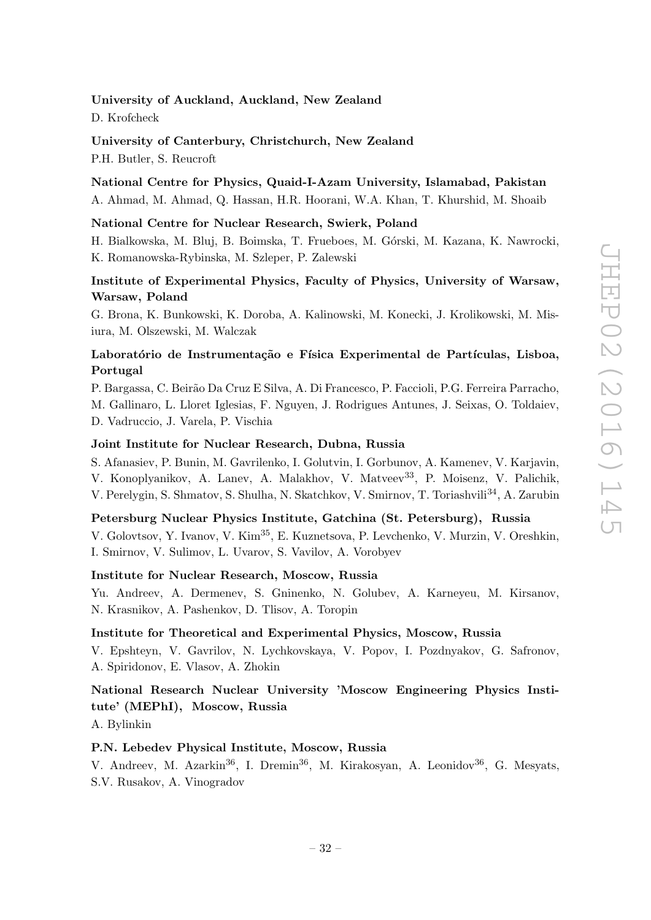### University of Auckland, Auckland, New Zealand

D. Krofcheck

University of Canterbury, Christchurch, New Zealand P.H. Butler, S. Reucroft

## National Centre for Physics, Quaid-I-Azam University, Islamabad, Pakistan

A. Ahmad, M. Ahmad, Q. Hassan, H.R. Hoorani, W.A. Khan, T. Khurshid, M. Shoaib

## National Centre for Nuclear Research, Swierk, Poland

H. Bialkowska, M. Bluj, B. Boimska, T. Frueboes, M. G´orski, M. Kazana, K. Nawrocki, K. Romanowska-Rybinska, M. Szleper, P. Zalewski

# Institute of Experimental Physics, Faculty of Physics, University of Warsaw, Warsaw, Poland

G. Brona, K. Bunkowski, K. Doroba, A. Kalinowski, M. Konecki, J. Krolikowski, M. Misiura, M. Olszewski, M. Walczak

# Laboratório de Instrumentação e Física Experimental de Partículas, Lisboa, Portugal

P. Bargassa, C. Beirão Da Cruz E Silva, A. Di Francesco, P. Faccioli, P.G. Ferreira Parracho, M. Gallinaro, L. Lloret Iglesias, F. Nguyen, J. Rodrigues Antunes, J. Seixas, O. Toldaiev, D. Vadruccio, J. Varela, P. Vischia

### Joint Institute for Nuclear Research, Dubna, Russia

S. Afanasiev, P. Bunin, M. Gavrilenko, I. Golutvin, I. Gorbunov, A. Kamenev, V. Karjavin, V. Konoplyanikov, A. Lanev, A. Malakhov, V. Matveev<sup>33</sup>, P. Moisenz, V. Palichik, V. Perelygin, S. Shmatov, S. Shulha, N. Skatchkov, V. Smirnov, T. Toriashvili34, A. Zarubin

## Petersburg Nuclear Physics Institute, Gatchina (St. Petersburg), Russia

V. Golovtsov, Y. Ivanov, V. Kim35, E. Kuznetsova, P. Levchenko, V. Murzin, V. Oreshkin, I. Smirnov, V. Sulimov, L. Uvarov, S. Vavilov, A. Vorobyev

### Institute for Nuclear Research, Moscow, Russia

Yu. Andreev, A. Dermenev, S. Gninenko, N. Golubev, A. Karneyeu, M. Kirsanov, N. Krasnikov, A. Pashenkov, D. Tlisov, A. Toropin

## Institute for Theoretical and Experimental Physics, Moscow, Russia

V. Epshteyn, V. Gavrilov, N. Lychkovskaya, V. Popov, I. Pozdnyakov, G. Safronov, A. Spiridonov, E. Vlasov, A. Zhokin

# National Research Nuclear University 'Moscow Engineering Physics Institute' (MEPhI), Moscow, Russia

A. Bylinkin

## P.N. Lebedev Physical Institute, Moscow, Russia

V. Andreev, M. Azarkin<sup>36</sup>, I. Dremin<sup>36</sup>, M. Kirakosyan, A. Leonidov<sup>36</sup>, G. Mesyats, S.V. Rusakov, A. Vinogradov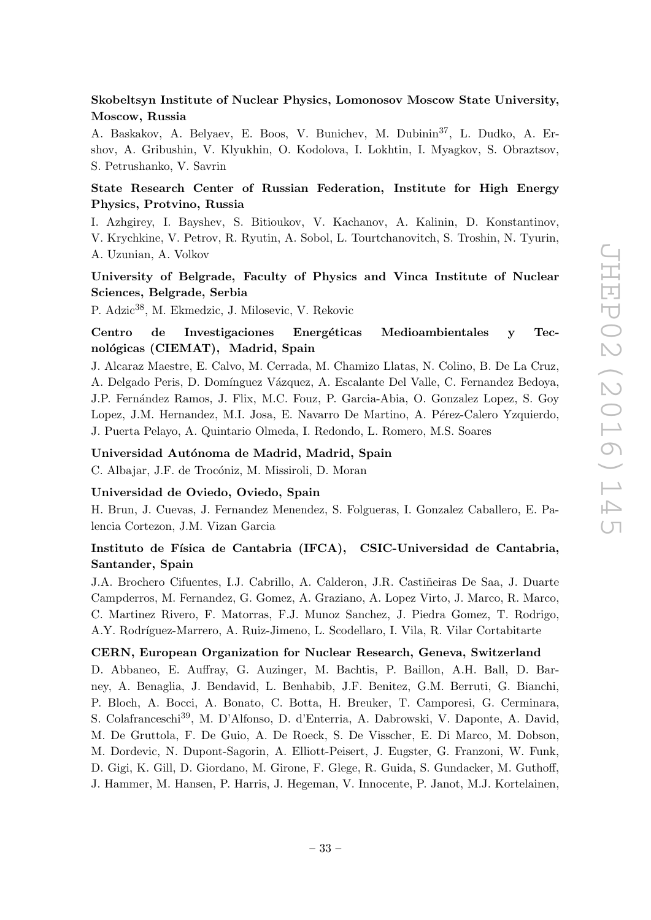# Skobeltsyn Institute of Nuclear Physics, Lomonosov Moscow State University, Moscow, Russia

A. Baskakov, A. Belyaev, E. Boos, V. Bunichev, M. Dubinin<sup>37</sup>, L. Dudko, A. Ershov, A. Gribushin, V. Klyukhin, O. Kodolova, I. Lokhtin, I. Myagkov, S. Obraztsov, S. Petrushanko, V. Savrin

# State Research Center of Russian Federation, Institute for High Energy Physics, Protvino, Russia

I. Azhgirey, I. Bayshev, S. Bitioukov, V. Kachanov, A. Kalinin, D. Konstantinov,

V. Krychkine, V. Petrov, R. Ryutin, A. Sobol, L. Tourtchanovitch, S. Troshin, N. Tyurin, A. Uzunian, A. Volkov

# University of Belgrade, Faculty of Physics and Vinca Institute of Nuclear Sciences, Belgrade, Serbia

P. Adzic<sup>38</sup>, M. Ekmedzic, J. Milosevic, V. Rekovic

# Centro de Investigaciones Energéticas Medioambientales y Tecnológicas (CIEMAT), Madrid, Spain

J. Alcaraz Maestre, E. Calvo, M. Cerrada, M. Chamizo Llatas, N. Colino, B. De La Cruz, A. Delgado Peris, D. Domínguez Vázquez, A. Escalante Del Valle, C. Fernandez Bedoya, J.P. Fern´andez Ramos, J. Flix, M.C. Fouz, P. Garcia-Abia, O. Gonzalez Lopez, S. Goy Lopez, J.M. Hernandez, M.I. Josa, E. Navarro De Martino, A. Pérez-Calero Yzquierdo, J. Puerta Pelayo, A. Quintario Olmeda, I. Redondo, L. Romero, M.S. Soares

## Universidad Autónoma de Madrid, Madrid, Spain

C. Albajar, J.F. de Trocóniz, M. Missiroli, D. Moran

## Universidad de Oviedo, Oviedo, Spain

H. Brun, J. Cuevas, J. Fernandez Menendez, S. Folgueras, I. Gonzalez Caballero, E. Palencia Cortezon, J.M. Vizan Garcia

# Instituto de Física de Cantabria (IFCA), CSIC-Universidad de Cantabria, Santander, Spain

J.A. Brochero Cifuentes, I.J. Cabrillo, A. Calderon, J.R. Castiñeiras De Saa, J. Duarte Campderros, M. Fernandez, G. Gomez, A. Graziano, A. Lopez Virto, J. Marco, R. Marco, C. Martinez Rivero, F. Matorras, F.J. Munoz Sanchez, J. Piedra Gomez, T. Rodrigo, A.Y. Rodríguez-Marrero, A. Ruiz-Jimeno, L. Scodellaro, I. Vila, R. Vilar Cortabitarte

### CERN, European Organization for Nuclear Research, Geneva, Switzerland

D. Abbaneo, E. Auffray, G. Auzinger, M. Bachtis, P. Baillon, A.H. Ball, D. Barney, A. Benaglia, J. Bendavid, L. Benhabib, J.F. Benitez, G.M. Berruti, G. Bianchi, P. Bloch, A. Bocci, A. Bonato, C. Botta, H. Breuker, T. Camporesi, G. Cerminara, S. Colafranceschi39, M. D'Alfonso, D. d'Enterria, A. Dabrowski, V. Daponte, A. David, M. De Gruttola, F. De Guio, A. De Roeck, S. De Visscher, E. Di Marco, M. Dobson, M. Dordevic, N. Dupont-Sagorin, A. Elliott-Peisert, J. Eugster, G. Franzoni, W. Funk, D. Gigi, K. Gill, D. Giordano, M. Girone, F. Glege, R. Guida, S. Gundacker, M. Guthoff, J. Hammer, M. Hansen, P. Harris, J. Hegeman, V. Innocente, P. Janot, M.J. Kortelainen,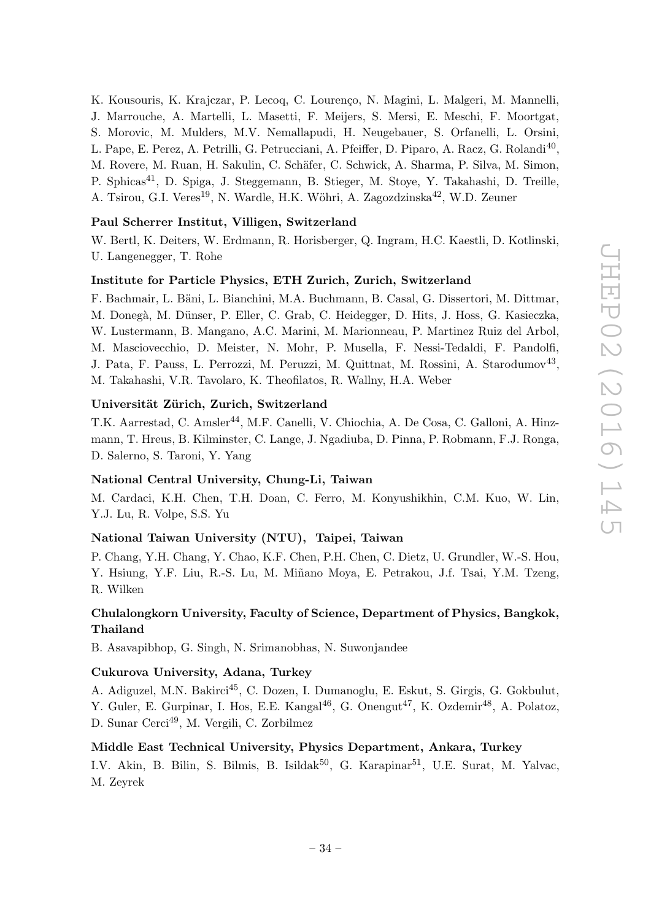K. Kousouris, K. Krajczar, P. Lecoq, C. Lourenço, N. Magini, L. Malgeri, M. Mannelli, J. Marrouche, A. Martelli, L. Masetti, F. Meijers, S. Mersi, E. Meschi, F. Moortgat, S. Morovic, M. Mulders, M.V. Nemallapudi, H. Neugebauer, S. Orfanelli, L. Orsini, L. Pape, E. Perez, A. Petrilli, G. Petrucciani, A. Pfeiffer, D. Piparo, A. Racz, G. Rolandi<sup>40</sup>, M. Rovere, M. Ruan, H. Sakulin, C. Schäfer, C. Schwick, A. Sharma, P. Silva, M. Simon, P. Sphicas<sup>41</sup>, D. Spiga, J. Steggemann, B. Stieger, M. Stoye, Y. Takahashi, D. Treille, A. Tsirou, G.I. Veres<sup>19</sup>, N. Wardle, H.K. Wöhri, A. Zagozdzinska<sup>42</sup>, W.D. Zeuner

# Paul Scherrer Institut, Villigen, Switzerland

W. Bertl, K. Deiters, W. Erdmann, R. Horisberger, Q. Ingram, H.C. Kaestli, D. Kotlinski, U. Langenegger, T. Rohe

### Institute for Particle Physics, ETH Zurich, Zurich, Switzerland

F. Bachmair, L. Bäni, L. Bianchini, M.A. Buchmann, B. Casal, G. Dissertori, M. Dittmar, M. Donegà, M. Dünser, P. Eller, C. Grab, C. Heidegger, D. Hits, J. Hoss, G. Kasieczka, W. Lustermann, B. Mangano, A.C. Marini, M. Marionneau, P. Martinez Ruiz del Arbol, M. Masciovecchio, D. Meister, N. Mohr, P. Musella, F. Nessi-Tedaldi, F. Pandolfi, J. Pata, F. Pauss, L. Perrozzi, M. Peruzzi, M. Quittnat, M. Rossini, A. Starodumov<sup>43</sup>, M. Takahashi, V.R. Tavolaro, K. Theofilatos, R. Wallny, H.A. Weber

## Universität Zürich, Zurich, Switzerland

T.K. Aarrestad, C. Amsler<sup>44</sup>, M.F. Canelli, V. Chiochia, A. De Cosa, C. Galloni, A. Hinzmann, T. Hreus, B. Kilminster, C. Lange, J. Ngadiuba, D. Pinna, P. Robmann, F.J. Ronga, D. Salerno, S. Taroni, Y. Yang

## National Central University, Chung-Li, Taiwan

M. Cardaci, K.H. Chen, T.H. Doan, C. Ferro, M. Konyushikhin, C.M. Kuo, W. Lin, Y.J. Lu, R. Volpe, S.S. Yu

# National Taiwan University (NTU), Taipei, Taiwan

P. Chang, Y.H. Chang, Y. Chao, K.F. Chen, P.H. Chen, C. Dietz, U. Grundler, W.-S. Hou, Y. Hsiung, Y.F. Liu, R.-S. Lu, M. Miñano Moya, E. Petrakou, J.f. Tsai, Y.M. Tzeng, R. Wilken

## Chulalongkorn University, Faculty of Science, Department of Physics, Bangkok, Thailand

B. Asavapibhop, G. Singh, N. Srimanobhas, N. Suwonjandee

## Cukurova University, Adana, Turkey

A. Adiguzel, M.N. Bakirci45, C. Dozen, I. Dumanoglu, E. Eskut, S. Girgis, G. Gokbulut, Y. Guler, E. Gurpinar, I. Hos, E.E. Kangal<sup>46</sup>, G. Onengut<sup>47</sup>, K. Ozdemir<sup>48</sup>, A. Polatoz, D. Sunar Cerci<sup>49</sup>, M. Vergili, C. Zorbilmez

## Middle East Technical University, Physics Department, Ankara, Turkey

I.V. Akin, B. Bilin, S. Bilmis, B. Isildak<sup>50</sup>, G. Karapinar<sup>51</sup>, U.E. Surat, M. Yalvac, M. Zeyrek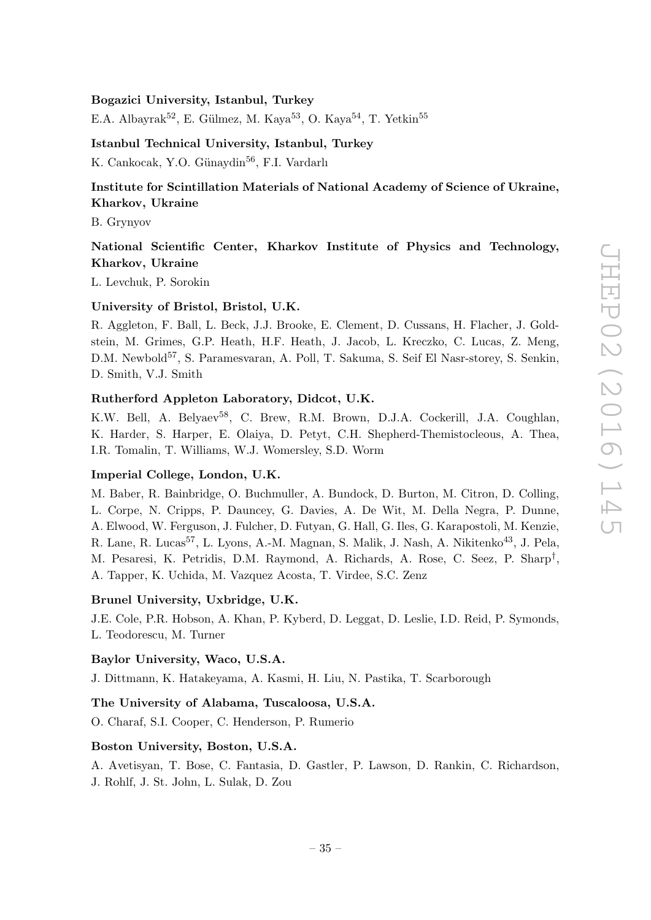### Bogazici University, Istanbul, Turkey

E.A. Albayrak<sup>52</sup>, E. Gülmez, M. Kaya<sup>53</sup>, O. Kaya<sup>54</sup>, T. Yetkin<sup>55</sup>

## Istanbul Technical University, Istanbul, Turkey

K. Cankocak, Y.O. Günaydin<sup>56</sup>, F.I. Vardarlı

# Institute for Scintillation Materials of National Academy of Science of Ukraine, Kharkov, Ukraine

B. Grynyov

# National Scientific Center, Kharkov Institute of Physics and Technology, Kharkov, Ukraine

L. Levchuk, P. Sorokin

### University of Bristol, Bristol, U.K.

R. Aggleton, F. Ball, L. Beck, J.J. Brooke, E. Clement, D. Cussans, H. Flacher, J. Goldstein, M. Grimes, G.P. Heath, H.F. Heath, J. Jacob, L. Kreczko, C. Lucas, Z. Meng, D.M. Newbold<sup>57</sup>, S. Paramesvaran, A. Poll, T. Sakuma, S. Seif El Nasr-storey, S. Senkin, D. Smith, V.J. Smith

### Rutherford Appleton Laboratory, Didcot, U.K.

K.W. Bell, A. Belyaev<sup>58</sup>, C. Brew, R.M. Brown, D.J.A. Cockerill, J.A. Coughlan, K. Harder, S. Harper, E. Olaiya, D. Petyt, C.H. Shepherd-Themistocleous, A. Thea, I.R. Tomalin, T. Williams, W.J. Womersley, S.D. Worm

### Imperial College, London, U.K.

M. Baber, R. Bainbridge, O. Buchmuller, A. Bundock, D. Burton, M. Citron, D. Colling, L. Corpe, N. Cripps, P. Dauncey, G. Davies, A. De Wit, M. Della Negra, P. Dunne, A. Elwood, W. Ferguson, J. Fulcher, D. Futyan, G. Hall, G. Iles, G. Karapostoli, M. Kenzie, R. Lane, R. Lucas<sup>57</sup>, L. Lyons, A.-M. Magnan, S. Malik, J. Nash, A. Nikitenko<sup>43</sup>, J. Pela, M. Pesaresi, K. Petridis, D.M. Raymond, A. Richards, A. Rose, C. Seez, P. Sharp† , A. Tapper, K. Uchida, M. Vazquez Acosta, T. Virdee, S.C. Zenz

#### Brunel University, Uxbridge, U.K.

J.E. Cole, P.R. Hobson, A. Khan, P. Kyberd, D. Leggat, D. Leslie, I.D. Reid, P. Symonds, L. Teodorescu, M. Turner

#### Baylor University, Waco, U.S.A.

J. Dittmann, K. Hatakeyama, A. Kasmi, H. Liu, N. Pastika, T. Scarborough

#### The University of Alabama, Tuscaloosa, U.S.A.

O. Charaf, S.I. Cooper, C. Henderson, P. Rumerio

### Boston University, Boston, U.S.A.

A. Avetisyan, T. Bose, C. Fantasia, D. Gastler, P. Lawson, D. Rankin, C. Richardson, J. Rohlf, J. St. John, L. Sulak, D. Zou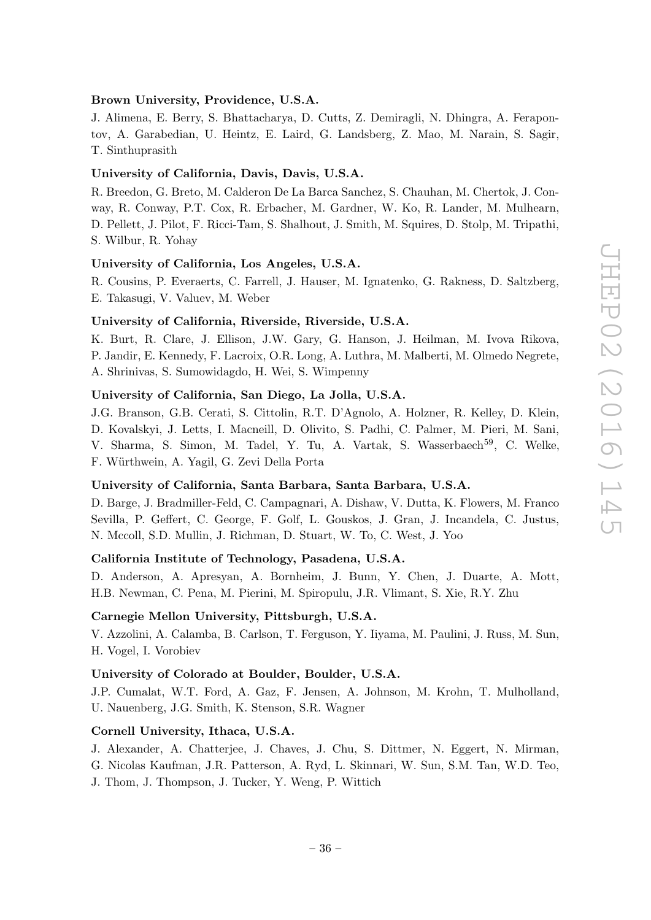### Brown University, Providence, U.S.A.

J. Alimena, E. Berry, S. Bhattacharya, D. Cutts, Z. Demiragli, N. Dhingra, A. Ferapontov, A. Garabedian, U. Heintz, E. Laird, G. Landsberg, Z. Mao, M. Narain, S. Sagir, T. Sinthuprasith

### University of California, Davis, Davis, U.S.A.

R. Breedon, G. Breto, M. Calderon De La Barca Sanchez, S. Chauhan, M. Chertok, J. Conway, R. Conway, P.T. Cox, R. Erbacher, M. Gardner, W. Ko, R. Lander, M. Mulhearn, D. Pellett, J. Pilot, F. Ricci-Tam, S. Shalhout, J. Smith, M. Squires, D. Stolp, M. Tripathi, S. Wilbur, R. Yohay

## University of California, Los Angeles, U.S.A.

R. Cousins, P. Everaerts, C. Farrell, J. Hauser, M. Ignatenko, G. Rakness, D. Saltzberg, E. Takasugi, V. Valuev, M. Weber

#### University of California, Riverside, Riverside, U.S.A.

K. Burt, R. Clare, J. Ellison, J.W. Gary, G. Hanson, J. Heilman, M. Ivova Rikova, P. Jandir, E. Kennedy, F. Lacroix, O.R. Long, A. Luthra, M. Malberti, M. Olmedo Negrete, A. Shrinivas, S. Sumowidagdo, H. Wei, S. Wimpenny

### University of California, San Diego, La Jolla, U.S.A.

J.G. Branson, G.B. Cerati, S. Cittolin, R.T. D'Agnolo, A. Holzner, R. Kelley, D. Klein, D. Kovalskyi, J. Letts, I. Macneill, D. Olivito, S. Padhi, C. Palmer, M. Pieri, M. Sani, V. Sharma, S. Simon, M. Tadel, Y. Tu, A. Vartak, S. Wasserbaech<sup>59</sup>, C. Welke, F. W¨urthwein, A. Yagil, G. Zevi Della Porta

### University of California, Santa Barbara, Santa Barbara, U.S.A.

D. Barge, J. Bradmiller-Feld, C. Campagnari, A. Dishaw, V. Dutta, K. Flowers, M. Franco Sevilla, P. Geffert, C. George, F. Golf, L. Gouskos, J. Gran, J. Incandela, C. Justus, N. Mccoll, S.D. Mullin, J. Richman, D. Stuart, W. To, C. West, J. Yoo

## California Institute of Technology, Pasadena, U.S.A.

D. Anderson, A. Apresyan, A. Bornheim, J. Bunn, Y. Chen, J. Duarte, A. Mott, H.B. Newman, C. Pena, M. Pierini, M. Spiropulu, J.R. Vlimant, S. Xie, R.Y. Zhu

### Carnegie Mellon University, Pittsburgh, U.S.A.

V. Azzolini, A. Calamba, B. Carlson, T. Ferguson, Y. Iiyama, M. Paulini, J. Russ, M. Sun, H. Vogel, I. Vorobiev

## University of Colorado at Boulder, Boulder, U.S.A.

J.P. Cumalat, W.T. Ford, A. Gaz, F. Jensen, A. Johnson, M. Krohn, T. Mulholland, U. Nauenberg, J.G. Smith, K. Stenson, S.R. Wagner

## Cornell University, Ithaca, U.S.A.

J. Alexander, A. Chatterjee, J. Chaves, J. Chu, S. Dittmer, N. Eggert, N. Mirman, G. Nicolas Kaufman, J.R. Patterson, A. Ryd, L. Skinnari, W. Sun, S.M. Tan, W.D. Teo, J. Thom, J. Thompson, J. Tucker, Y. Weng, P. Wittich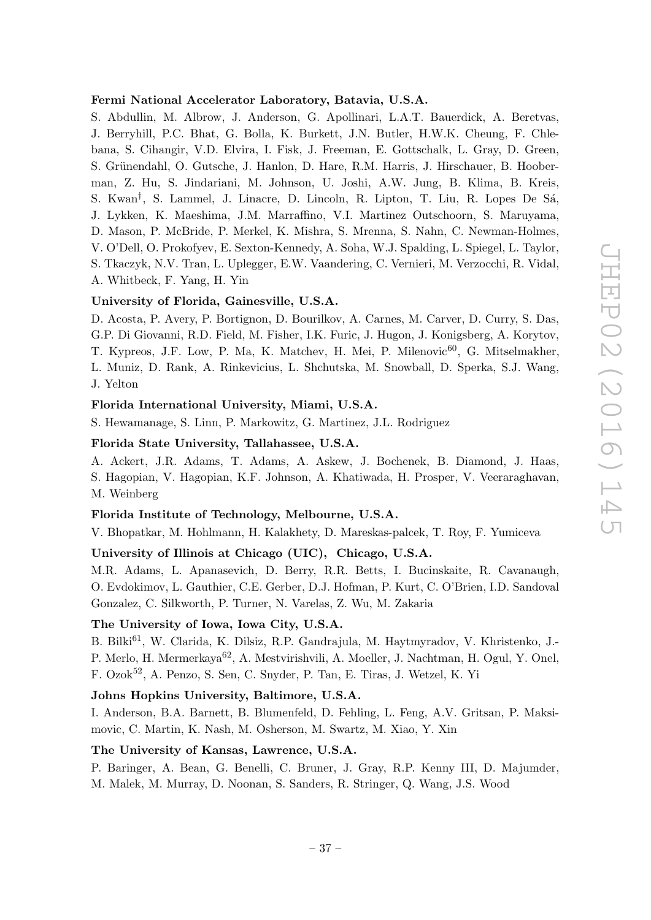#### Fermi National Accelerator Laboratory, Batavia, U.S.A.

S. Abdullin, M. Albrow, J. Anderson, G. Apollinari, L.A.T. Bauerdick, A. Beretvas, J. Berryhill, P.C. Bhat, G. Bolla, K. Burkett, J.N. Butler, H.W.K. Cheung, F. Chlebana, S. Cihangir, V.D. Elvira, I. Fisk, J. Freeman, E. Gottschalk, L. Gray, D. Green, S. Grünendahl, O. Gutsche, J. Hanlon, D. Hare, R.M. Harris, J. Hirschauer, B. Hooberman, Z. Hu, S. Jindariani, M. Johnson, U. Joshi, A.W. Jung, B. Klima, B. Kreis, S. Kwan<sup>†</sup>, S. Lammel, J. Linacre, D. Lincoln, R. Lipton, T. Liu, R. Lopes De Sá, J. Lykken, K. Maeshima, J.M. Marraffino, V.I. Martinez Outschoorn, S. Maruyama, D. Mason, P. McBride, P. Merkel, K. Mishra, S. Mrenna, S. Nahn, C. Newman-Holmes, V. O'Dell, O. Prokofyev, E. Sexton-Kennedy, A. Soha, W.J. Spalding, L. Spiegel, L. Taylor, S. Tkaczyk, N.V. Tran, L. Uplegger, E.W. Vaandering, C. Vernieri, M. Verzocchi, R. Vidal, A. Whitbeck, F. Yang, H. Yin

#### University of Florida, Gainesville, U.S.A.

D. Acosta, P. Avery, P. Bortignon, D. Bourilkov, A. Carnes, M. Carver, D. Curry, S. Das, G.P. Di Giovanni, R.D. Field, M. Fisher, I.K. Furic, J. Hugon, J. Konigsberg, A. Korytov, T. Kypreos, J.F. Low, P. Ma, K. Matchev, H. Mei, P. Milenovic<sup>60</sup>, G. Mitselmakher, L. Muniz, D. Rank, A. Rinkevicius, L. Shchutska, M. Snowball, D. Sperka, S.J. Wang, J. Yelton

### Florida International University, Miami, U.S.A.

S. Hewamanage, S. Linn, P. Markowitz, G. Martinez, J.L. Rodriguez

#### Florida State University, Tallahassee, U.S.A.

A. Ackert, J.R. Adams, T. Adams, A. Askew, J. Bochenek, B. Diamond, J. Haas, S. Hagopian, V. Hagopian, K.F. Johnson, A. Khatiwada, H. Prosper, V. Veeraraghavan, M. Weinberg

#### Florida Institute of Technology, Melbourne, U.S.A.

V. Bhopatkar, M. Hohlmann, H. Kalakhety, D. Mareskas-palcek, T. Roy, F. Yumiceva

#### University of Illinois at Chicago (UIC), Chicago, U.S.A.

M.R. Adams, L. Apanasevich, D. Berry, R.R. Betts, I. Bucinskaite, R. Cavanaugh, O. Evdokimov, L. Gauthier, C.E. Gerber, D.J. Hofman, P. Kurt, C. O'Brien, I.D. Sandoval Gonzalez, C. Silkworth, P. Turner, N. Varelas, Z. Wu, M. Zakaria

## The University of Iowa, Iowa City, U.S.A.

B. Bilki<sup>61</sup>, W. Clarida, K. Dilsiz, R.P. Gandrajula, M. Haytmyradov, V. Khristenko, J.-P. Merlo, H. Mermerkaya<sup>62</sup>, A. Mestvirishvili, A. Moeller, J. Nachtman, H. Ogul, Y. Onel, F. Ozok52, A. Penzo, S. Sen, C. Snyder, P. Tan, E. Tiras, J. Wetzel, K. Yi

#### Johns Hopkins University, Baltimore, U.S.A.

I. Anderson, B.A. Barnett, B. Blumenfeld, D. Fehling, L. Feng, A.V. Gritsan, P. Maksimovic, C. Martin, K. Nash, M. Osherson, M. Swartz, M. Xiao, Y. Xin

#### The University of Kansas, Lawrence, U.S.A.

P. Baringer, A. Bean, G. Benelli, C. Bruner, J. Gray, R.P. Kenny III, D. Majumder, M. Malek, M. Murray, D. Noonan, S. Sanders, R. Stringer, Q. Wang, J.S. Wood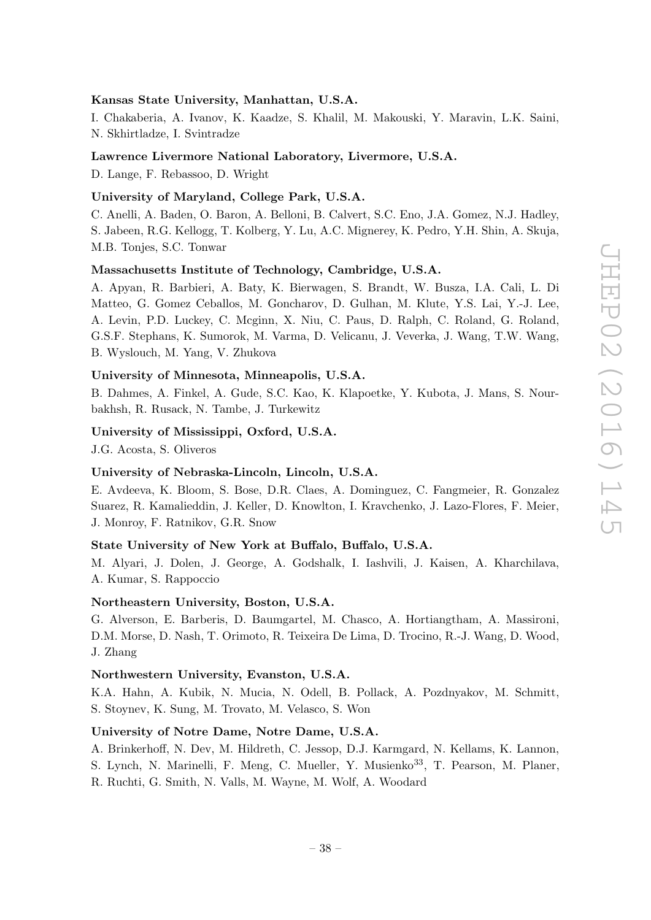### Kansas State University, Manhattan, U.S.A.

I. Chakaberia, A. Ivanov, K. Kaadze, S. Khalil, M. Makouski, Y. Maravin, L.K. Saini, N. Skhirtladze, I. Svintradze

### Lawrence Livermore National Laboratory, Livermore, U.S.A.

D. Lange, F. Rebassoo, D. Wright

## University of Maryland, College Park, U.S.A.

C. Anelli, A. Baden, O. Baron, A. Belloni, B. Calvert, S.C. Eno, J.A. Gomez, N.J. Hadley, S. Jabeen, R.G. Kellogg, T. Kolberg, Y. Lu, A.C. Mignerey, K. Pedro, Y.H. Shin, A. Skuja, M.B. Tonjes, S.C. Tonwar

## Massachusetts Institute of Technology, Cambridge, U.S.A.

A. Apyan, R. Barbieri, A. Baty, K. Bierwagen, S. Brandt, W. Busza, I.A. Cali, L. Di Matteo, G. Gomez Ceballos, M. Goncharov, D. Gulhan, M. Klute, Y.S. Lai, Y.-J. Lee, A. Levin, P.D. Luckey, C. Mcginn, X. Niu, C. Paus, D. Ralph, C. Roland, G. Roland, G.S.F. Stephans, K. Sumorok, M. Varma, D. Velicanu, J. Veverka, J. Wang, T.W. Wang, B. Wyslouch, M. Yang, V. Zhukova

## University of Minnesota, Minneapolis, U.S.A.

B. Dahmes, A. Finkel, A. Gude, S.C. Kao, K. Klapoetke, Y. Kubota, J. Mans, S. Nourbakhsh, R. Rusack, N. Tambe, J. Turkewitz

#### University of Mississippi, Oxford, U.S.A.

J.G. Acosta, S. Oliveros

## University of Nebraska-Lincoln, Lincoln, U.S.A.

E. Avdeeva, K. Bloom, S. Bose, D.R. Claes, A. Dominguez, C. Fangmeier, R. Gonzalez Suarez, R. Kamalieddin, J. Keller, D. Knowlton, I. Kravchenko, J. Lazo-Flores, F. Meier, J. Monroy, F. Ratnikov, G.R. Snow

### State University of New York at Buffalo, Buffalo, U.S.A.

M. Alyari, J. Dolen, J. George, A. Godshalk, I. Iashvili, J. Kaisen, A. Kharchilava, A. Kumar, S. Rappoccio

## Northeastern University, Boston, U.S.A.

G. Alverson, E. Barberis, D. Baumgartel, M. Chasco, A. Hortiangtham, A. Massironi, D.M. Morse, D. Nash, T. Orimoto, R. Teixeira De Lima, D. Trocino, R.-J. Wang, D. Wood, J. Zhang

### Northwestern University, Evanston, U.S.A.

K.A. Hahn, A. Kubik, N. Mucia, N. Odell, B. Pollack, A. Pozdnyakov, M. Schmitt, S. Stoynev, K. Sung, M. Trovato, M. Velasco, S. Won

### University of Notre Dame, Notre Dame, U.S.A.

A. Brinkerhoff, N. Dev, M. Hildreth, C. Jessop, D.J. Karmgard, N. Kellams, K. Lannon,

S. Lynch, N. Marinelli, F. Meng, C. Mueller, Y. Musienko<sup>33</sup>, T. Pearson, M. Planer,

R. Ruchti, G. Smith, N. Valls, M. Wayne, M. Wolf, A. Woodard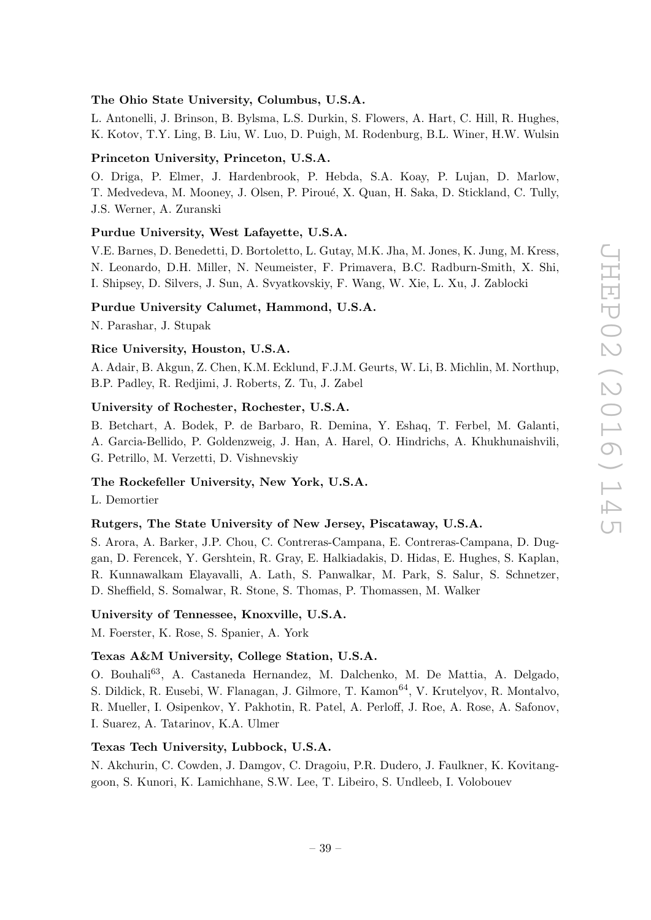### The Ohio State University, Columbus, U.S.A.

L. Antonelli, J. Brinson, B. Bylsma, L.S. Durkin, S. Flowers, A. Hart, C. Hill, R. Hughes, K. Kotov, T.Y. Ling, B. Liu, W. Luo, D. Puigh, M. Rodenburg, B.L. Winer, H.W. Wulsin

#### Princeton University, Princeton, U.S.A.

O. Driga, P. Elmer, J. Hardenbrook, P. Hebda, S.A. Koay, P. Lujan, D. Marlow, T. Medvedeva, M. Mooney, J. Olsen, P. Piroué, X. Quan, H. Saka, D. Stickland, C. Tully, J.S. Werner, A. Zuranski

### Purdue University, West Lafayette, U.S.A.

V.E. Barnes, D. Benedetti, D. Bortoletto, L. Gutay, M.K. Jha, M. Jones, K. Jung, M. Kress, N. Leonardo, D.H. Miller, N. Neumeister, F. Primavera, B.C. Radburn-Smith, X. Shi, I. Shipsey, D. Silvers, J. Sun, A. Svyatkovskiy, F. Wang, W. Xie, L. Xu, J. Zablocki

### Purdue University Calumet, Hammond, U.S.A.

N. Parashar, J. Stupak

### Rice University, Houston, U.S.A.

A. Adair, B. Akgun, Z. Chen, K.M. Ecklund, F.J.M. Geurts, W. Li, B. Michlin, M. Northup, B.P. Padley, R. Redjimi, J. Roberts, Z. Tu, J. Zabel

#### University of Rochester, Rochester, U.S.A.

B. Betchart, A. Bodek, P. de Barbaro, R. Demina, Y. Eshaq, T. Ferbel, M. Galanti,

A. Garcia-Bellido, P. Goldenzweig, J. Han, A. Harel, O. Hindrichs, A. Khukhunaishvili,

G. Petrillo, M. Verzetti, D. Vishnevskiy

#### The Rockefeller University, New York, U.S.A.

L. Demortier

#### Rutgers, The State University of New Jersey, Piscataway, U.S.A.

S. Arora, A. Barker, J.P. Chou, C. Contreras-Campana, E. Contreras-Campana, D. Duggan, D. Ferencek, Y. Gershtein, R. Gray, E. Halkiadakis, D. Hidas, E. Hughes, S. Kaplan, R. Kunnawalkam Elayavalli, A. Lath, S. Panwalkar, M. Park, S. Salur, S. Schnetzer, D. Sheffield, S. Somalwar, R. Stone, S. Thomas, P. Thomassen, M. Walker

## University of Tennessee, Knoxville, U.S.A.

M. Foerster, K. Rose, S. Spanier, A. York

### Texas A&M University, College Station, U.S.A.

O. Bouhali<sup>63</sup>, A. Castaneda Hernandez, M. Dalchenko, M. De Mattia, A. Delgado, S. Dildick, R. Eusebi, W. Flanagan, J. Gilmore, T. Kamon<sup>64</sup>, V. Krutelyov, R. Montalvo, R. Mueller, I. Osipenkov, Y. Pakhotin, R. Patel, A. Perloff, J. Roe, A. Rose, A. Safonov, I. Suarez, A. Tatarinov, K.A. Ulmer

#### Texas Tech University, Lubbock, U.S.A.

N. Akchurin, C. Cowden, J. Damgov, C. Dragoiu, P.R. Dudero, J. Faulkner, K. Kovitanggoon, S. Kunori, K. Lamichhane, S.W. Lee, T. Libeiro, S. Undleeb, I. Volobouev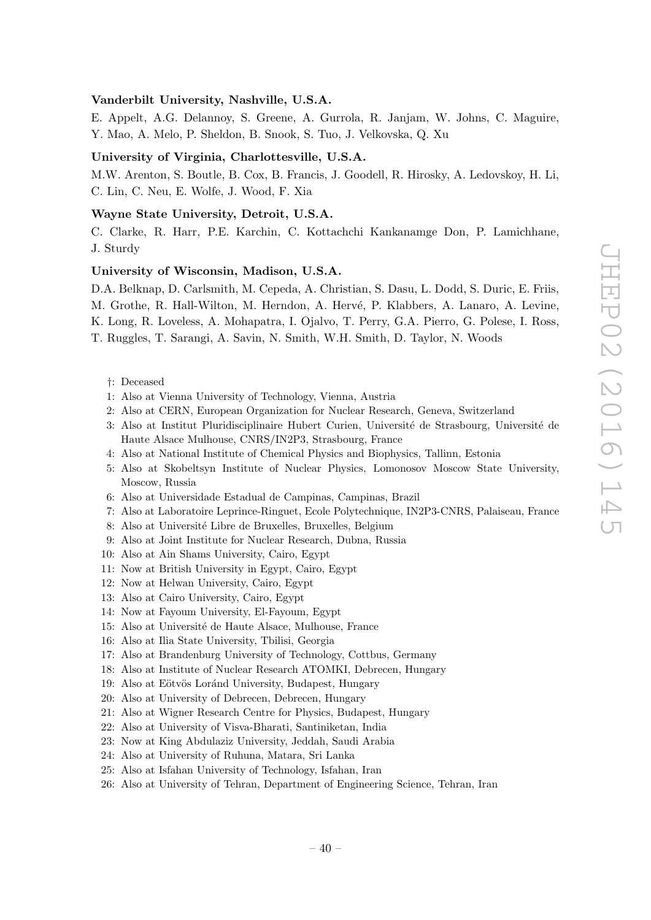#### Vanderbilt University, Nashville, U.S.A.

E. Appelt, A.G. Delannoy, S. Greene, A. Gurrola, R. Janjam, W. Johns, C. Maguire, Y. Mao, A. Melo, P. Sheldon, B. Snook, S. Tuo, J. Velkovska, Q. Xu

### University of Virginia, Charlottesville, U.S.A.

M.W. Arenton, S. Boutle, B. Cox, B. Francis, J. Goodell, R. Hirosky, A. Ledovskoy, H. Li, C. Lin, C. Neu, E. Wolfe, J. Wood, F. Xia

## Wayne State University, Detroit, U.S.A.

C. Clarke, R. Harr, P.E. Karchin, C. Kottachchi Kankanamge Don, P. Lamichhane, J. Sturdy

### University of Wisconsin, Madison, U.S.A.

D.A. Belknap, D. Carlsmith, M. Cepeda, A. Christian, S. Dasu, L. Dodd, S. Duric, E. Friis, M. Grothe, R. Hall-Wilton, M. Herndon, A. Hervé, P. Klabbers, A. Lanaro, A. Levine, K. Long, R. Loveless, A. Mohapatra, I. Ojalvo, T. Perry, G.A. Pierro, G. Polese, I. Ross, T. Ruggles, T. Sarangi, A. Savin, N. Smith, W.H. Smith, D. Taylor, N. Woods

- †: Deceased
- 1: Also at Vienna University of Technology, Vienna, Austria
- 2: Also at CERN, European Organization for Nuclear Research, Geneva, Switzerland
- 3: Also at Institut Pluridisciplinaire Hubert Curien, Université de Strasbourg, Université de Haute Alsace Mulhouse, CNRS/IN2P3, Strasbourg, France
- 4: Also at National Institute of Chemical Physics and Biophysics, Tallinn, Estonia
- 5: Also at Skobeltsyn Institute of Nuclear Physics, Lomonosov Moscow State University, Moscow, Russia
- 6: Also at Universidade Estadual de Campinas, Campinas, Brazil
- 7: Also at Laboratoire Leprince-Ringuet, Ecole Polytechnique, IN2P3-CNRS, Palaiseau, France
- 8: Also at Université Libre de Bruxelles, Bruxelles, Belgium
- 9: Also at Joint Institute for Nuclear Research, Dubna, Russia
- 10: Also at Ain Shams University, Cairo, Egypt
- 11: Now at British University in Egypt, Cairo, Egypt
- 12: Now at Helwan University, Cairo, Egypt
- 13: Also at Cairo University, Cairo, Egypt
- 14: Now at Fayoum University, El-Fayoum, Egypt
- 15: Also at Université de Haute Alsace, Mulhouse, France
- 16: Also at Ilia State University, Tbilisi, Georgia
- 17: Also at Brandenburg University of Technology, Cottbus, Germany
- 18: Also at Institute of Nuclear Research ATOMKI, Debrecen, Hungary
- 19: Also at Eötvös Loránd University, Budapest, Hungary
- 20: Also at University of Debrecen, Debrecen, Hungary
- 21: Also at Wigner Research Centre for Physics, Budapest, Hungary
- 22: Also at University of Visva-Bharati, Santiniketan, India
- 23: Now at King Abdulaziz University, Jeddah, Saudi Arabia
- 24: Also at University of Ruhuna, Matara, Sri Lanka
- 25: Also at Isfahan University of Technology, Isfahan, Iran
- 26: Also at University of Tehran, Department of Engineering Science, Tehran, Iran